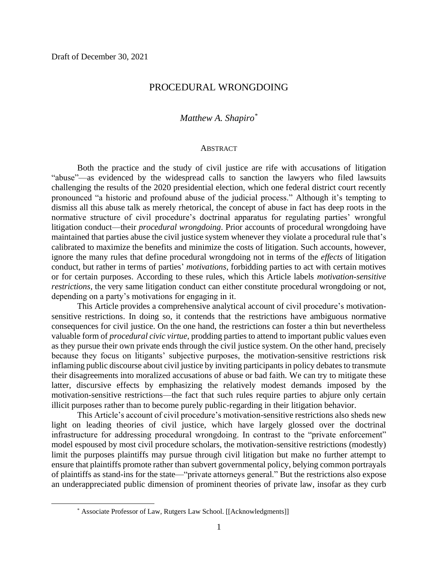## PROCEDURAL WRONGDOING

# *Matthew A. Shapiro\**

#### **ABSTRACT**

Both the practice and the study of civil justice are rife with accusations of litigation "abuse"—as evidenced by the widespread calls to sanction the lawyers who filed lawsuits challenging the results of the 2020 presidential election, which one federal district court recently pronounced "a historic and profound abuse of the judicial process." Although it's tempting to dismiss all this abuse talk as merely rhetorical, the concept of abuse in fact has deep roots in the normative structure of civil procedure's doctrinal apparatus for regulating parties' wrongful litigation conduct—their *procedural wrongdoing*. Prior accounts of procedural wrongdoing have maintained that parties abuse the civil justice system whenever they violate a procedural rule that's calibrated to maximize the benefits and minimize the costs of litigation. Such accounts, however, ignore the many rules that define procedural wrongdoing not in terms of the *effects* of litigation conduct, but rather in terms of parties' *motivations*, forbidding parties to act with certain motives or for certain purposes. According to these rules, which this Article labels *motivation-sensitive restrictions*, the very same litigation conduct can either constitute procedural wrongdoing or not, depending on a party's motivations for engaging in it.

This Article provides a comprehensive analytical account of civil procedure's motivationsensitive restrictions. In doing so, it contends that the restrictions have ambiguous normative consequences for civil justice. On the one hand, the restrictions can foster a thin but nevertheless valuable form of *procedural civic virtue*, prodding parties to attend to important public values even as they pursue their own private ends through the civil justice system. On the other hand, precisely because they focus on litigants' subjective purposes, the motivation-sensitive restrictions risk inflaming public discourse about civil justice by inviting participants in policy debates to transmute their disagreements into moralized accusations of abuse or bad faith. We can try to mitigate these latter, discursive effects by emphasizing the relatively modest demands imposed by the motivation-sensitive restrictions—the fact that such rules require parties to abjure only certain illicit purposes rather than to become purely public-regarding in their litigation behavior.

This Article's account of civil procedure's motivation-sensitive restrictions also sheds new light on leading theories of civil justice, which have largely glossed over the doctrinal infrastructure for addressing procedural wrongdoing. In contrast to the "private enforcement" model espoused by most civil procedure scholars, the motivation-sensitive restrictions (modestly) limit the purposes plaintiffs may pursue through civil litigation but make no further attempt to ensure that plaintiffs promote rather than subvert governmental policy, belying common portrayals of plaintiffs as stand-ins for the state—"private attorneys general." But the restrictions also expose an underappreciated public dimension of prominent theories of private law, insofar as they curb

<sup>\*</sup> Associate Professor of Law, Rutgers Law School. [[Acknowledgments]]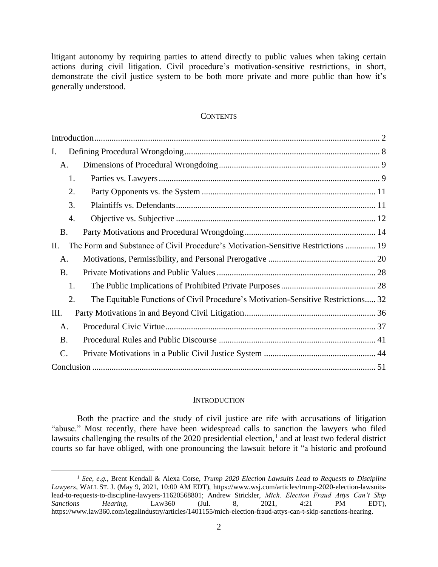litigant autonomy by requiring parties to attend directly to public values when taking certain actions during civil litigation. Civil procedure's motivation-sensitive restrictions, in short, demonstrate the civil justice system to be both more private and more public than how it's generally understood.

### **CONTENTS**

| I.        |                                                                                   |
|-----------|-----------------------------------------------------------------------------------|
| A.        |                                                                                   |
| 1.        |                                                                                   |
| 2.        |                                                                                   |
| 3.        |                                                                                   |
| 4.        |                                                                                   |
| <b>B.</b> |                                                                                   |
| П.        | The Form and Substance of Civil Procedure's Motivation-Sensitive Restrictions  19 |
| A.        |                                                                                   |
| <b>B.</b> |                                                                                   |
| 1.        |                                                                                   |
| 2.        | The Equitable Functions of Civil Procedure's Motivation-Sensitive Restrictions 32 |
| Ш.        |                                                                                   |
| A.        |                                                                                   |
| <b>B.</b> |                                                                                   |
| C.        |                                                                                   |
|           |                                                                                   |

#### **INTRODUCTION**

<span id="page-1-0"></span>Both the practice and the study of civil justice are rife with accusations of litigation "abuse." Most recently, there have been widespread calls to sanction the lawyers who filed lawsuits challenging the results of the 2020 presidential election,<sup>1</sup> and at least two federal district courts so far have obliged, with one pronouncing the lawsuit before it "a historic and profound

<sup>1</sup> *See, e.g.*, Brent Kendall & Alexa Corse, *Trump 2020 Election Lawsuits Lead to Requests to Discipline Lawyers*, WALL ST. J. (May 9, 2021, 10:00 AM EDT), https://www.wsj.com/articles/trump-2020-election-lawsuitslead-to-requests-to-discipline-lawyers-11620568801; Andrew Strickler, *Mich. Election Fraud Attys Can't Skip Sanctions Hearing*, LAW360 (Jul. 8, 2021, 4:21 PM EDT), https://www.law360.com/legalindustry/articles/1401155/mich-election-fraud-attys-can-t-skip-sanctions-hearing.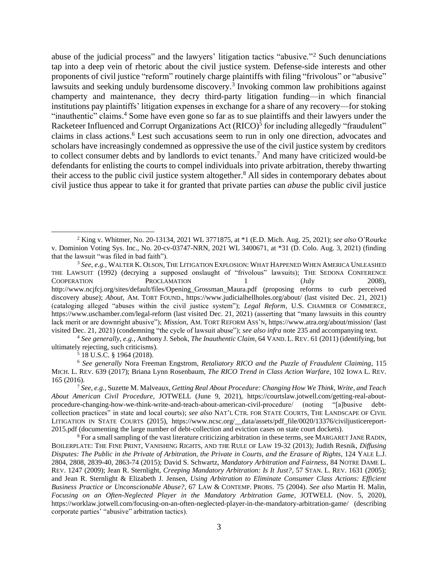<span id="page-2-1"></span><span id="page-2-0"></span>abuse of the judicial process" and the lawyers' litigation tactics "abusive."<sup>2</sup> Such denunciations tap into a deep vein of rhetoric about the civil justice system. Defense-side interests and other proponents of civil justice "reform" routinely charge plaintiffs with filing "frivolous" or "abusive" lawsuits and seeking unduly burdensome discovery.<sup>3</sup> Invoking common law prohibitions against champerty and maintenance, they decry third-party litigation funding—in which financial institutions pay plaintiffs' litigation expenses in exchange for a share of any recovery—for stoking "inauthentic" claims.<sup>4</sup> Some have even gone so far as to sue plaintiffs and their lawyers under the Racketeer Influenced and Corrupt Organizations Act (RICO)<sup>5</sup> for including allegedly "fraudulent" claims in class actions. <sup>6</sup> Lest such accusations seem to run in only one direction, advocates and scholars have increasingly condemned as oppressive the use of the civil justice system by creditors to collect consumer debts and by landlords to evict tenants. <sup>7</sup> And many have criticized would-be defendants for enlisting the courts to compel individuals into private arbitration, thereby thwarting their access to the public civil justice system altogether. <sup>8</sup> All sides in contemporary debates about civil justice thus appear to take it for granted that private parties can *abuse* the public civil justice

 $5$  18 U.S.C. § 1964 (2018).

<span id="page-2-3"></span><span id="page-2-2"></span><sup>2</sup> King v. Whitmer, No. 20-13134, 2021 WL 3771875, at \*1 (E.D. Mich. Aug. 25, 2021); *see also* O'Rourke v. Dominion Voting Sys. Inc., No. 20-cv-03747-NRN, 2021 WL 3400671, at \*31 (D. Colo. Aug. 3, 2021) (finding that the lawsuit "was filed in bad faith").

<sup>3</sup> *See, e.g.*, WALTER K. OLSON, THE LITIGATION EXPLOSION: WHAT HAPPENED WHEN AMERICA UNLEASHED THE LAWSUIT (1992) (decrying a supposed onslaught of "frivolous" lawsuits); THE SEDONA CONFERENCE COOPERATION PROCLAMATION 1 (July 2008), http://www.ncjfcj.org/sites/default/files/Opening\_Grossman\_Maura.pdf (proposing reforms to curb perceived discovery abuse); *About*, AM. TORT FOUND., https://www.judicialhellholes.org/about/ (last visited Dec. 21, 2021) (cataloging alleged "abuses within the civil justice system"); *Legal Reform*, U.S. CHAMBER OF COMMERCE, https://www.uschamber.com/legal-reform (last visited Dec. 21, 2021) (asserting that "many lawsuits in this country lack merit or are downright abusive"); *Mission*, AM. TORT REFORM ASS'N, https://www.atra.org/about/mission/ (last visited Dec. 21, 2021) (condemning "the cycle of lawsuit abuse"); *see also infra* not[e 235](#page-42-0) and accompanying text.

<sup>4</sup> *See generally, e.g.*, Anthony J. Sebok, *The Inauthentic Claim*, 64 VAND. L. REV. 61 (2011) (identifying, but ultimately rejecting, such criticisms).

<sup>6</sup> *See generally* Nora Freeman Engstrom, *Retaliatory RICO and the Puzzle of Fraudulent Claiming*, 115 MICH. L. REV. 639 (2017); Briana Lynn Rosenbaum, *The RICO Trend in Class Action Warfare*, 102 IOWA L. REV. 165 (2016).

<sup>7</sup> *See, e.g.*, Suzette M. Malveaux, *Getting Real About Procedure: Changing How We Think, Write, and Teach About American Civil Procedure*, JOTWELL (June 9, 2021), https://courtslaw.jotwell.com/getting-real-aboutprocedure-changing-how-we-think-write-and-teach-about-american-civil-procedure/ (noting "[a]busive debtcollection practices" in state and local courts); *see also* NAT'L CTR. FOR STATE COURTS, THE LANDSCAPE OF CIVIL LITIGATION IN STATE COURTS (2015), https://www.ncsc.org/\_\_data/assets/pdf\_file/0020/13376/civiljusticereport-2015.pdf (documenting the large number of debt-collection and eviction cases on state court dockets).

<sup>&</sup>lt;sup>8</sup> For a small sampling of the vast literature criticizing arbitration in these terms, see MARGARET JANE RADIN, BOILERPLATE: THE FINE PRINT, VANISHING RIGHTS, AND THE RULE OF LAW 19-32 (2013); Judith Resnik, *Diffusing Disputes: The Public in the Private of Arbitration, the Private in Courts, and the Erasure of Rights*, 124 YALE L.J. 2804, 2808, 2839-40, 2863-74 (2015); David S. Schwartz, *Mandatory Arbitration and Fairness*, 84 NOTRE DAME L. REV. 1247 (2009); Jean R. Sternlight, *Creeping Mandatory Arbitration: Is It Just?*, 57 STAN. L. REV. 1631 (2005); and Jean R. Sternlight & Elizabeth J. Jensen, *Using Arbitration to Eliminate Consumer Class Actions: Efficient Business Practice or Unconscionable Abuse?*, 67 LAW & CONTEMP. PROBS. 75 (2004). *See also* Martin H. Malin, *Focusing on an Often-Neglected Player in the Mandatory Arbitration Game*, JOTWELL (Nov. 5, 2020), https://worklaw.jotwell.com/focusing-on-an-often-neglected-player-in-the-mandatory-arbitration-game/ (describing corporate parties' "abusive" arbitration tactics).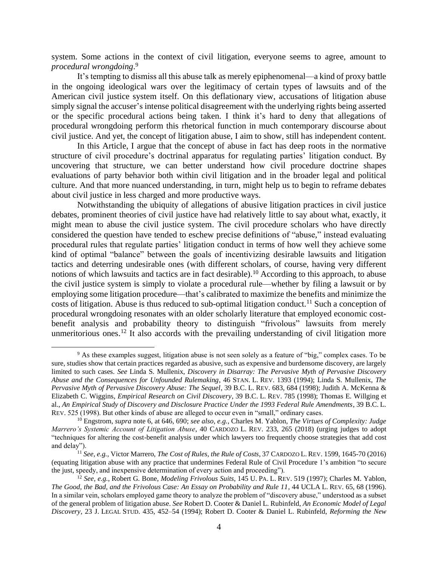system. Some actions in the context of civil litigation, everyone seems to agree, amount to *procedural wrongdoing*. 9

It's tempting to dismiss all this abuse talk as merely epiphenomenal—a kind of proxy battle in the ongoing ideological wars over the legitimacy of certain types of lawsuits and of the American civil justice system itself. On this deflationary view, accusations of litigation abuse simply signal the accuser's intense political disagreement with the underlying rights being asserted or the specific procedural actions being taken. I think it's hard to deny that allegations of procedural wrongdoing perform this rhetorical function in much contemporary discourse about civil justice. And yet, the concept of litigation abuse, I aim to show, still has independent content.

In this Article, I argue that the concept of abuse in fact has deep roots in the normative structure of civil procedure's doctrinal apparatus for regulating parties' litigation conduct. By uncovering that structure, we can better understand how civil procedure doctrine shapes evaluations of party behavior both within civil litigation and in the broader legal and political culture. And that more nuanced understanding, in turn, might help us to begin to reframe debates about civil justice in less charged and more productive ways.

<span id="page-3-0"></span>Notwithstanding the ubiquity of allegations of abusive litigation practices in civil justice debates, prominent theories of civil justice have had relatively little to say about what, exactly, it might mean to abuse the civil justice system. The civil procedure scholars who have directly considered the question have tended to eschew precise definitions of "abuse," instead evaluating procedural rules that regulate parties' litigation conduct in terms of how well they achieve some kind of optimal "balance" between the goals of incentivizing desirable lawsuits and litigation tactics and deterring undesirable ones (with different scholars, of course, having very different notions of which lawsuits and tactics are in fact desirable).<sup>10</sup> According to this approach, to abuse the civil justice system is simply to violate a procedural rule—whether by filing a lawsuit or by employing some litigation procedure—that's calibrated to maximize the benefits and minimize the costs of litigation. Abuse is thus reduced to sub-optimal litigation conduct.<sup>11</sup> Such a conception of procedural wrongdoing resonates with an older scholarly literature that employed economic costbenefit analysis and probability theory to distinguish "frivolous" lawsuits from merely unmeritorious ones.<sup>12</sup> It also accords with the prevailing understanding of civil litigation more

<span id="page-3-2"></span><span id="page-3-1"></span><sup>9</sup> As these examples suggest, litigation abuse is not seen solely as a feature of "big," complex cases. To be sure, studies show that certain practices regarded as abusive, such as expensive and burdensome discovery, are largely limited to such cases. *See* Linda S. Mullenix, *Discovery in Disarray: The Pervasive Myth of Pervasive Discovery Abuse and the Consequences for Unfounded Rulemaking*, 46 STAN. L. REV. 1393 (1994); Linda S. Mullenix, *The Pervasive Myth of Pervasive Discovery Abuse: The Sequel*, 39 B.C. L. REV. 683, 684 (1998); Judith A. McKenna & Elizabeth C. Wiggins, *Empirical Research on Civil Discovery*, 39 B.C. L. REV. 785 (1998); Thomas E. Willging et al., *An Empirical Study of Discovery and Disclosure Practice Under the 1993 Federal Rule Amendments*, 39 B.C. L. REV. 525 (1998). But other kinds of abuse are alleged to occur even in "small," ordinary cases.

<sup>10</sup> Engstrom, *supra* note [6,](#page-2-0) at 646, 690; *see also, e.g.*, Charles M. Yablon, *The Virtues of Complexity: Judge Marrero's Systemic Account of Litigation Abuse*, 40 CARDOZO L. REV. 233, 265 (2018) (urging judges to adopt "techniques for altering the cost-benefit analysis under which lawyers too frequently choose strategies that add cost and delay").

<sup>11</sup> *See, e.g.*, Victor Marrero, *The Cost of Rules, the Rule of Costs*, 37 CARDOZO L. REV. 1599, 1645-70 (2016) (equating litigation abuse with any practice that undermines Federal Rule of Civil Procedure 1's ambition "to secure the just, speedy, and inexpensive determination of every action and proceeding").

<sup>12</sup> *See, e.g.*, Robert G. Bone, *Modeling Frivolous Suits*, 145 U. PA. L. REV. 519 (1997); Charles M. Yablon, *The Good, the Bad, and the Frivolous Case: An Essay on Probability and Rule 11*, 44 UCLA L. REV. 65, 68 (1996). In a similar vein, scholars employed game theory to analyze the problem of "discovery abuse," understood as a subset of the general problem of litigation abuse. *See* Robert D. Cooter & Daniel L. Rubinfeld, *An Economic Model of Legal Discovery*, 23 J. LEGAL STUD. 435, 452–54 (1994); Robert D. Cooter & Daniel L. Rubinfeld, *Reforming the New*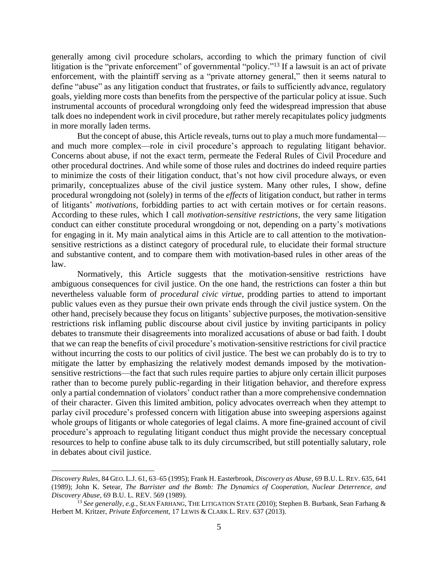<span id="page-4-0"></span>generally among civil procedure scholars, according to which the primary function of civil litigation is the "private enforcement" of governmental "policy."<sup>13</sup> If a lawsuit is an act of private enforcement, with the plaintiff serving as a "private attorney general," then it seems natural to define "abuse" as any litigation conduct that frustrates, or fails to sufficiently advance, regulatory goals, yielding more costs than benefits from the perspective of the particular policy at issue. Such instrumental accounts of procedural wrongdoing only feed the widespread impression that abuse talk does no independent work in civil procedure, but rather merely recapitulates policy judgments in more morally laden terms.

But the concept of abuse, this Article reveals, turns out to play a much more fundamental and much more complex—role in civil procedure's approach to regulating litigant behavior. Concerns about abuse, if not the exact term, permeate the Federal Rules of Civil Procedure and other procedural doctrines. And while some of those rules and doctrines do indeed require parties to minimize the costs of their litigation conduct, that's not how civil procedure always, or even primarily, conceptualizes abuse of the civil justice system. Many other rules, I show, define procedural wrongdoing not (solely) in terms of the *effects* of litigation conduct, but rather in terms of litigants' *motivations*, forbidding parties to act with certain motives or for certain reasons. According to these rules, which I call *motivation-sensitive restrictions*, the very same litigation conduct can either constitute procedural wrongdoing or not, depending on a party's motivations for engaging in it. My main analytical aims in this Article are to call attention to the motivationsensitive restrictions as a distinct category of procedural rule, to elucidate their formal structure and substantive content, and to compare them with motivation-based rules in other areas of the law.

Normatively, this Article suggests that the motivation-sensitive restrictions have ambiguous consequences for civil justice. On the one hand, the restrictions can foster a thin but nevertheless valuable form of *procedural civic virtue*, prodding parties to attend to important public values even as they pursue their own private ends through the civil justice system. On the other hand, precisely because they focus on litigants' subjective purposes, the motivation-sensitive restrictions risk inflaming public discourse about civil justice by inviting participants in policy debates to transmute their disagreements into moralized accusations of abuse or bad faith. I doubt that we can reap the benefits of civil procedure's motivation-sensitive restrictions for civil practice without incurring the costs to our politics of civil justice. The best we can probably do is to try to mitigate the latter by emphasizing the relatively modest demands imposed by the motivationsensitive restrictions—the fact that such rules require parties to abjure only certain illicit purposes rather than to become purely public-regarding in their litigation behavior, and therefore express only a partial condemnation of violators' conduct rather than a more comprehensive condemnation of their character. Given this limited ambition, policy advocates overreach when they attempt to parlay civil procedure's professed concern with litigation abuse into sweeping aspersions against whole groups of litigants or whole categories of legal claims. A more fine-grained account of civil procedure's approach to regulating litigant conduct thus might provide the necessary conceptual resources to help to confine abuse talk to its duly circumscribed, but still potentially salutary, role in debates about civil justice.

*Discovery Rules*, 84 GEO. L.J. 61, 63–65 (1995); Frank H. Easterbrook, *Discovery as Abuse*, 69 B.U. L. REV. 635, 641 (1989); John K. Setear, *The Barrister and the Bomb: The Dynamics of Cooperation, Nuclear Deterrence, and Discovery Abuse*, 69 B.U. L. REV. 569 (1989).

<sup>13</sup> *See generally, e.g.*, SEAN FARHANG, THE LITIGATION STATE (2010); Stephen B. Burbank, Sean Farhang & Herbert M. Kritzer, *Private Enforcement*, 17 LEWIS & CLARK L. REV. 637 (2013).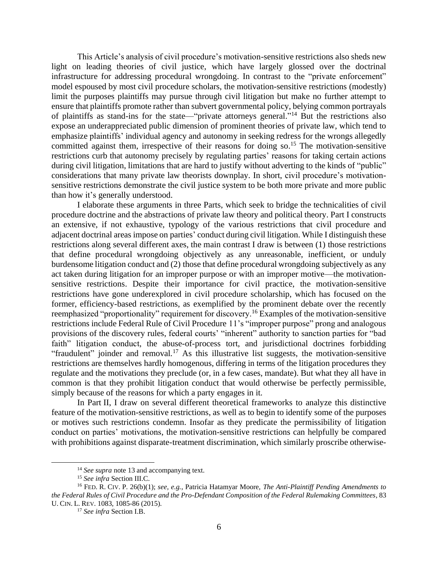This Article's analysis of civil procedure's motivation-sensitive restrictions also sheds new light on leading theories of civil justice, which have largely glossed over the doctrinal infrastructure for addressing procedural wrongdoing. In contrast to the "private enforcement" model espoused by most civil procedure scholars, the motivation-sensitive restrictions (modestly) limit the purposes plaintiffs may pursue through civil litigation but make no further attempt to ensure that plaintiffs promote rather than subvert governmental policy, belying common portrayals of plaintiffs as stand-ins for the state—"private attorneys general." <sup>14</sup> But the restrictions also expose an underappreciated public dimension of prominent theories of private law, which tend to emphasize plaintiffs' individual agency and autonomy in seeking redress for the wrongs allegedly committed against them, irrespective of their reasons for doing so. <sup>15</sup> The motivation-sensitive restrictions curb that autonomy precisely by regulating parties' reasons for taking certain actions during civil litigation, limitations that are hard to justify without adverting to the kinds of "public" considerations that many private law theorists downplay. In short, civil procedure's motivationsensitive restrictions demonstrate the civil justice system to be both more private and more public than how it's generally understood.

I elaborate these arguments in three Parts, which seek to bridge the technicalities of civil procedure doctrine and the abstractions of private law theory and political theory. Part I constructs an extensive, if not exhaustive, typology of the various restrictions that civil procedure and adjacent doctrinal areas impose on parties' conduct during civil litigation. While I distinguish these restrictions along several different axes, the main contrast I draw is between (1) those restrictions that define procedural wrongdoing objectively as any unreasonable, inefficient, or unduly burdensome litigation conduct and (2) those that define procedural wrongdoing subjectively as any act taken during litigation for an improper purpose or with an improper motive—the motivationsensitive restrictions. Despite their importance for civil practice, the motivation-sensitive restrictions have gone underexplored in civil procedure scholarship, which has focused on the former, efficiency-based restrictions, as exemplified by the prominent debate over the recently reemphasized "proportionality" requirement for discovery.<sup>16</sup> Examples of the motivation-sensitive restrictions include Federal Rule of Civil Procedure 11's "improper purpose" prong and analogous provisions of the discovery rules, federal courts' "inherent" authority to sanction parties for "bad faith" litigation conduct, the abuse-of-process tort, and jurisdictional doctrines forbidding "fraudulent" joinder and removal.<sup>17</sup> As this illustrative list suggests, the motivation-sensitive restrictions are themselves hardly homogenous, differing in terms of the litigation procedures they regulate and the motivations they preclude (or, in a few cases, mandate). But what they all have in common is that they prohibit litigation conduct that would otherwise be perfectly permissible, simply because of the reasons for which a party engages in it.

In Part II, I draw on several different theoretical frameworks to analyze this distinctive feature of the motivation-sensitive restrictions, as well as to begin to identify some of the purposes or motives such restrictions condemn. Insofar as they predicate the permissibility of litigation conduct on parties' motivations, the motivation-sensitive restrictions can helpfully be compared with prohibitions against disparate-treatment discrimination, which similarly proscribe otherwise-

<sup>&</sup>lt;sup>14</sup> *See supra* not[e 13](#page-4-0) and accompanying text.

<sup>15</sup> *See infra* Section III.C.

<sup>16</sup> FED. R. CIV. P. 26(b)(1); *see, e.g.*, Patricia Hatamyar Moore, *The Anti-Plaintiff Pending Amendments to the Federal Rules of Civil Procedure and the Pro-Defendant Composition of the Federal Rulemaking Committees*, 83 U. CIN. L. REV. 1083, 1085-86 (2015).

<sup>17</sup> *See infra* Section I.B.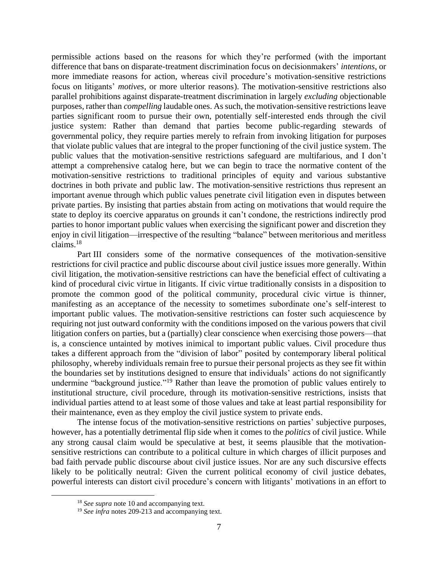permissible actions based on the reasons for which they're performed (with the important difference that bans on disparate-treatment discrimination focus on decisionmakers' *intentions*, or more immediate reasons for action, whereas civil procedure's motivation-sensitive restrictions focus on litigants' *motives*, or more ulterior reasons). The motivation-sensitive restrictions also parallel prohibitions against disparate-treatment discrimination in largely *excluding* objectionable purposes, rather than *compelling* laudable ones. As such, the motivation-sensitive restrictions leave parties significant room to pursue their own, potentially self-interested ends through the civil justice system: Rather than demand that parties become public-regarding stewards of governmental policy, they require parties merely to refrain from invoking litigation for purposes that violate public values that are integral to the proper functioning of the civil justice system. The public values that the motivation-sensitive restrictions safeguard are multifarious, and I don't attempt a comprehensive catalog here, but we can begin to trace the normative content of the motivation-sensitive restrictions to traditional principles of equity and various substantive doctrines in both private and public law. The motivation-sensitive restrictions thus represent an important avenue through which public values penetrate civil litigation even in disputes between private parties. By insisting that parties abstain from acting on motivations that would require the state to deploy its coercive apparatus on grounds it can't condone, the restrictions indirectly prod parties to honor important public values when exercising the significant power and discretion they enjoy in civil litigation—irrespective of the resulting "balance" between meritorious and meritless claims.<sup>18</sup>

Part III considers some of the normative consequences of the motivation-sensitive restrictions for civil practice and public discourse about civil justice issues more generally. Within civil litigation, the motivation-sensitive restrictions can have the beneficial effect of cultivating a kind of procedural civic virtue in litigants. If civic virtue traditionally consists in a disposition to promote the common good of the political community, procedural civic virtue is thinner, manifesting as an acceptance of the necessity to sometimes subordinate one's self-interest to important public values. The motivation-sensitive restrictions can foster such acquiescence by requiring not just outward conformity with the conditions imposed on the various powers that civil litigation confers on parties, but a (partially) clear conscience when exercising those powers—that is, a conscience untainted by motives inimical to important public values. Civil procedure thus takes a different approach from the "division of labor" posited by contemporary liberal political philosophy, whereby individuals remain free to pursue their personal projects as they see fit within the boundaries set by institutions designed to ensure that individuals' actions do not significantly undermine "background justice."<sup>19</sup> Rather than leave the promotion of public values entirely to institutional structure, civil procedure, through its motivation-sensitive restrictions, insists that individual parties attend to at least some of those values and take at least partial responsibility for their maintenance, even as they employ the civil justice system to private ends.

The intense focus of the motivation-sensitive restrictions on parties' subjective purposes, however, has a potentially detrimental flip side when it comes to the *politics* of civil justice. While any strong causal claim would be speculative at best, it seems plausible that the motivationsensitive restrictions can contribute to a political culture in which charges of illicit purposes and bad faith pervade public discourse about civil justice issues. Nor are any such discursive effects likely to be politically neutral: Given the current political economy of civil justice debates, powerful interests can distort civil procedure's concern with litigants' motivations in an effort to

<sup>&</sup>lt;sup>18</sup> *See supra* not[e 10](#page-3-0) and accompanying text.

<sup>&</sup>lt;sup>19</sup> *See infra* notes [209](#page-38-0)[-213](#page-38-1) and accompanying text.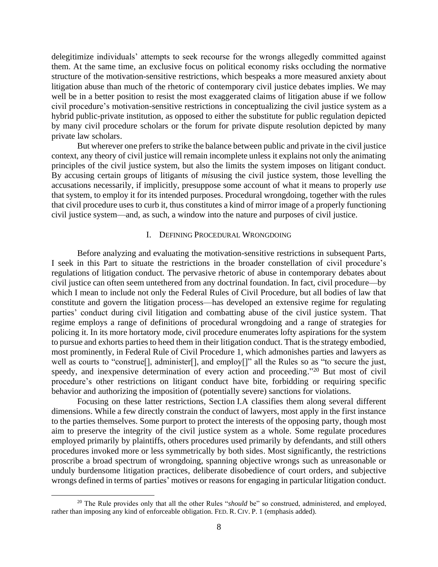delegitimize individuals' attempts to seek recourse for the wrongs allegedly committed against them. At the same time, an exclusive focus on political economy risks occluding the normative structure of the motivation-sensitive restrictions, which bespeaks a more measured anxiety about litigation abuse than much of the rhetoric of contemporary civil justice debates implies. We may well be in a better position to resist the most exaggerated claims of litigation abuse if we follow civil procedure's motivation-sensitive restrictions in conceptualizing the civil justice system as a hybrid public-private institution, as opposed to either the substitute for public regulation depicted by many civil procedure scholars or the forum for private dispute resolution depicted by many private law scholars.

But wherever one prefers to strike the balance between public and private in the civil justice context, any theory of civil justice will remain incomplete unless it explains not only the animating principles of the civil justice system, but also the limits the system imposes on litigant conduct. By accusing certain groups of litigants of *mis*using the civil justice system, those levelling the accusations necessarily, if implicitly, presuppose some account of what it means to properly *use* that system, to employ it for its intended purposes. Procedural wrongdoing, together with the rules that civil procedure uses to curb it, thus constitutes a kind of mirror image of a properly functioning civil justice system—and, as such, a window into the nature and purposes of civil justice.

#### I. DEFINING PROCEDURAL WRONGDOING

<span id="page-7-0"></span>Before analyzing and evaluating the motivation-sensitive restrictions in subsequent Parts, I seek in this Part to situate the restrictions in the broader constellation of civil procedure's regulations of litigation conduct. The pervasive rhetoric of abuse in contemporary debates about civil justice can often seem untethered from any doctrinal foundation. In fact, civil procedure—by which I mean to include not only the Federal Rules of Civil Procedure, but all bodies of law that constitute and govern the litigation process—has developed an extensive regime for regulating parties' conduct during civil litigation and combatting abuse of the civil justice system. That regime employs a range of definitions of procedural wrongdoing and a range of strategies for policing it. In its more hortatory mode, civil procedure enumerates lofty aspirations for the system to pursue and exhorts parties to heed them in their litigation conduct. That is the strategy embodied, most prominently, in Federal Rule of Civil Procedure 1, which admonishes parties and lawyers as well as courts to "construe<sup>[]</sup>, administer<sup>[]</sup>, and employ<sup>[]"</sup> all the Rules so as "to secure the just, speedy, and inexpensive determination of every action and proceeding."<sup>20</sup> But most of civil procedure's other restrictions on litigant conduct have bite, forbidding or requiring specific behavior and authorizing the imposition of (potentially severe) sanctions for violations.

Focusing on these latter restrictions, Section I.A classifies them along several different dimensions. While a few directly constrain the conduct of lawyers, most apply in the first instance to the parties themselves. Some purport to protect the interests of the opposing party, though most aim to preserve the integrity of the civil justice system as a whole. Some regulate procedures employed primarily by plaintiffs, others procedures used primarily by defendants, and still others procedures invoked more or less symmetrically by both sides. Most significantly, the restrictions proscribe a broad spectrum of wrongdoing, spanning objective wrongs such as unreasonable or unduly burdensome litigation practices, deliberate disobedience of court orders, and subjective wrongs defined in terms of parties' motives or reasons for engaging in particular litigation conduct.

<sup>&</sup>lt;sup>20</sup> The Rule provides only that all the other Rules "*should* be" so construed, administered, and employed, rather than imposing any kind of enforceable obligation. FED. R. CIV. P. 1 (emphasis added).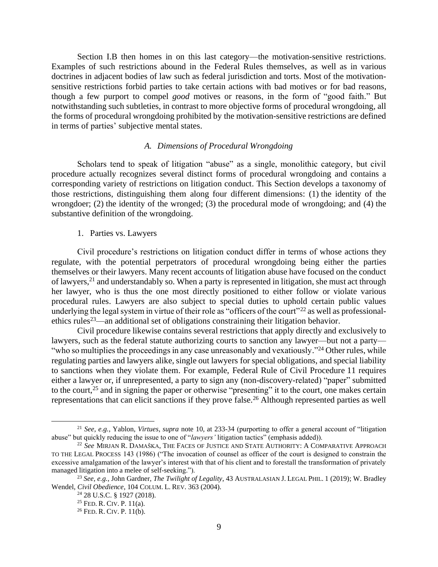Section I.B then homes in on this last category—the motivation-sensitive restrictions. Examples of such restrictions abound in the Federal Rules themselves, as well as in various doctrines in adjacent bodies of law such as federal jurisdiction and torts. Most of the motivationsensitive restrictions forbid parties to take certain actions with bad motives or for bad reasons, though a few purport to compel *good* motives or reasons, in the form of "good faith." But notwithstanding such subtleties, in contrast to more objective forms of procedural wrongdoing, all the forms of procedural wrongdoing prohibited by the motivation-sensitive restrictions are defined in terms of parties' subjective mental states.

### *A. Dimensions of Procedural Wrongdoing*

<span id="page-8-0"></span>Scholars tend to speak of litigation "abuse" as a single, monolithic category, but civil procedure actually recognizes several distinct forms of procedural wrongdoing and contains a corresponding variety of restrictions on litigation conduct. This Section develops a taxonomy of those restrictions, distinguishing them along four different dimensions: (1) the identity of the wrongdoer; (2) the identity of the wronged; (3) the procedural mode of wrongdoing; and (4) the substantive definition of the wrongdoing.

1. Parties vs. Lawyers

<span id="page-8-1"></span>Civil procedure's restrictions on litigation conduct differ in terms of whose actions they regulate, with the potential perpetrators of procedural wrongdoing being either the parties themselves or their lawyers. Many recent accounts of litigation abuse have focused on the conduct of lawyers,<sup>21</sup> and understandably so. When a party is represented in litigation, she must act through her lawyer, who is thus the one most directly positioned to either follow or violate various procedural rules. Lawyers are also subject to special duties to uphold certain public values underlying the legal system in virtue of their role as "officers of the court"<sup>22</sup> as well as professionalethics rules<sup>23</sup>—an additional set of obligations constraining their litigation behavior.

Civil procedure likewise contains several restrictions that apply directly and exclusively to lawyers, such as the federal statute authorizing courts to sanction any lawyer—but not a party— "who so multiplies the proceedings in any case unreasonably and vexatiously."<sup>24</sup> Other rules, while regulating parties and lawyers alike, single out lawyers for special obligations, and special liability to sanctions when they violate them. For example, Federal Rule of Civil Procedure 11 requires either a lawyer or, if unrepresented, a party to sign any (non-discovery-related) "paper" submitted to the court,<sup>25</sup> and in signing the paper or otherwise "presenting" it to the court, one makes certain representations that can elicit sanctions if they prove false. <sup>26</sup> Although represented parties as well

<sup>21</sup> *See, e.g.*, Yablon, *Virtues*, *supra* note [10,](#page-3-0) at 233-34 (purporting to offer a general account of "litigation abuse" but quickly reducing the issue to one of "*lawyers'* litigation tactics" (emphasis added)).

<sup>22</sup> *See* MIRJAN R. DAMAŠKA, THE FACES OF JUSTICE AND STATE AUTHORITY: A COMPARATIVE APPROACH TO THE LEGAL PROCESS 143 (1986) ("The invocation of counsel as officer of the court is designed to constrain the excessive amalgamation of the lawyer's interest with that of his client and to forestall the transformation of privately managed litigation into a melee of self-seeking.").

<sup>23</sup> *See, e.g.*, John Gardner, *The Twilight of Legality*, 43 AUSTRALASIAN J. LEGAL PHIL. 1 (2019); W. Bradley Wendel, *Civil Obedience*, 104 COLUM. L. REV. 363 (2004).

<sup>24</sup> 28 U.S.C. § 1927 (2018).

<sup>25</sup> FED. R. CIV.P. 11(a).

 $26$  FED. R. CIV. P. 11(b).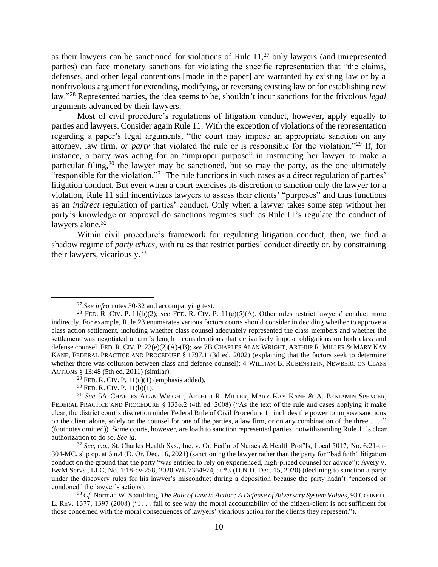as their lawyers can be sanctioned for violations of Rule  $11<sup>,27</sup>$  only lawyers (and unrepresented parties) can face monetary sanctions for violating the specific representation that "the claims, defenses, and other legal contentions [made in the paper] are warranted by existing law or by a nonfrivolous argument for extending, modifying, or reversing existing law or for establishing new law."<sup>28</sup> Represented parties, the idea seems to be, shouldn't incur sanctions for the frivolous *legal* arguments advanced by their lawyers.

<span id="page-9-2"></span><span id="page-9-0"></span>Most of civil procedure's regulations of litigation conduct, however, apply equally to parties and lawyers. Consider again Rule 11. With the exception of violations of the representation regarding a paper's legal arguments, "the court may impose an appropriate sanction on any attorney, law firm, *or party* that violated the rule or is responsible for the violation."<sup>29</sup> If, for instance, a party was acting for an "improper purpose" in instructing her lawyer to make a particular filing,<sup>30</sup> the lawyer may be sanctioned, but so may the party, as the one ultimately "responsible for the violation."<sup>31</sup> The rule functions in such cases as a direct regulation of parties' litigation conduct. But even when a court exercises its discretion to sanction only the lawyer for a violation, Rule 11 still incentivizes lawyers to assess their clients' "purposes" and thus functions as an *indirect* regulation of parties' conduct. Only when a lawyer takes some step without her party's knowledge or approval do sanctions regimes such as Rule 11's regulate the conduct of lawyers alone.<sup>32</sup>

<span id="page-9-1"></span>Within civil procedure's framework for regulating litigation conduct, then, we find a shadow regime of *party ethics*, with rules that restrict parties' conduct directly or, by constraining their lawyers, vicariously. 33

<sup>33</sup> *Cf.* Norman W. Spaulding, *The Rule of Law in Action: A Defense of Adversary System Values*, 93 CORNELL L. REV. 1377, 1397 (2008) ("I . . . fail to see why the moral accountability of the citizen-client is not sufficient for those concerned with the moral consequences of lawyers' vicarious action for the clients they represent.").

<sup>27</sup> *See infra* notes [30](#page-9-0)[-32](#page-9-1) and accompanying text.

<sup>&</sup>lt;sup>28</sup> FED. R. CIV. P. 11(b)(2); see FED. R. CIV. P. 11(c)(5)(A). Other rules restrict lawyers' conduct more indirectly. For example, Rule 23 enumerates various factors courts should consider in deciding whether to approve a class action settlement, including whether class counsel adequately represented the class members and whether the settlement was negotiated at arm's length—considerations that derivatively impose obligations on both class and defense counsel. FED. R. CIV.P. 23(e)(2)(A)-(B); *see* 7B CHARLES ALAN WRIGHT, ARTHUR R. MILLER & MARY KAY KANE, FEDERAL PRACTICE AND PROCEDURE § 1797.1 (3d ed. 2002) (explaining that the factors seek to determine whether there was collusion between class and defense counsel); 4 WILLIAM B. RUBENSTEIN, NEWBERG ON CLASS ACTIONS § 13:48 (5th ed. 2011) (similar).

<sup>&</sup>lt;sup>29</sup> FED. R. CIV. P.  $11(c)(1)$  (emphasis added).

 $30$  FED. R. CIV. P.  $11(b)(1)$ .

<sup>31</sup> *See* 5A CHARLES ALAN WRIGHT, ARTHUR R. MILLER, MARY KAY KANE & A. BENJAMIN SPENCER, FEDERAL PRACTICE AND PROCEDURE § 1336.2 (4th ed. 2008) ("As the text of the rule and cases applying it make clear, the district court's discretion under Federal Rule of Civil Procedure 11 includes the power to impose sanctions on the client alone, solely on the counsel for one of the parties, a law firm, or on any combination of the three  $\dots$ ." (footnotes omitted)). Some courts, however, are loath to sanction represented parties, notwithstanding Rule 11's clear authorization to do so. *See id.*

<sup>32</sup> *See, e.g.*, St. Charles Health Sys., Inc. v. Or. Fed'n of Nurses & Health Prof'ls, Local 5017, No. 6:21-cr-304-MC, slip op. at 6 n.4 (D. Or. Dec. 16, 2021) (sanctioning the lawyer rather than the party for "bad faith" litigation conduct on the ground that the party "was entitled to rely on experienced, high-priced counsel for advice"); Avery v. E&M Servs., LLC, No. 1:18-cv-258, 2020 WL 7364974, at \*3 (D.N.D. Dec. 15, 2020) (declining to sanction a party under the discovery rules for his lawyer's misconduct during a deposition because the party hadn't "endorsed or condoned" the lawyer's actions).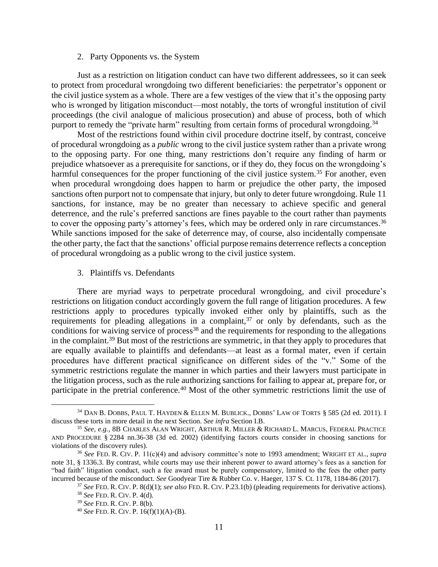### <span id="page-10-3"></span>2. Party Opponents vs. the System

<span id="page-10-0"></span>Just as a restriction on litigation conduct can have two different addressees, so it can seek to protect from procedural wrongdoing two different beneficiaries: the perpetrator's opponent or the civil justice system as a whole. There are a few vestiges of the view that it's the opposing party who is wronged by litigation misconduct—most notably, the torts of wrongful institution of civil proceedings (the civil analogue of malicious prosecution) and abuse of process, both of which purport to remedy the "private harm" resulting from certain forms of procedural wrongdoing.<sup>34</sup>

Most of the restrictions found within civil procedure doctrine itself, by contrast, conceive of procedural wrongdoing as a *public* wrong to the civil justice system rather than a private wrong to the opposing party. For one thing, many restrictions don't require any finding of harm or prejudice whatsoever as a prerequisite for sanctions, or if they do, they focus on the wrongdoing's harmful consequences for the proper functioning of the civil justice system.<sup>35</sup> For another, even when procedural wrongdoing does happen to harm or prejudice the other party, the imposed sanctions often purport not to compensate that injury, but only to deter future wrongdoing. Rule 11 sanctions, for instance, may be no greater than necessary to achieve specific and general deterrence, and the rule's preferred sanctions are fines payable to the court rather than payments to cover the opposing party's attorney's fees, which may be ordered only in rare circumstances.<sup>36</sup> While sanctions imposed for the sake of deterrence may, of course, also incidentally compensate the other party, the fact that the sanctions' official purpose remains deterrence reflects a conception of procedural wrongdoing as a public wrong to the civil justice system.

### <span id="page-10-2"></span>3. Plaintiffs vs. Defendants

<span id="page-10-1"></span>There are myriad ways to perpetrate procedural wrongdoing, and civil procedure's restrictions on litigation conduct accordingly govern the full range of litigation procedures. A few restrictions apply to procedures typically invoked either only by plaintiffs, such as the requirements for pleading allegations in a complaint,<sup>37</sup> or only by defendants, such as the conditions for waiving service of process<sup>38</sup> and the requirements for responding to the allegations in the complaint.<sup>39</sup> But most of the restrictions are symmetric, in that they apply to procedures that are equally available to plaintiffs and defendants—at least as a formal mater, even if certain procedures have different practical significance on different sides of the "v." Some of the symmetric restrictions regulate the manner in which parties and their lawyers must participate in the litigation process, such as the rule authorizing sanctions for failing to appear at, prepare for, or participate in the pretrial conference.<sup>40</sup> Most of the other symmetric restrictions limit the use of

<sup>34</sup> DAN B. DOBBS, PAUL T. HAYDEN & ELLEN M. BUBLICK., DOBBS' LAW OF TORTS § 585 (2d ed. 2011). I discuss these torts in more detail in the next Section. *See infra* Section I.B.

<sup>35</sup> *See, e.g.*, 8B CHARLES ALAN WRIGHT, ARTHUR R. MILLER & RICHARD L. MARCUS, FEDERAL PRACTICE AND PROCEDURE § 2284 nn.36-38 (3d ed. 2002) (identifying factors courts consider in choosing sanctions for violations of the discovery rules).

<sup>36</sup> *See* FED. R. CIV. P. 11(c)(4) and advisory committee's note to 1993 amendment; WRIGHT ET AL., *supra* note [31,](#page-9-2) § 1336.3. By contrast, while courts may use their inherent power to award attorney's fees as a sanction for "bad faith" litigation conduct, such a fee award must be purely compensatory, limited to the fees the other party incurred because of the misconduct. *See* Goodyear Tire & Rubber Co. v. Haeger, 137 S. Ct. 1178, 1184-86 (2017).

<sup>37</sup> *See* FED. R. CIV.P. 8(d)(1); *see also* FED. R. CIV.P.23.1(b) (pleading requirements for derivative actions).

<sup>38</sup> *See* FED. R. CIV.P. 4(d).

<sup>39</sup> *See* FED. R. CIV.P. 8(b).

<sup>40</sup> *See* FED. R. CIV.P. 16(f)(1)(A)-(B).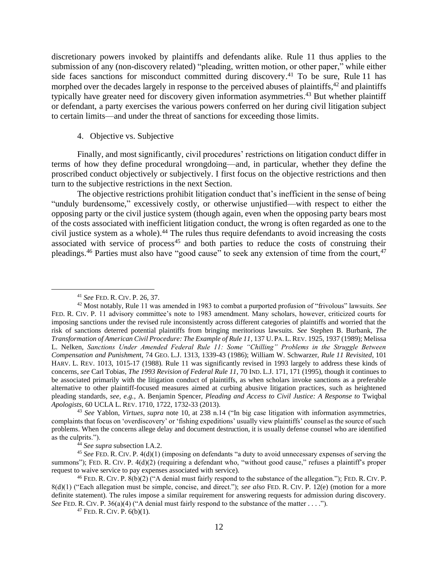discretionary powers invoked by plaintiffs and defendants alike. Rule 11 thus applies to the submission of any (non-discovery related) "pleading, written motion, or other paper," while either side faces sanctions for misconduct committed during discovery.<sup>41</sup> To be sure, Rule 11 has morphed over the decades largely in response to the perceived abuses of plaintiffs,<sup>42</sup> and plaintiffs typically have greater need for discovery given information asymmetries.<sup>43</sup> But whether plaintiff or defendant, a party exercises the various powers conferred on her during civil litigation subject to certain limits—and under the threat of sanctions for exceeding those limits.

## 4. Objective vs. Subjective

<span id="page-11-0"></span>Finally, and most significantly, civil procedures' restrictions on litigation conduct differ in terms of how they define procedural wrongdoing—and, in particular, whether they define the proscribed conduct objectively or subjectively. I first focus on the objective restrictions and then turn to the subjective restrictions in the next Section.

The objective restrictions prohibit litigation conduct that's inefficient in the sense of being "unduly burdensome," excessively costly, or otherwise unjustified—with respect to either the opposing party or the civil justice system (though again, even when the opposing party bears most of the costs associated with inefficient litigation conduct, the wrong is often regarded as one to the civil justice system as a whole). <sup>44</sup> The rules thus require defendants to avoid increasing the costs associated with service of process<sup>45</sup> and both parties to reduce the costs of construing their pleadings.<sup>46</sup> Parties must also have "good cause" to seek any extension of time from the court,<sup>47</sup>

<sup>44</sup> *See supra* subsection I.A.2.

<sup>41</sup> *See* FED. R. CIV.P. 26, 37.

<sup>42</sup> Most notably, Rule 11 was amended in 1983 to combat a purported profusion of "frivolous" lawsuits. *See* FED. R. CIV. P. 11 advisory committee's note to 1983 amendment. Many scholars, however, criticized courts for imposing sanctions under the revised rule inconsistently across different categories of plaintiffs and worried that the risk of sanctions deterred potential plaintiffs from bringing meritorious lawsuits. *See* Stephen B. Burbank, *The Transformation of American Civil Procedure: The Example of Rule 11*, 137 U.PA.L. REV. 1925, 1937 (1989); Melissa L. Nelken, *Sanctions Under Amended Federal Rule 11: Some "Chilling" Problems in the Struggle Between Compensation and Punishmen*t, 74 GEO. L.J. 1313, 1339-43 (1986); William W. Schwarzer, *Rule 11 Revisited*, 101 HARV. L. REV. 1013, 1015-17 (1988). Rule 11 was significantly revised in 1993 largely to address these kinds of concerns, *see* Carl Tobias, *The 1993 Revision of Federal Rule 11*, 70 IND. L.J. 171, 171 (1995), though it continues to be associated primarily with the litigation conduct of plaintiffs, as when scholars invoke sanctions as a preferable alternative to other plaintiff-focused measures aimed at curbing abusive litigation practices, such as heightened pleading standards, *see, e.g.*, A. Benjamin Spencer, *Pleading and Access to Civil Justice: A Response to* Twiqbal *Apologists*, 60 UCLA L. REV. 1710, 1722, 1732-33 (2013).

<sup>43</sup> *See* Yablon, *Virtues*, *supra* note [10,](#page-3-0) at 238 n.14 ("In big case litigation with information asymmetries, complaints that focus on 'overdiscovery' or 'fishing expeditions' usually view plaintiffs' counsel as the source of such problems. When the concerns allege delay and document destruction, it is usually defense counsel who are identified as the culprits.").

<sup>45</sup> *See* FED. R. CIV.P. 4(d)(1) (imposing on defendants "a duty to avoid unnecessary expenses of serving the summons"); FED. R. CIV. P. 4(d)(2) (requiring a defendant who, "without good cause," refuses a plaintiff's proper request to waive service to pay expenses associated with service).

<sup>&</sup>lt;sup>46</sup> FED. R. CIV. P.  $\frac{8(b)(2)}{b}$  ("A denial must fairly respond to the substance of the allegation."); FED. R. CIV. P. 8(d)(1) ("Each allegation must be simple, concise, and direct."); *see also* FED. R. CIV. P. 12(e) (motion for a more definite statement). The rules impose a similar requirement for answering requests for admission during discovery. *See* FED. R. CIV. P. 36(a)(4) ("A denial must fairly respond to the substance of the matter . . . .").

 $47$  FED. R. CIV. P.  $6(b)(1)$ .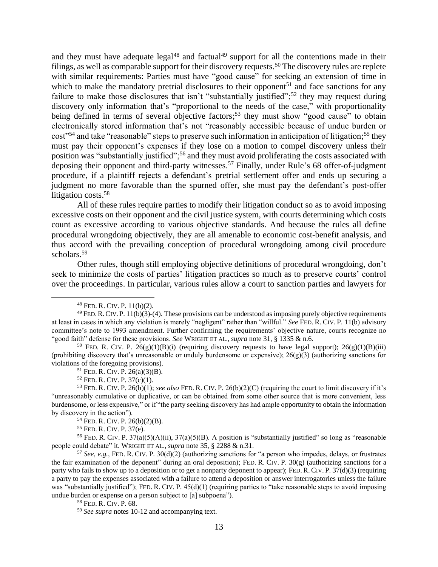and they must have adequate legal<sup>48</sup> and factual<sup>49</sup> support for all the contentions made in their filings, as well as comparable support for their discovery requests.<sup>50</sup> The discovery rules are replete with similar requirements: Parties must have "good cause" for seeking an extension of time in which to make the mandatory pretrial disclosures to their opponent<sup>51</sup> and face sanctions for any failure to make those disclosures that isn't "substantially justified";<sup>52</sup> they may request during discovery only information that's "proportional to the needs of the case," with proportionality being defined in terms of several objective factors;<sup>53</sup> they must show "good cause" to obtain electronically stored information that's not "reasonably accessible because of undue burden or cost"<sup>54</sup> and take "reasonable" steps to preserve such information in anticipation of litigation;<sup>55</sup> they must pay their opponent's expenses if they lose on a motion to compel discovery unless their position was "substantially justified";<sup>56</sup> and they must avoid proliferating the costs associated with deposing their opponent and third-party witnesses. <sup>57</sup> Finally, under Rule's 68 offer-of-judgment procedure, if a plaintiff rejects a defendant's pretrial settlement offer and ends up securing a judgment no more favorable than the spurned offer, she must pay the defendant's post-offer litigation costs. 58

All of these rules require parties to modify their litigation conduct so as to avoid imposing excessive costs on their opponent and the civil justice system, with courts determining which costs count as excessive according to various objective standards. And because the rules all define procedural wrongdoing objectively, they are all amenable to economic cost-benefit analysis, and thus accord with the prevailing conception of procedural wrongdoing among civil procedure scholars.<sup>59</sup>

Other rules, though still employing objective definitions of procedural wrongdoing, don't seek to minimize the costs of parties' litigation practices so much as to preserve courts' control over the proceedings. In particular, various rules allow a court to sanction parties and lawyers for

<sup>55</sup> FED. R. CIV.P. 37(e).

<sup>56</sup> FED. R. CIV. P.  $37(a)(5)(A)(ii)$ ,  $37(a)(5)(B)$ . A position is "substantially justified" so long as "reasonable" people could debate" it. WRIGHT ET AL., *supra* note [35,](#page-10-2) § 2288 & n.31.

<sup>57</sup> *See, e.g.*, FED. R. CIV. P. 30(d)(2) (authorizing sanctions for "a person who impedes, delays, or frustrates the fair examination of the deponent" during an oral deposition); FED. R. CIV. P.  $30(g)$  (authorizing sanctions for a party who fails to show up to a deposition or to get a nonparty deponent to appear); FED. R. CIV.P. 37(d)(3) (requiring a party to pay the expenses associated with a failure to attend a deposition or answer interrogatories unless the failure was "substantially justified"); FED. R. CIV. P. 45(d)(1) (requiring parties to "take reasonable steps to avoid imposing undue burden or expense on a person subject to [a] subpoena").

 $48$  FED. R. CIV. P.  $11(b)(2)$ .

 $^{49}$  FED. R. CIV. P. 11(b)(3)-(4). These provisions can be understood as imposing purely objective requirements at least in cases in which any violation is merely "negligent" rather than "willful." *See* FED. R. CIV.P. 11(b) advisory committee's note to 1993 amendment. Further confirming the requirements' objective nature, courts recognize no "good faith" defense for these provisions. *See* WRIGHT ET AL., *supra* note [31,](#page-9-2) § 1335 & n.6.

<sup>&</sup>lt;sup>50</sup> FED. R. CIV. P.  $26(g)(1)(B)(i)$  (requiring discovery requests to have legal support);  $26(g)(1)(B)(iii)$ (prohibiting discovery that's unreasonable or unduly burdensome or expensive);  $26(g)(3)$  (authorizing sanctions for violations of the foregoing provisions).

 $51$  FED. R. CIV. P. 26(a)(3)(B).

 $52$  FED. R. CIV. P. 37(c)(1).

<sup>53</sup> FED. R. CIV.P. 26(b)(1); *see also* FED. R. CIV.P. 26(b)(2)(C) (requiring the court to limit discovery if it's "unreasonably cumulative or duplicative, or can be obtained from some other source that is more convenient, less burdensome, or less expensive," or if "the party seeking discovery has had ample opportunity to obtain the information by discovery in the action").

<sup>54</sup> FED. R. CIV.P. 26(b)(2)(B).

<sup>58</sup> FED. R. CIV.P. 68.

<sup>59</sup> *See supra* notes [10](#page-3-0)[-12](#page-3-1) and accompanying text.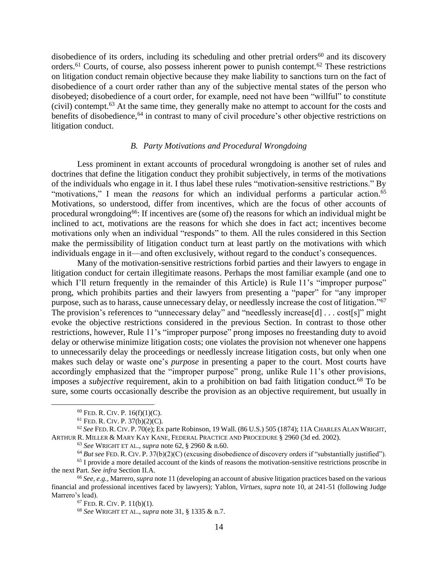disobedience of its orders, including its scheduling and other pretrial orders<sup>60</sup> and its discovery orders.<sup>61</sup> Courts, of course, also possess inherent power to punish contempt.<sup>62</sup> These restrictions on litigation conduct remain objective because they make liability to sanctions turn on the fact of disobedience of a court order rather than any of the subjective mental states of the person who disobeyed; disobedience of a court order, for example, need not have been "willful" to constitute (civil) contempt.<sup>63</sup> At the same time, they generally make no attempt to account for the costs and benefits of disobedience,<sup>64</sup> in contrast to many of civil procedure's other objective restrictions on litigation conduct.

### <span id="page-13-2"></span><span id="page-13-1"></span>*B. Party Motivations and Procedural Wrongdoing*

<span id="page-13-0"></span>Less prominent in extant accounts of procedural wrongdoing is another set of rules and doctrines that define the litigation conduct they prohibit subjectively, in terms of the motivations of the individuals who engage in it. I thus label these rules "motivation-sensitive restrictions." By "motivations," I mean the *reasons* for which an individual performs a particular action.<sup>65</sup> Motivations, so understood, differ from incentives, which are the focus of other accounts of procedural wrongdoing<sup>66</sup>: If incentives are (some of) the reasons for which an individual might be inclined to act, motivations are the reasons for which she does in fact act; incentives become motivations only when an individual "responds" to them. All the rules considered in this Section make the permissibility of litigation conduct turn at least partly on the motivations with which individuals engage in it—and often exclusively, without regard to the conduct's consequences.

Many of the motivation-sensitive restrictions forbid parties and their lawyers to engage in litigation conduct for certain illegitimate reasons. Perhaps the most familiar example (and one to which I'll return frequently in the remainder of this Article) is Rule 11's "improper purpose" prong, which prohibits parties and their lawyers from presenting a "paper" for "any improper purpose, such as to harass, cause unnecessary delay, or needlessly increase the cost of litigation."<sup>67</sup> The provision's references to "unnecessary delay" and "needlessly increase[d] ... cost[s]" might evoke the objective restrictions considered in the previous Section. In contrast to those other restrictions, however, Rule 11's "improper purpose" prong imposes no freestanding duty to avoid delay or otherwise minimize litigation costs; one violates the provision not whenever one happens to unnecessarily delay the proceedings or needlessly increase litigation costs, but only when one makes such delay or waste one's *purpose* in presenting a paper to the court. Most courts have accordingly emphasized that the "improper purpose" prong, unlike Rule 11's other provisions, imposes a *subjective* requirement, akin to a prohibition on bad faith litigation conduct.<sup>68</sup> To be sure, some courts occasionally describe the provision as an objective requirement, but usually in

 $60$  FED. R. CIV. P.  $16(f)(1)(C)$ .

 $61$  FED. R. CIV. P. 37(b)(2)(C).

<sup>62</sup> *See*FED.R.CIV.P. 70(e); Ex parte Robinson, 19 Wall. (86 U.S.) 505 (1874); 11A CHARLES ALAN WRIGHT, ARTHUR R. MILLER & MARY KAY KANE, FEDERAL PRACTICE AND PROCEDURE § 2960 (3d ed. 2002).

<sup>63</sup> *See* WRIGHT ET AL., *supra* not[e 62,](#page-13-1) § 2960 & n.60.

<sup>64</sup> *But see* FED. R. CIV.P. 37(b)(2)(C) (excusing disobedience of discovery orders if "substantially justified").

<sup>&</sup>lt;sup>65</sup> I provide a more detailed account of the kinds of reasons the motivation-sensitive restrictions proscribe in the next Part. *See infra* Section II.A.

<sup>66</sup> *See, e.g.*, Marrero, *supra* not[e 11](#page-3-2) (developing an account of abusive litigation practices based on the various financial and professional incentives faced by lawyers); Yablon, *Virtues*, *supra* note [10,](#page-3-0) at 241-51 (following Judge Marrero's lead).

 $67$  FED. R. CIV. P. 11(b)(1).

<sup>68</sup> *See* WRIGHT ET AL., *supra* not[e 31,](#page-9-2) § 1335 & n.7.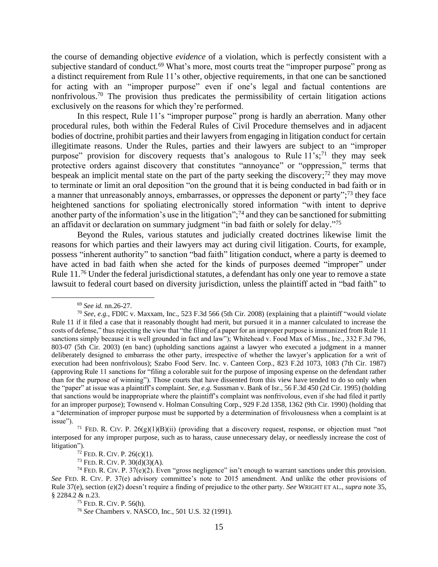<span id="page-14-2"></span>the course of demanding objective *evidence* of a violation, which is perfectly consistent with a subjective standard of conduct.<sup>69</sup> What's more, most courts treat the "improper purpose" prong as a distinct requirement from Rule 11's other, objective requirements, in that one can be sanctioned for acting with an "improper purpose" even if one's legal and factual contentions are nonfrivolous.<sup>70</sup> The provision thus predicates the permissibility of certain litigation actions exclusively on the reasons for which they're performed.

<span id="page-14-0"></span>In this respect, Rule 11's "improper purpose" prong is hardly an aberration. Many other procedural rules, both within the Federal Rules of Civil Procedure themselves and in adjacent bodies of doctrine, prohibit parties and their lawyers from engaging in litigation conduct for certain illegitimate reasons. Under the Rules, parties and their lawyers are subject to an "improper purpose" provision for discovery requests that's analogous to Rule 11's;<sup>71</sup> they may seek protective orders against discovery that constitutes "annoyance" or "oppression," terms that bespeak an implicit mental state on the part of the party seeking the discovery;<sup>72</sup> they may move to terminate or limit an oral deposition "on the ground that it is being conducted in bad faith or in a manner that unreasonably annoys, embarrasses, or oppresses the deponent or party";<sup>73</sup> they face heightened sanctions for spoliating electronically stored information "with intent to deprive another party of the information's use in the litigation";<sup>74</sup> and they can be sanctioned for submitting an affidavit or declaration on summary judgment "in bad faith or solely for delay."<sup>75</sup>

Beyond the Rules, various statutes and judicially created doctrines likewise limit the reasons for which parties and their lawyers may act during civil litigation. Courts, for example, possess "inherent authority" to sanction "bad faith" litigation conduct, where a party is deemed to have acted in bad faith when she acted for the kinds of purposes deemed "improper" under Rule 11.<sup>76</sup> Under the federal jurisdictional statutes, a defendant has only one year to remove a state lawsuit to federal court based on diversity jurisdiction, unless the plaintiff acted in "bad faith" to

<span id="page-14-1"></span><sup>69</sup> *See id.* nn.26-27.

<sup>70</sup> *See, e.g.*, FDIC v. Maxxam, Inc., 523 F.3d 566 (5th Cir. 2008) (explaining that a plaintiff "would violate Rule 11 if it filed a case that it reasonably thought had merit, but pursued it in a manner calculated to increase the costs of defense," thus rejecting the view that "the filing of a paper for an improper purpose is immunized from Rule 11 sanctions simply because it is well grounded in fact and law"); Whitehead v. Food Max of Miss., Inc., 332 F.3d 796, 803-07 (5th Cir. 2003) (en banc) (upholding sanctions against a lawyer who executed a judgment in a manner deliberately designed to embarrass the other party, irrespective of whether the lawyer's application for a writ of execution had been nonfrivolous); Szabo Food Serv. Inc. v. Canteen Corp., 823 F.2d 1073, 1083 (7th Cir. 1987) (approving Rule 11 sanctions for "filing a colorable suit for the purpose of imposing expense on the defendant rather than for the purpose of winning"). Those courts that have dissented from this view have tended to do so only when the "paper" at issue was a plaintiff's complaint. *See, e.g.* Sussman v. Bank of Isr., 56 F.3d 450 (2d Cir. 1995) (holding that sanctions would be inappropriate where the plaintiff's complaint was nonfrivolous, even if she had filed it partly for an improper purpose); Townsend v. Holman Consulting Corp., 929 F.2d 1358, 1362 (9th Cir. 1990) (holding that a "determination of improper purpose must be supported by a determination of frivolousness when a complaint is at issue").

<sup>&</sup>lt;sup>71</sup> FED. R. CIV. P. 26(g)(1)(B)(ii) (providing that a discovery request, response, or objection must "not interposed for any improper purpose, such as to harass, cause unnecessary delay, or needlessly increase the cost of litigation").

 $72$  FED. R. CIV. P. 26(c)(1).

 $73$  Fed. R. CIV. P.  $30(d)(3)(A)$ .

<sup>&</sup>lt;sup>74</sup> FED. R. CIV. P. 37(e)(2). Even "gross negligence" isn't enough to warrant sanctions under this provision. *See* FED. R. CIV. P. 37(e) advisory committee's note to 2015 amendment. And unlike the other provisions of Rule 37(e), section (e)(2) doesn't require a finding of prejudice to the other party. *See* WRIGHT ET AL., *supra* not[e 35,](#page-10-2) § 2284.2 & n.23.

<sup>75</sup> FED. R. CIV.P. 56(h).

<sup>76</sup> *See* Chambers v. NASCO, Inc., 501 U.S. 32 (1991).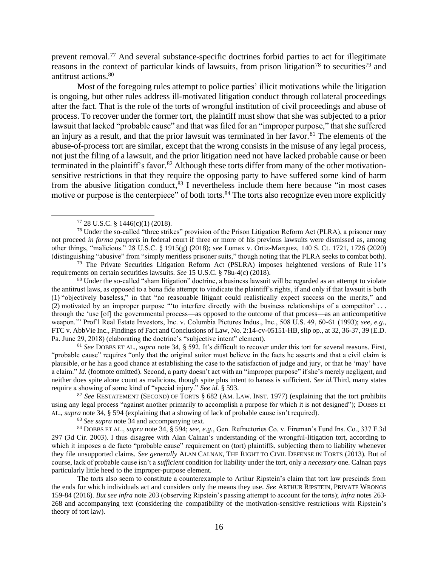<span id="page-15-0"></span>prevent removal.<sup>77</sup> And several substance-specific doctrines forbid parties to act for illegitimate reasons in the context of particular kinds of lawsuits, from prison litigation<sup>78</sup> to securities<sup>79</sup> and antitrust actions. 80

Most of the foregoing rules attempt to police parties' illicit motivations while the litigation is ongoing, but other rules address ill-motivated litigation conduct through collateral proceedings after the fact. That is the role of the torts of wrongful institution of civil proceedings and abuse of process. To recover under the former tort, the plaintiff must show that she was subjected to a prior lawsuit that lacked "probable cause" and that was filed for an "improper purpose," that she suffered an injury as a result, and that the prior lawsuit was terminated in her favor.<sup>81</sup> The elements of the abuse-of-process tort are similar, except that the wrong consists in the misuse of any legal process, not just the filing of a lawsuit, and the prior litigation need not have lacked probable cause or been terminated in the plaintiff's favor.<sup>82</sup> Although these torts differ from many of the other motivationsensitive restrictions in that they require the opposing party to have suffered some kind of harm from the abusive litigation conduct, <sup>83</sup> I nevertheless include them here because "in most cases motive or purpose is the centerpiece" of both torts.<sup>84</sup> The torts also recognize even more explicitly

<sup>78</sup> Under the so-called "three strikes" provision of the Prison Litigation Reform Act (PLRA), a prisoner may not proceed *in forma pauperis* in federal court if three or more of his previous lawsuits were dismissed as, among other things, "malicious." 28 U.S.C. § 1915(g) (2018); *see* Lomax v. Ortiz-Marquez, 140 S. Ct. 1721, 1726 (2020) (distinguishing "abusive" from "simply meritless prisoner suits," though noting that the PLRA seeks to combat both).

<sup>79</sup> The Private Securities Litigation Reform Act (PSLRA) imposes heightened versions of Rule 11's requirements on certain securities lawsuits. *See* 15 U.S.C. § 78u-4(c) (2018).

<sup>80</sup> Under the so-called "sham litigation" doctrine, a business lawsuit will be regarded as an attempt to violate the antitrust laws, as opposed to a bona fide attempt to vindicate the plaintiff's rights, if and only if that lawsuit is both (1) "objectively baseless," in that "no reasonable litigant could realistically expect success on the merits," and (2) motivated by an improper purpose "'to interfere directly with the business relationships of a competitor' . . . through the 'use [of] the governmental process—as opposed to the outcome of that process—as an anticompetitive weapon.'" Prof'l Real Estate Investors, Inc. v. Columbia Pictures Indus., Inc., 508 U.S. 49, 60-61 (1993); *see, e.g.*, FTC v. AbbVie Inc., Findings of Fact and Conclusions of Law, No. 2:14-cv-05151-HB, slip op., at 32, 36-37, 39 (E.D. Pa. June 29, 2018) (elaborating the doctrine's "subjective intent" element).

<sup>81</sup> *See* DOBBS ET AL., *supra* note [34,](#page-10-3) § 592. It's difficult to recover under this tort for several reasons. First, "probable cause" requires "only that the original suitor must believe in the facts he asserts and that a civil claim is plausible, or he has a good chance at establishing the case to the satisfaction of judge and jury, or that he 'may' have a claim." *Id.* (footnote omitted). Second, a party doesn't act with an "improper purpose" if she's merely negligent, and neither does spite alone count as malicious, though spite plus intent to harass is sufficient. *See id.*Third, many states require a showing of some kind of "special injury." *See id.* § 593.

<sup>82</sup> *See* RESTATEMENT (SECOND) OF TORTS § 682 (AM. LAW. INST. 1977) (explaining that the tort prohibits using any legal process "against another primarily to accomplish a purpose for which it is not designed"); DOBBS ET AL., *supra* note [34,](#page-10-3) § 594 (explaining that a showing of lack of probable cause isn't required).

<sup>83</sup> *See supra* not[e 34](#page-10-3) and accompanying text.

<sup>84</sup> DOBBS ET AL., *supra* note [34,](#page-10-3) § 594; *see, e.g.*, Gen. Refractories Co. v. Fireman's Fund Ins. Co., 337 F.3d 297 (3d Cir. 2003). I thus disagree with Alan Calnan's understanding of the wrongful-litigation tort, according to which it imposes a de facto "probable cause" requirement on (tort) plaintiffs, subjecting them to liability whenever they file unsupported claims. *See generally* ALAN CALNAN, THE RIGHT TO CIVIL DEFENSE IN TORTS (2013). But of course, lack of probable cause isn't a *sufficient* condition for liability under the tort, only a *necessary* one. Calnan pays particularly little heed to the improper-purpose element.

The torts also seem to constitute a counterexample to Arthur Ripstein's claim that tort law prescinds from the ends for which individuals act and considers only the means they use. *See* ARTHUR RIPSTEIN, PRIVATE WRONGS 159-84 (2016). *But see infra* not[e 203](#page-37-0) (observing Ripstein's passing attempt to account for the torts); *infra* note[s 263-](#page-47-0) [268](#page-47-1) and accompanying text (considering the compatibility of the motivation-sensitive restrictions with Ripstein's theory of tort law).

<span id="page-15-1"></span><sup>77</sup> 28 U.S.C. § 1446(c)(1) (2018).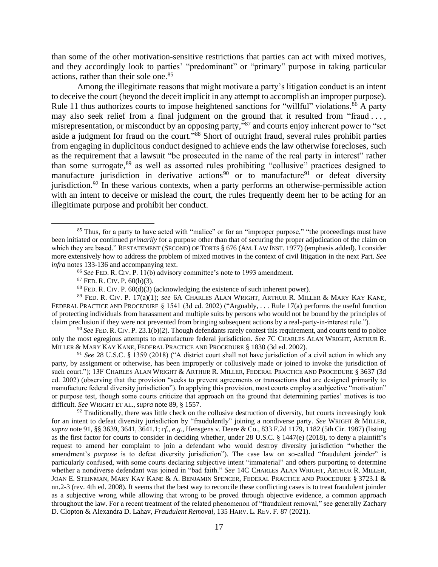than some of the other motivation-sensitive restrictions that parties can act with mixed motives, and they accordingly look to parties' "predominant" or "primary" purpose in taking particular actions, rather than their sole one. 85

<span id="page-16-2"></span>Among the illegitimate reasons that might motivate a party's litigation conduct is an intent to deceive the court (beyond the deceit implicit in any attempt to accomplish an improper purpose). Rule 11 thus authorizes courts to impose heightened sanctions for "willful" violations.<sup>86</sup> A party may also seek relief from a final judgment on the ground that it resulted from "fraud ..., misrepresentation, or misconduct by an opposing party,"<sup>87</sup> and courts enjoy inherent power to "set aside a judgment for fraud on the court."<sup>88</sup> Short of outright fraud, several rules prohibit parties from engaging in duplicitous conduct designed to achieve ends the law otherwise forecloses, such as the requirement that a lawsuit "be prosecuted in the name of the real party in interest" rather than some surrogate,<sup>89</sup> as well as assorted rules prohibiting "collusive" practices designed to manufacture jurisdiction in derivative actions<sup>90</sup> or to manufacture<sup>91</sup> or defeat diversity jurisdiction.<sup>92</sup> In these various contexts, when a party performs an otherwise-permissible action with an intent to deceive or mislead the court, the rules frequently deem her to be acting for an illegitimate purpose and prohibit her conduct.

<sup>90</sup> *See* FED. R. CIV.P. 23.1(b)(2). Though defendants rarely contest this requirement, and courts tend to police only the most egregious attempts to manufacture federal jurisdiction. *See* 7C CHARLES ALAN WRIGHT, ARTHUR R. MILLER & MARY KAY KANE, FEDERAL PRACTICE AND PROCEDURE § 1830 (3d ed. 2002).

<sup>91</sup> *See* 28 U.S.C. § 1359 (2018) ("A district court shall not have jurisdiction of a civil action in which any party, by assignment or otherwise, has been improperly or collusively made or joined to invoke the jurisdiction of such court."); 13F CHARLES ALAN WRIGHT & ARTHUR R. MILLER, FEDERAL PRACTICE AND PROCEDURE § 3637 (3d ed. 2002) (observing that the provision "seeks to prevent agreements or transactions that are designed primarily to manufacture federal diversity jurisdiction"). In applying this provision, most courts employ a subjective "motivation" or purpose test, though some courts criticize that approach on the ground that determining parties' motives is too difficult. *See* WRIGHT ET AL., *supra* note [89,](#page-16-0) § 1557.

 $92$  Traditionally, there was little check on the collusive destruction of diversity, but courts increasingly look for an intent to defeat diversity jurisdiction by "fraudulently" joining a nondiverse party. *See* WRIGHT & MILLER, *supra* not[e 91,](#page-16-1) §§ 3639, 3641, 3641.1; *cf., e.g.*, Hensgens v. Deere & Co., 833 F.2d 1179, 1182 (5th Cir. 1987) (listing as the first factor for courts to consider in deciding whether, under 28 U.S.C. § 1447(e) (2018), to deny a plaintiff's request to amend her complaint to join a defendant who would destroy diversity jurisdiction "whether the amendment's *purpose* is to defeat diversity jurisdiction"). The case law on so-called "fraudulent joinder" is particularly confused, with some courts declaring subjective intent "immaterial" and others purporting to determine whether a nondiverse defendant was joined in "bad faith." *See* 14C CHARLES ALAN WRIGHT, ARTHUR R. MILLER, JOAN E. STEINMAN, MARY KAY KANE & A. BENJAMIN SPENCER, FEDERAL PRACTICE AND PROCEDURE § 3723.1 & nn.2-3 (rev. 4th ed. 2008). It seems that the best way to reconcile these conflicting cases is to treat fraudulent joinder as a subjective wrong while allowing that wrong to be proved through objective evidence, a common approach throughout the law. For a recent treatment of the related phenomenon of "fraudulent removal," see generally Zachary D. Clopton & Alexandra D. Lahav, *Fraudulent Removal*, 135 HARV. L. REV.F. 87 (2021).

<span id="page-16-0"></span><sup>&</sup>lt;sup>85</sup> Thus, for a party to have acted with "malice" or for an "improper purpose," "the proceedings must have been initiated or continued *primarily* for a purpose other than that of securing the proper adjudication of the claim on which they are based." RESTATEMENT (SECOND) OF TORTS § 676 (AM. LAW INST. 1977) (emphasis added). I consider more extensively how to address the problem of mixed motives in the context of civil litigation in the next Part. *See infra* note[s 133-](#page-23-0)[136](#page-23-1) and accompanying text.

<span id="page-16-1"></span><sup>86</sup> *See* FED. R. CIV.P. 11(b) advisory committee's note to 1993 amendment.

 $87$  FED. R. CIV. P.  $60(b)(3)$ .

 $88$  FED. R. CIV. P.  $60(d)(3)$  (acknowledging the existence of such inherent power).

<sup>89</sup> FED. R. CIV. P. 17(a)(1); *see* 6A CHARLES ALAN WRIGHT, ARTHUR R. MILLER & MARY KAY KANE, FEDERAL PRACTICE AND PROCEDURE § 1541 (3d ed. 2002) ("Arguably, . . . Rule 17(a) performs the useful function of protecting individuals from harassment and multiple suits by persons who would not be bound by the principles of claim preclusion if they were not prevented from bringing subsequent actions by a real-party-in-interest rule.").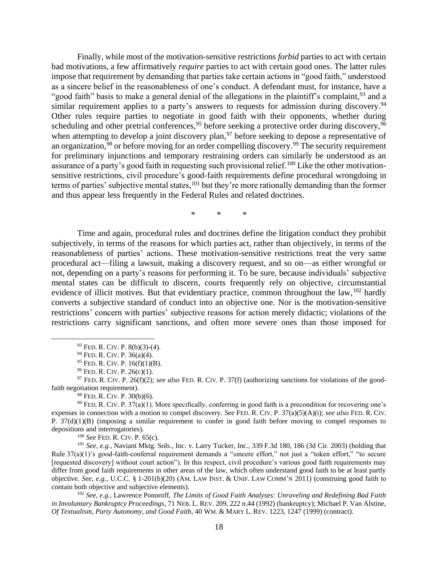Finally, while most of the motivation-sensitive restrictions *forbid* parties to act with certain bad motivations, a few affirmatively *require* parties to act with certain good ones. The latter rules impose that requirement by demanding that parties take certain actions in "good faith," understood as a sincere belief in the reasonableness of one's conduct. A defendant must, for instance, have a "good faith" basis to make a general denial of the allegations in the plaintiff's complaint,<sup>93</sup> and a similar requirement applies to a party's answers to requests for admission during discovery.<sup>94</sup> Other rules require parties to negotiate in good faith with their opponents, whether during scheduling and other pretrial conferences,<sup>95</sup> before seeking a protective order during discovery,<sup>96</sup> when attempting to develop a joint discovery plan,<sup>97</sup> before seeking to depose a representative of an organization, <sup>98</sup> or before moving for an order compelling discovery. <sup>99</sup> The security requirement for preliminary injunctions and temporary restraining orders can similarly be understood as an assurance of a party's good faith in requesting such provisional relief.<sup>100</sup> Like the other motivationsensitive restrictions, civil procedure's good-faith requirements define procedural wrongdoing in terms of parties' subjective mental states, <sup>101</sup> but they're more rationally demanding than the former and thus appear less frequently in the Federal Rules and related doctrines.

<span id="page-17-1"></span><span id="page-17-0"></span>\* \* \*

Time and again, procedural rules and doctrines define the litigation conduct they prohibit subjectively, in terms of the reasons for which parties act, rather than objectively, in terms of the reasonableness of parties' actions. These motivation-sensitive restrictions treat the very same procedural act—filing a lawsuit, making a discovery request, and so on—as either wrongful or not, depending on a party's reasons for performing it. To be sure, because individuals' subjective mental states can be difficult to discern, courts frequently rely on objective, circumstantial evidence of illicit motives. But that evidentiary practice, common throughout the law,  $102$  hardly converts a subjective standard of conduct into an objective one. Nor is the motivation-sensitive restrictions' concern with parties' subjective reasons for action merely didactic; violations of the restrictions carry significant sanctions, and often more severe ones than those imposed for

<sup>100</sup> *See* FED. R. CIV.P. 65(c).

<sup>101</sup> *See, e.g.*, Naviant Mktg. Sols., Inc. v. Larry Tucker, Inc., 339 F.3d 180, 186 (3d Cir. 2003) (holding that Rule 37(a)(1)'s good-faith-conferral requirement demands a "sincere effort," not just a "token effort," "to secure [requested discovery] without court action"). In this respect, civil procedure's various good faith requirements may differ from good faith requirements in other areas of the law, which often understand good faith to be at least partly objective. *See, e.g.*, U.C.C. § 1-201(b)(20) (AM. LAW INST. & UNIF. LAW COMM'N 2011) (construing good faith to contain both objective and subjective elements).

<sup>102</sup> *See, e.g.*, Lawrence Ponoroff, *The Limits of Good Faith Analyses: Unraveling and Redefining Bad Faith in Involuntary Bankruptcy Proceedings*, 71 NEB. L. REV. 209, 222 n.44 (1992) (bankruptcy); Michael P. Van Alstine, *Of Textualism, Party Autonomy, and Good Faith*, 40 WM. & MARY L. REV. 1223, 1247 (1999) (contract).

<sup>93</sup> FED. R. CIV.P. 8(b)(3)-(4).

<sup>&</sup>lt;sup>94</sup> FED. R. CIV. P. 36(a)(4).

 $95$  FED. R. CIV. P. 16(f)(1)(B).

<sup>&</sup>lt;sup>96</sup> FED. R. CIV. P. 26(c)(1).

<sup>97</sup> FED. R. CIV. P. 26(f)(2); *see also* FED. R. CIV. P. 37(f) (authorizing sanctions for violations of the goodfaith negotiation requirement).

<sup>&</sup>lt;sup>98</sup> FED. R. CIV. P. 30(b)(6).

<sup>&</sup>lt;sup>99</sup> FED. R. CIV. P. 37(a)(1). More specifically, conferring in good faith is a precondition for recovering one's expenses in connection with a motion to compel discovery. *See* FED. R. CIV. P. 37(a)(5)(A)(i); *see also* FED. R. CIV. P. 37(d)(1)(B) (imposing a similar requirement to confer in good faith before moving to compel responses to depositions and interrogatories).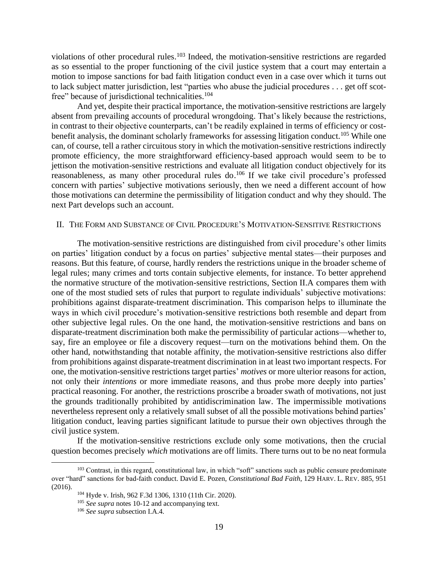<span id="page-18-1"></span>violations of other procedural rules. <sup>103</sup> Indeed, the motivation-sensitive restrictions are regarded as so essential to the proper functioning of the civil justice system that a court may entertain a motion to impose sanctions for bad faith litigation conduct even in a case over which it turns out to lack subject matter jurisdiction, lest "parties who abuse the judicial procedures . . . get off scotfree" because of jurisdictional technicalities.<sup>104</sup>

And yet, despite their practical importance, the motivation-sensitive restrictions are largely absent from prevailing accounts of procedural wrongdoing. That's likely because the restrictions, in contrast to their objective counterparts, can't be readily explained in terms of efficiency or costbenefit analysis, the dominant scholarly frameworks for assessing litigation conduct.<sup>105</sup> While one can, of course, tell a rather circuitous story in which the motivation-sensitive restrictions indirectly promote efficiency, the more straightforward efficiency-based approach would seem to be to jettison the motivation-sensitive restrictions and evaluate all litigation conduct objectively for its reasonableness, as many other procedural rules do.<sup>106</sup> If we take civil procedure's professed concern with parties' subjective motivations seriously, then we need a different account of how those motivations can determine the permissibility of litigation conduct and why they should. The next Part develops such an account.

### <span id="page-18-0"></span>II. THE FORM AND SUBSTANCE OF CIVIL PROCEDURE'S MOTIVATION-SENSITIVE RESTRICTIONS

The motivation-sensitive restrictions are distinguished from civil procedure's other limits on parties' litigation conduct by a focus on parties' subjective mental states—their purposes and reasons. But this feature, of course, hardly renders the restrictions unique in the broader scheme of legal rules; many crimes and torts contain subjective elements, for instance. To better apprehend the normative structure of the motivation-sensitive restrictions, Section II.A compares them with one of the most studied sets of rules that purport to regulate individuals' subjective motivations: prohibitions against disparate-treatment discrimination. This comparison helps to illuminate the ways in which civil procedure's motivation-sensitive restrictions both resemble and depart from other subjective legal rules. On the one hand, the motivation-sensitive restrictions and bans on disparate-treatment discrimination both make the permissibility of particular actions—whether to, say, fire an employee or file a discovery request—turn on the motivations behind them. On the other hand, notwithstanding that notable affinity, the motivation-sensitive restrictions also differ from prohibitions against disparate-treatment discrimination in at least two important respects. For one, the motivation-sensitive restrictions target parties' *motives* or more ulterior reasons for action, not only their *intentions* or more immediate reasons, and thus probe more deeply into parties' practical reasoning. For another, the restrictions proscribe a broader swath of motivations, not just the grounds traditionally prohibited by antidiscrimination law. The impermissible motivations nevertheless represent only a relatively small subset of all the possible motivations behind parties' litigation conduct, leaving parties significant latitude to pursue their own objectives through the civil justice system.

If the motivation-sensitive restrictions exclude only some motivations, then the crucial question becomes precisely *which* motivations are off limits. There turns out to be no neat formula

<sup>&</sup>lt;sup>103</sup> Contrast, in this regard, constitutional law, in which "soft" sanctions such as public censure predominate over "hard" sanctions for bad-faith conduct. David E. Pozen, *Constitutional Bad Faith*, 129 HARV. L. REV. 885, 951 (2016).

<sup>104</sup> Hyde v. Irish, 962 F.3d 1306, 1310 (11th Cir. 2020).

<sup>105</sup> *See supra* note[s 10-](#page-3-0)[12](#page-3-1) and accompanying text.

<sup>106</sup> *See supra* subsection I.A.4.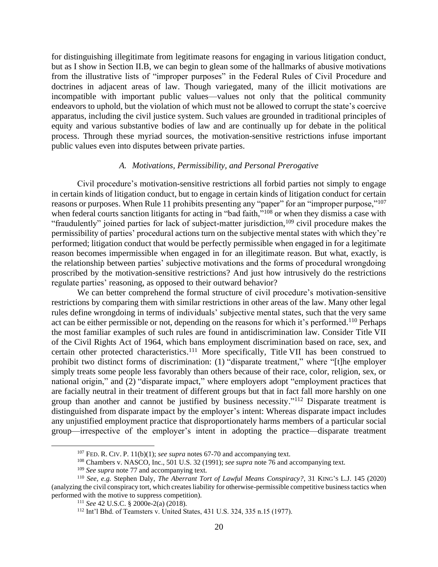for distinguishing illegitimate from legitimate reasons for engaging in various litigation conduct, but as I show in Section II.B, we can begin to glean some of the hallmarks of abusive motivations from the illustrative lists of "improper purposes" in the Federal Rules of Civil Procedure and doctrines in adjacent areas of law. Though variegated, many of the illicit motivations are incompatible with important public values—values not only that the political community endeavors to uphold, but the violation of which must not be allowed to corrupt the state's coercive apparatus, including the civil justice system. Such values are grounded in traditional principles of equity and various substantive bodies of law and are continually up for debate in the political process. Through these myriad sources, the motivation-sensitive restrictions infuse important public values even into disputes between private parties.

## *A. Motivations, Permissibility, and Personal Prerogative*

<span id="page-19-0"></span>Civil procedure's motivation-sensitive restrictions all forbid parties not simply to engage in certain kinds of litigation conduct, but to engage in certain kinds of litigation conduct for certain reasons or purposes. When Rule 11 prohibits presenting any "paper" for an "improper purpose,"<sup>107</sup> when federal courts sanction litigants for acting in "bad faith,"<sup>108</sup> or when they dismiss a case with "fraudulently" joined parties for lack of subject-matter jurisdiction,<sup>109</sup> civil procedure makes the permissibility of parties' procedural actions turn on the subjective mental states with which they're performed; litigation conduct that would be perfectly permissible when engaged in for a legitimate reason becomes impermissible when engaged in for an illegitimate reason. But what, exactly, is the relationship between parties' subjective motivations and the forms of procedural wrongdoing proscribed by the motivation-sensitive restrictions? And just how intrusively do the restrictions regulate parties' reasoning, as opposed to their outward behavior?

We can better comprehend the formal structure of civil procedure's motivation-sensitive restrictions by comparing them with similar restrictions in other areas of the law. Many other legal rules define wrongdoing in terms of individuals' subjective mental states, such that the very same act can be either permissible or not, depending on the reasons for which it's performed.<sup>110</sup> Perhaps the most familiar examples of such rules are found in antidiscrimination law. Consider Title VII of the Civil Rights Act of 1964, which bans employment discrimination based on race, sex, and certain other protected characteristics.<sup>111</sup> More specifically, Title VII has been construed to prohibit two distinct forms of discrimination: (1) "disparate treatment," where "[t]he employer simply treats some people less favorably than others because of their race, color, religion, sex, or national origin," and (2) "disparate impact," where employers adopt "employment practices that are facially neutral in their treatment of different groups but that in fact fall more harshly on one group than another and cannot be justified by business necessity."<sup>112</sup> Disparate treatment is distinguished from disparate impact by the employer's intent: Whereas disparate impact includes any unjustified employment practice that disproportionately harms members of a particular social group—irrespective of the employer's intent in adopting the practice—disparate treatment

<sup>&</sup>lt;sup>107</sup> FED. R. CIV. P. 11(b)(1); *see supra* notes [67](#page-13-2)[-70](#page-14-0) and accompanying text.

<sup>108</sup> Chambers v. NASCO, Inc., 501 U.S. 32 (1991); *see supra* note [76](#page-14-1) and accompanying text.

<sup>109</sup> *See supra* not[e 77](#page-15-0) and accompanying text.

<sup>110</sup> *See, e.g.* Stephen Daly, *The Aberrant Tort of Lawful Means Conspiracy?*, 31 KING'S L.J. 145 (2020) (analyzing the civil conspiracy tort, which creates liability for otherwise-permissible competitive business tactics when performed with the motive to suppress competition).

<sup>111</sup> *See* 42 U.S.C. § 2000e-2(a) (2018).

<sup>112</sup> Int'l Bhd. of Teamsters v. United States, 431 U.S. 324, 335 n.15 (1977).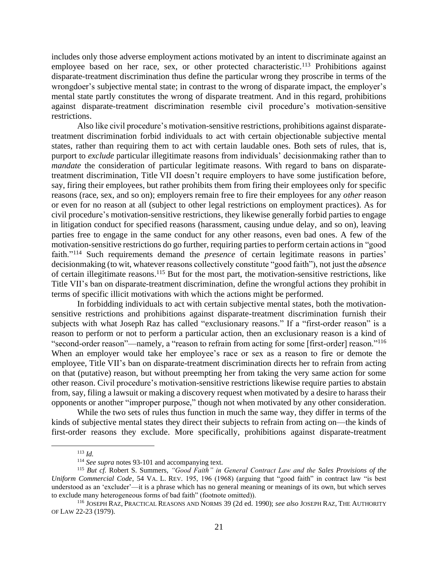includes only those adverse employment actions motivated by an intent to discriminate against an employee based on her race, sex, or other protected characteristic.<sup>113</sup> Prohibitions against disparate-treatment discrimination thus define the particular wrong they proscribe in terms of the wrongdoer's subjective mental state; in contrast to the wrong of disparate impact, the employer's mental state partly constitutes the wrong of disparate treatment. And in this regard, prohibitions against disparate-treatment discrimination resemble civil procedure's motivation-sensitive restrictions.

Also like civil procedure's motivation-sensitive restrictions, prohibitions against disparatetreatment discrimination forbid individuals to act with certain objectionable subjective mental states, rather than requiring them to act with certain laudable ones. Both sets of rules, that is, purport to *exclude* particular illegitimate reasons from individuals' decisionmaking rather than to *mandate* the consideration of particular legitimate reasons. With regard to bans on disparatetreatment discrimination, Title VII doesn't require employers to have some justification before, say, firing their employees, but rather prohibits them from firing their employees only for specific reasons (race, sex, and so on); employers remain free to fire their employees for any *other* reason or even for no reason at all (subject to other legal restrictions on employment practices). As for civil procedure's motivation-sensitive restrictions, they likewise generally forbid parties to engage in litigation conduct for specified reasons (harassment, causing undue delay, and so on), leaving parties free to engage in the same conduct for any other reasons, even bad ones. A few of the motivation-sensitive restrictions do go further, requiring parties to perform certain actions in "good faith."<sup>114</sup> Such requirements demand the *presence* of certain legitimate reasons in parties' decisionmaking (to wit, whatever reasons collectively constitute "good faith"), not just the *absence* of certain illegitimate reasons. <sup>115</sup> But for the most part, the motivation-sensitive restrictions, like Title VII's ban on disparate-treatment discrimination, define the wrongful actions they prohibit in terms of specific illicit motivations with which the actions might be performed.

In forbidding individuals to act with certain subjective mental states, both the motivationsensitive restrictions and prohibitions against disparate-treatment discrimination furnish their subjects with what Joseph Raz has called "exclusionary reasons." If a "first-order reason" is a reason to perform or not to perform a particular action, then an exclusionary reason is a kind of "second-order reason"—namely, a "reason to refrain from acting for some [first-order] reason."<sup>116</sup> When an employer would take her employee's race or sex as a reason to fire or demote the employee, Title VII's ban on disparate-treatment discrimination directs her to refrain from acting on that (putative) reason, but without preempting her from taking the very same action for some other reason. Civil procedure's motivation-sensitive restrictions likewise require parties to abstain from, say, filing a lawsuit or making a discovery request when motivated by a desire to harass their opponents or another "improper purpose," though not when motivated by any other consideration.

While the two sets of rules thus function in much the same way, they differ in terms of the kinds of subjective mental states they direct their subjects to refrain from acting on—the kinds of first-order reasons they exclude. More specifically, prohibitions against disparate-treatment

<sup>113</sup> *Id.*

<sup>114</sup> *See supra* note[s 93-](#page-17-0)[101](#page-17-1) and accompanying text.

<sup>115</sup> *But cf.* Robert S. Summers, *"Good Faith" in General Contract Law and the Sales Provisions of the Uniform Commercial Code*, 54 VA. L. REV. 195, 196 (1968) (arguing that "good faith" in contract law "is best understood as an 'excluder'—it is a phrase which has no general meaning or meanings of its own, but which serves to exclude many heterogeneous forms of bad faith" (footnote omitted)).

<sup>116</sup> JOSEPH RAZ,PRACTICAL REASONS AND NORMS 39 (2d ed. 1990); *see also* JOSEPH RAZ, THE AUTHORITY OF LAW 22-23 (1979).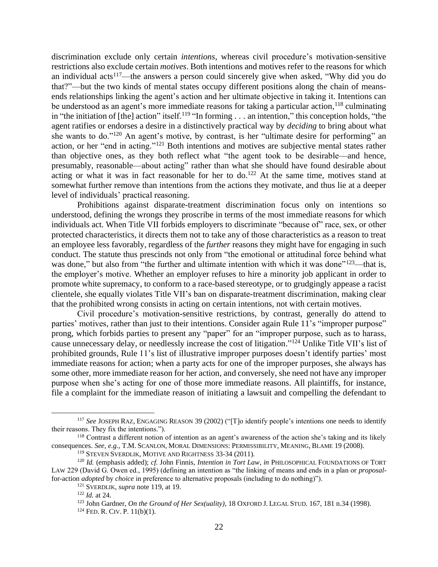<span id="page-21-1"></span><span id="page-21-0"></span>discrimination exclude only certain *intentions*, whereas civil procedure's motivation-sensitive restrictions also exclude certain *motives*. Both intentions and motives refer to the reasons for which an individual acts<sup>117</sup>—the answers a person could sincerely give when asked, "Why did you do that?"—but the two kinds of mental states occupy different positions along the chain of meansends relationships linking the agent's action and her ultimate objective in taking it. Intentions can be understood as an agent's more immediate reasons for taking a particular action, <sup>118</sup> culminating in "the initiation of [the] action" itself.<sup>119</sup> "In forming . . . an intention," this conception holds, "the agent ratifies or endorses a desire in a distinctively practical way by *deciding* to bring about what she wants to do."<sup>120</sup> An agent's motive, by contrast, is her "ultimate desire for performing" an action, or her "end in acting."<sup>121</sup> Both intentions and motives are subjective mental states rather than objective ones, as they both reflect what "the agent took to be desirable—and hence, presumably, reasonable—about acting" rather than what she should have found desirable about acting or what it was in fact reasonable for her to  $d_0$ .<sup>122</sup> At the same time, motives stand at somewhat further remove than intentions from the actions they motivate, and thus lie at a deeper level of individuals' practical reasoning.

Prohibitions against disparate-treatment discrimination focus only on intentions so understood, defining the wrongs they proscribe in terms of the most immediate reasons for which individuals act. When Title VII forbids employers to discriminate "because of" race, sex, or other protected characteristics, it directs them not to take any of those characteristics as a reason to treat an employee less favorably, regardless of the *further* reasons they might have for engaging in such conduct. The statute thus prescinds not only from "the emotional or attitudinal force behind what was done," but also from "the further and ultimate intention with which it was done"<sup>123</sup>—that is, the employer's motive. Whether an employer refuses to hire a minority job applicant in order to promote white supremacy, to conform to a race-based stereotype, or to grudgingly appease a racist clientele, she equally violates Title VII's ban on disparate-treatment discrimination, making clear that the prohibited wrong consists in acting on certain intentions, not with certain motives.

Civil procedure's motivation-sensitive restrictions, by contrast, generally do attend to parties' motives, rather than just to their intentions. Consider again Rule 11's "improper purpose" prong, which forbids parties to present any "paper" for an "improper purpose, such as to harass, cause unnecessary delay, or needlessly increase the cost of litigation."<sup>124</sup> Unlike Title VII's list of prohibited grounds, Rule 11's list of illustrative improper purposes doesn't identify parties' most immediate reasons for action; when a party acts for one of the improper purposes, she always has some other, more immediate reason for her action, and conversely, she need not have any improper purpose when she's acting for one of those more immediate reasons. All plaintiffs, for instance, file a complaint for the immediate reason of initiating a lawsuit and compelling the defendant to

<sup>117</sup> *See* JOSEPH RAZ, ENGAGING REASON 39 (2002) ("[T]o identify people's intentions one needs to identify their reasons. They fix the intentions.").

<sup>&</sup>lt;sup>118</sup> Contrast a different notion of intention as an agent's awareness of the action she's taking and its likely consequences. *See, e.g.*, T.M.SCANLON, MORAL DIMENSIONS: PERMISSIBILITY, MEANING, BLAME 19 (2008).

<sup>119</sup> STEVEN SVERDLIK, MOTIVE AND RIGHTNESS 33-34 (2011).

<sup>120</sup> *Id.* (emphasis added); *cf.* John Finnis, *Intention in Tort Law*, *in* PHILOSOPHICAL FOUNDATIONS OF TORT LAW 229 (David G. Owen ed., 1995) (defining an intention as "the linking of means and ends in a plan or *proposal*for-action *adopted* by *choice* in preference to alternative proposals (including to do nothing)").

<sup>121</sup> SVERDLIK, *supra* note [119,](#page-21-0) at 19.

<sup>122</sup> *Id.* at 24.

<sup>123</sup> John Gardner, *On the Ground of Her Sex(uality)*, 18 OXFORD J. LEGAL STUD. 167, 181 n.34 (1998).  $124$  FED. R. CIV. P. 11(b)(1).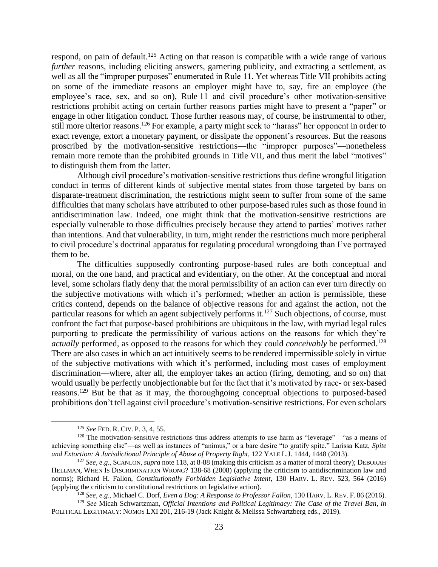respond, on pain of default.<sup>125</sup> Acting on that reason is compatible with a wide range of various *further* reasons, including eliciting answers, garnering publicity, and extracting a settlement, as well as all the "improper purposes" enumerated in Rule 11. Yet whereas Title VII prohibits acting on some of the immediate reasons an employer might have to, say, fire an employee (the employee's race, sex, and so on), Rule 11 and civil procedure's other motivation-sensitive restrictions prohibit acting on certain further reasons parties might have to present a "paper" or engage in other litigation conduct. Those further reasons may, of course, be instrumental to other, still more ulterior reasons.<sup>126</sup> For example, a party might seek to "harass" her opponent in order to exact revenge, extort a monetary payment, or dissipate the opponent's resources. But the reasons proscribed by the motivation-sensitive restrictions—the "improper purposes"—nonetheless remain more remote than the prohibited grounds in Title VII, and thus merit the label "motives" to distinguish them from the latter.

Although civil procedure's motivation-sensitive restrictions thus define wrongful litigation conduct in terms of different kinds of subjective mental states from those targeted by bans on disparate-treatment discrimination, the restrictions might seem to suffer from some of the same difficulties that many scholars have attributed to other purpose-based rules such as those found in antidiscrimination law. Indeed, one might think that the motivation-sensitive restrictions are especially vulnerable to those difficulties precisely because they attend to parties' motives rather than intentions. And that vulnerability, in turn, might render the restrictions much more peripheral to civil procedure's doctrinal apparatus for regulating procedural wrongdoing than I've portrayed them to be.

<span id="page-22-0"></span>The difficulties supposedly confronting purpose-based rules are both conceptual and moral, on the one hand, and practical and evidentiary, on the other. At the conceptual and moral level, some scholars flatly deny that the moral permissibility of an action can ever turn directly on the subjective motivations with which it's performed; whether an action is permissible, these critics contend, depends on the balance of objective reasons for and against the action, not the particular reasons for which an agent subjectively performs it.<sup>127</sup> Such objections, of course, must confront the fact that purpose-based prohibitions are ubiquitous in the law, with myriad legal rules purporting to predicate the permissibility of various actions on the reasons for which they're *actually* performed, as opposed to the reasons for which they could *conceivably* be performed. 128 There are also cases in which an act intuitively seems to be rendered impermissible solely in virtue of the subjective motivations with which it's performed, including most cases of employment discrimination—where, after all, the employer takes an action (firing, demoting, and so on) that would usually be perfectly unobjectionable but for the fact that it's motivated by race- or sex-based reasons.<sup>129</sup> But be that as it may, the thoroughgoing conceptual objections to purposed-based prohibitions don't tell against civil procedure's motivation-sensitive restrictions. For even scholars

<sup>125</sup> *See* FED. R. CIV.P. 3, 4, 55.

 $126$  The motivation-sensitive restrictions thus address attempts to use harm as "leverage"—"as a means of achieving something else"—as well as instances of "animus," or a bare desire "to gratify spite." Larissa Katz, *Spite and Extortion: A Jurisdictional Principle of Abuse of Property Right*, 122 YALE L.J. 1444, 1448 (2013).

<sup>127</sup> *See, e.g.*, SCANLON, *supra* note [118,](#page-21-1) at 8-88 (making this criticism as a matter of moral theory); DEBORAH HELLMAN, WHEN IS DISCRIMINATION WRONG? 138-68 (2008) (applying the criticism to antidiscrimination law and norms); Richard H. Fallon, *Constitutionally Forbidden Legislative Intent*, 130 HARV. L. REV. 523, 564 (2016) (applying the criticism to constitutional restrictions on legislative action).

<sup>128</sup> *See, e.g.*, Michael C. Dorf, *Even a Dog: A Response to Professor Fallon*, 130 HARV. L. REV.F. 86 (2016).

<sup>129</sup> *See* Micah Schwartzman, *Official Intentions and Political Legitimacy: The Case of the Travel Ban*, *in* POLITICAL LEGITIMACY: NOMOS LXI 201, 216-19 (Jack Knight & Melissa Schwartzberg eds., 2019).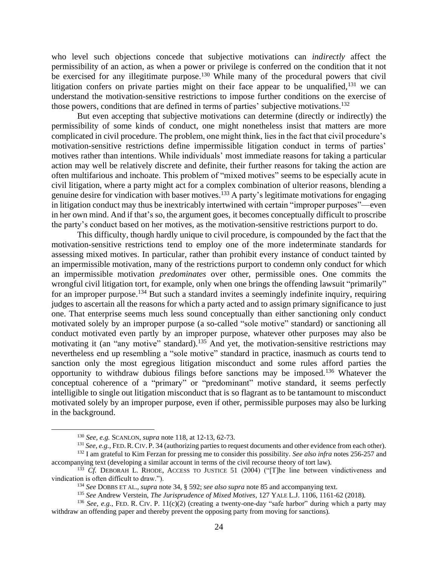who level such objections concede that subjective motivations can *indirectly* affect the permissibility of an action, as when a power or privilege is conferred on the condition that it not be exercised for any illegitimate purpose.<sup>130</sup> While many of the procedural powers that civil litigation confers on private parties might on their face appear to be unqualified, <sup>131</sup> we can understand the motivation-sensitive restrictions to impose further conditions on the exercise of those powers, conditions that are defined in terms of parties' subjective motivations. 132

But even accepting that subjective motivations can determine (directly or indirectly) the permissibility of some kinds of conduct, one might nonetheless insist that matters are more complicated in civil procedure. The problem, one might think, lies in the fact that civil procedure's motivation-sensitive restrictions define impermissible litigation conduct in terms of parties' motives rather than intentions. While individuals' most immediate reasons for taking a particular action may well be relatively discrete and definite, their further reasons for taking the action are often multifarious and inchoate. This problem of "mixed motives" seems to be especially acute in civil litigation, where a party might act for a complex combination of ulterior reasons, blending a genuine desire for vindication with baser motives.<sup>133</sup> A party's legitimate motivations for engaging in litigation conduct may thus be inextricably intertwined with certain "improper purposes"—even in her own mind. And if that's so, the argument goes, it becomes conceptually difficult to proscribe the party's conduct based on her motives, as the motivation-sensitive restrictions purport to do.

<span id="page-23-0"></span>This difficulty, though hardly unique to civil procedure, is compounded by the fact that the motivation-sensitive restrictions tend to employ one of the more indeterminate standards for assessing mixed motives. In particular, rather than prohibit every instance of conduct tainted by an impermissible motivation, many of the restrictions purport to condemn only conduct for which an impermissible motivation *predominates* over other, permissible ones. One commits the wrongful civil litigation tort, for example, only when one brings the offending lawsuit "primarily" for an improper purpose.<sup>134</sup> But such a standard invites a seemingly indefinite inquiry, requiring judges to ascertain all the reasons for which a party acted and to assign primary significance to just one. That enterprise seems much less sound conceptually than either sanctioning only conduct motivated solely by an improper purpose (a so-called "sole motive" standard) or sanctioning all conduct motivated even partly by an improper purpose, whatever other purposes may also be motivating it (an "any motive" standard).<sup>135</sup> And yet, the motivation-sensitive restrictions may nevertheless end up resembling a "sole motive" standard in practice, inasmuch as courts tend to sanction only the most egregious litigation misconduct and some rules afford parties the opportunity to withdraw dubious filings before sanctions may be imposed. <sup>136</sup> Whatever the conceptual coherence of a "primary" or "predominant" motive standard, it seems perfectly intelligible to single out litigation misconduct that is so flagrant as to be tantamount to misconduct motivated solely by an improper purpose, even if other, permissible purposes may also be lurking in the background.

<span id="page-23-1"></span><sup>130</sup> *See, e.g.* SCANLON, *supra* note [118,](#page-21-1) at 12-13, 62-73.

<sup>&</sup>lt;sup>131</sup> *See, e.g.*, FED. R. CIV. P. 34 (authorizing parties to request documents and other evidence from each other).

<sup>&</sup>lt;sup>132</sup> I am grateful to Kim Ferzan for pressing me to consider this possibility. *See also infra* notes [256](#page-46-0)[-257](#page-46-1) and accompanying text (developing a similar account in terms of the civil recourse theory of tort law).

<sup>&</sup>lt;sup>133</sup> *Cf.* DEBORAH L. RHODE, ACCESS TO JUSTICE 51 (2004) ("[T]he line between vindictiveness and vindication is often difficult to draw.").

<sup>134</sup> *See* DOBBS ET AL., *supra* not[e 34,](#page-10-3) § 592; *see also supra* note [85](#page-16-2) and accompanying text.

<sup>135</sup> *See* Andrew Verstein, *The Jurisprudence of Mixed Motives*, 127 YALE L.J. 1106, 1161-62 (2018).

<sup>&</sup>lt;sup>136</sup> See, e.g., FED. R. CIV. P. 11(c)(2) (creating a twenty-one-day "safe harbor" during which a party may withdraw an offending paper and thereby prevent the opposing party from moving for sanctions).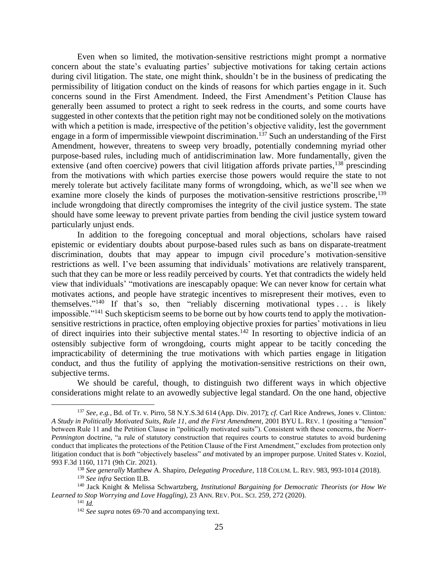Even when so limited, the motivation-sensitive restrictions might prompt a normative concern about the state's evaluating parties' subjective motivations for taking certain actions during civil litigation. The state, one might think, shouldn't be in the business of predicating the permissibility of litigation conduct on the kinds of reasons for which parties engage in it. Such concerns sound in the First Amendment. Indeed, the First Amendment's Petition Clause has generally been assumed to protect a right to seek redress in the courts, and some courts have suggested in other contexts that the petition right may not be conditioned solely on the motivations with which a petition is made, irrespective of the petition's objective validity, lest the government engage in a form of impermissible viewpoint discrimination.<sup>137</sup> Such an understanding of the First Amendment, however, threatens to sweep very broadly, potentially condemning myriad other purpose-based rules, including much of antidiscrimination law. More fundamentally, given the extensive (and often coercive) powers that civil litigation affords private parties,<sup>138</sup> prescinding from the motivations with which parties exercise those powers would require the state to not merely tolerate but actively facilitate many forms of wrongdoing, which, as we'll see when we examine more closely the kinds of purposes the motivation-sensitive restrictions proscribe,<sup>139</sup> include wrongdoing that directly compromises the integrity of the civil justice system. The state should have some leeway to prevent private parties from bending the civil justice system toward particularly unjust ends.

<span id="page-24-1"></span><span id="page-24-0"></span>In addition to the foregoing conceptual and moral objections, scholars have raised epistemic or evidentiary doubts about purpose-based rules such as bans on disparate-treatment discrimination, doubts that may appear to impugn civil procedure's motivation-sensitive restrictions as well. I've been assuming that individuals' motivations are relatively transparent, such that they can be more or less readily perceived by courts. Yet that contradicts the widely held view that individuals' "motivations are inescapably opaque: We can never know for certain what motivates actions, and people have strategic incentives to misrepresent their motives, even to themselves." <sup>140</sup> If that's so, then "reliably discerning motivational types . . . is likely impossible."<sup>141</sup> Such skepticism seems to be borne out by how courts tend to apply the motivationsensitive restrictions in practice, often employing objective proxies for parties' motivations in lieu of direct inquiries into their subjective mental states.<sup>142</sup> In resorting to objective indicia of an ostensibly subjective form of wrongdoing, courts might appear to be tacitly conceding the impracticability of determining the true motivations with which parties engage in litigation conduct, and thus the futility of applying the motivation-sensitive restrictions on their own, subjective terms.

We should be careful, though, to distinguish two different ways in which objective considerations might relate to an avowedly subjective legal standard. On the one hand, objective

<sup>137</sup> *See, e.g.*, Bd. of Tr. v. Pirro, 58 N.Y.S.3d 614 (App. Div. 2017); *cf.* Carl Rice Andrews, Jones v. Clinton*: A Study in Politically Motivated Suits, Rule 11, and the First Amendment*, 2001 BYU L. REV. 1 (positing a "tension" between Rule 11 and the Petition Clause in "politically motivated suits"). Consistent with these concerns, the *Noerr*-*Pennington* doctrine, "a rule of statutory construction that requires courts to construe statutes to avoid burdening conduct that implicates the protections of the Petition Clause of the First Amendment," excludes from protection only litigation conduct that is *both* "objectively baseless" *and* motivated by an improper purpose. United States v. Koziol, 993 F.3d 1160, 1171 (9th Cir. 2021).

<sup>138</sup> *See generally* Matthew A. Shapiro, *Delegating Procedure*, 118 COLUM. L. REV. 983, 993-1014 (2018).

<sup>139</sup> *See infra* Section II.B.

<sup>140</sup> Jack Knight & Melissa Schwartzberg, *Institutional Bargaining for Democratic Theorists (or How We Learned to Stop Worrying and Love Haggling)*, 23 ANN. REV.POL.SCI. 259, 272 (2020).

<sup>141</sup> *Id.*

<sup>&</sup>lt;sup>142</sup> *See supra* note[s 69-](#page-14-2)[70](#page-14-0) and accompanying text.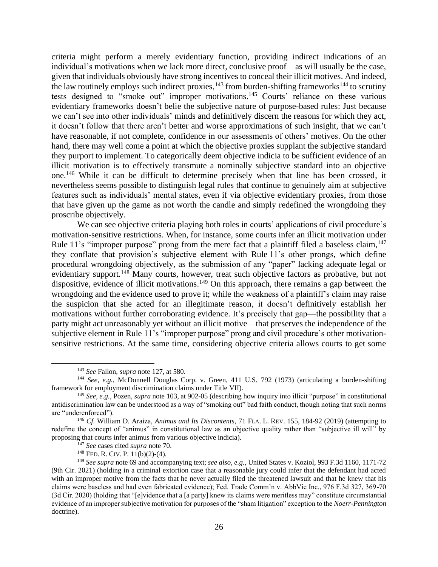criteria might perform a merely evidentiary function, providing indirect indications of an individual's motivations when we lack more direct, conclusive proof—as will usually be the case, given that individuals obviously have strong incentives to conceal their illicit motives. And indeed, the law routinely employs such indirect proxies,  $^{143}$  from burden-shifting frameworks  $^{144}$  to scrutiny tests designed to "smoke out" improper motivations.<sup>145</sup> Courts' reliance on these various evidentiary frameworks doesn't belie the subjective nature of purpose-based rules: Just because we can't see into other individuals' minds and definitively discern the reasons for which they act, it doesn't follow that there aren't better and worse approximations of such insight, that we can't have reasonable, if not complete, confidence in our assessments of others' motives. On the other hand, there may well come a point at which the objective proxies supplant the subjective standard they purport to implement. To categorically deem objective indicia to be sufficient evidence of an illicit motivation is to effectively transmute a nominally subjective standard into an objective one. <sup>146</sup> While it can be difficult to determine precisely when that line has been crossed, it nevertheless seems possible to distinguish legal rules that continue to genuinely aim at subjective features such as individuals' mental states, even if via objective evidentiary proxies, from those that have given up the game as not worth the candle and simply redefined the wrongdoing they proscribe objectively.

<span id="page-25-0"></span>We can see objective criteria playing both roles in courts' applications of civil procedure's motivation-sensitive restrictions. When, for instance, some courts infer an illicit motivation under Rule 11's "improper purpose" prong from the mere fact that a plaintiff filed a baseless claim, <sup>147</sup> they conflate that provision's subjective element with Rule 11's other prongs, which define procedural wrongdoing objectively, as the submission of any "paper" lacking adequate legal or evidentiary support.<sup>148</sup> Many courts, however, treat such objective factors as probative, but not dispositive, evidence of illicit motivations.<sup>149</sup> On this approach, there remains a gap between the wrongdoing and the evidence used to prove it; while the weakness of a plaintiff's claim may raise the suspicion that she acted for an illegitimate reason, it doesn't definitively establish her motivations without further corroborating evidence. It's precisely that gap—the possibility that a party might act unreasonably yet without an illicit motive—that preserves the independence of the subjective element in Rule 11's "improper purpose" prong and civil procedure's other motivationsensitive restrictions. At the same time, considering objective criteria allows courts to get some

<sup>143</sup> *See* Fallon, *supra* not[e 127,](#page-22-0) at 580.

<sup>144</sup> *See, e.g.*, McDonnell Douglas Corp. v. Green, 411 U.S. 792 (1973) (articulating a burden-shifting framework for employment discrimination claims under Title VII).

<sup>145</sup> *See, e.g.*, Pozen, *supra* not[e 103,](#page-18-1) at 902-05 (describing how inquiry into illicit "purpose" in constitutional antidiscrimination law can be understood as a way of "smoking out" bad faith conduct, though noting that such norms are "underenforced").

<sup>146</sup> *Cf.* William D. Araiza, *Animus and Its Discontents*, 71 FLA. L. REV. 155, 184-92 (2019) (attempting to redefine the concept of "animus" in constitutional law as an objective quality rather than "subjective ill will" by proposing that courts infer animus from various objective indicia).

<sup>147</sup> *See* cases cited *supra* not[e 70.](#page-14-0)

 $148$  FED. R. CIV. P.  $11(b)(2)-(4)$ .

<sup>149</sup> *See supra* note [69](#page-14-2) and accompanying text; *see also, e.g.*, United States v. Koziol, 993 F.3d 1160, 1171-72 (9th Cir. 2021) (holding in a criminal extortion case that a reasonable jury could infer that the defendant had acted with an improper motive from the facts that he never actually filed the threatened lawsuit and that he knew that his claims were baseless and had even fabricated evidence); Fed. Trade Comm'n v. AbbVie Inc., 976 F.3d 327, 369-70 (3d Cir. 2020) (holding that "[e]vidence that a [a party] knew its claims were meritless may" constitute circumstantial evidence of an improper subjective motivation for purposes of the "sham litigation" exception to the *Noerr*-*Pennington* doctrine).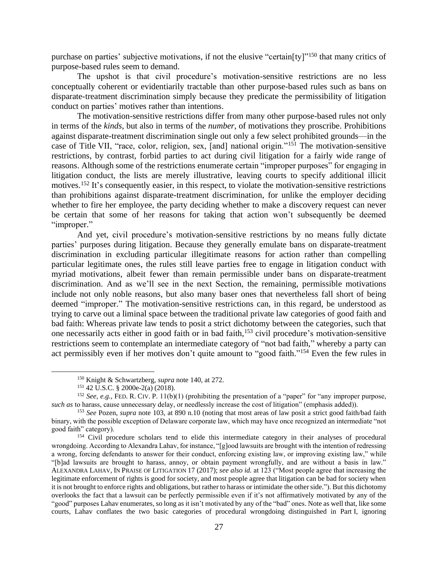purchase on parties' subjective motivations, if not the elusive "certain[ty]"<sup>150</sup> that many critics of purpose-based rules seem to demand.

The upshot is that civil procedure's motivation-sensitive restrictions are no less conceptually coherent or evidentiarily tractable than other purpose-based rules such as bans on disparate-treatment discrimination simply because they predicate the permissibility of litigation conduct on parties' motives rather than intentions.

The motivation-sensitive restrictions differ from many other purpose-based rules not only in terms of the *kinds*, but also in terms of the *number*, of motivations they proscribe. Prohibitions against disparate-treatment discrimination single out only a few select prohibited grounds—in the case of Title VII, "race, color, religion, sex, [and] national origin."<sup>151</sup> The motivation-sensitive restrictions, by contrast, forbid parties to act during civil litigation for a fairly wide range of reasons. Although some of the restrictions enumerate certain "improper purposes" for engaging in litigation conduct, the lists are merely illustrative, leaving courts to specify additional illicit motives.<sup>152</sup> It's consequently easier, in this respect, to violate the motivation-sensitive restrictions than prohibitions against disparate-treatment discrimination, for unlike the employer deciding whether to fire her employee, the party deciding whether to make a discovery request can never be certain that some of her reasons for taking that action won't subsequently be deemed "improper."

And yet, civil procedure's motivation-sensitive restrictions by no means fully dictate parties' purposes during litigation. Because they generally emulate bans on disparate-treatment discrimination in excluding particular illegitimate reasons for action rather than compelling particular legitimate ones, the rules still leave parties free to engage in litigation conduct with myriad motivations, albeit fewer than remain permissible under bans on disparate-treatment discrimination. And as we'll see in the next Section, the remaining, permissible motivations include not only noble reasons, but also many baser ones that nevertheless fall short of being deemed "improper." The motivation-sensitive restrictions can, in this regard, be understood as trying to carve out a liminal space between the traditional private law categories of good faith and bad faith: Whereas private law tends to posit a strict dichotomy between the categories, such that one necessarily acts either in good faith or in bad faith,<sup>153</sup> civil procedure's motivation-sensitive restrictions seem to contemplate an intermediate category of "not bad faith," whereby a party can act permissibly even if her motives don't quite amount to "good faith."<sup>154</sup> Even the few rules in

<span id="page-26-0"></span><sup>150</sup> Knight & Schwartzberg, *supra* note [140,](#page-24-0) at 272.

<sup>151</sup> 42 U.S.C. § 2000e-2(a) (2018).

<sup>&</sup>lt;sup>152</sup> *See, e.g.*, FED. R. CIV. P. 11(b)(1) (prohibiting the presentation of a "paper" for "any improper purpose, *such as* to harass, cause unnecessary delay, or needlessly increase the cost of litigation" (emphasis added)).

<sup>153</sup> *See* Pozen, *supra* note [103,](#page-18-1) at 890 n.10 (noting that most areas of law posit a strict good faith/bad faith binary, with the possible exception of Delaware corporate law, which may have once recognized an intermediate "not good faith" category).

<sup>&</sup>lt;sup>154</sup> Civil procedure scholars tend to elide this intermediate category in their analyses of procedural wrongdoing. According to Alexandra Lahav, for instance, "[g]ood lawsuits are brought with the intention of redressing a wrong, forcing defendants to answer for their conduct, enforcing existing law, or improving existing law," while "[b]ad lawsuits are brought to harass, annoy, or obtain payment wrongfully, and are without a basis in law." ALEXANDRA LAHAV, IN PRAISE OF LITIGATION 17 (2017); *see also id.* at 123 ("Most people agree that increasing the legitimate enforcement of rights is good for society, and most people agree that litigation can be bad for society when it is not brought to enforce rights and obligations, but rather to harass or intimidate the other side."). But this dichotomy overlooks the fact that a lawsuit can be perfectly permissible even if it's not affirmatively motivated by any of the "good" purposes Lahav enumerates, so long as it isn't motivated by any of the "bad" ones. Note as well that, like some courts, Lahav conflates the two basic categories of procedural wrongdoing distinguished in Part I, ignoring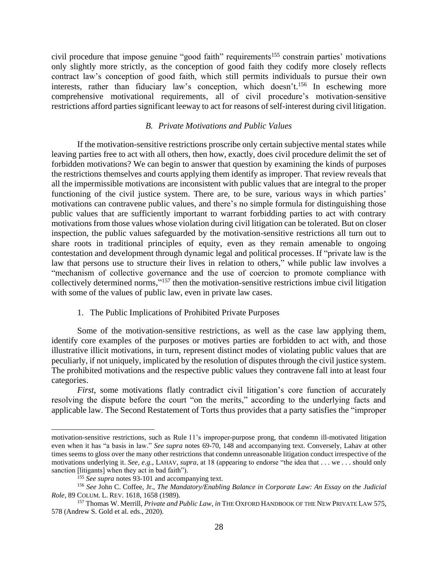civil procedure that impose genuine "good faith" requirements<sup>155</sup> constrain parties' motivations only slightly more strictly, as the conception of good faith they codify more closely reflects contract law's conception of good faith, which still permits individuals to pursue their own interests, rather than fiduciary law's conception, which doesn't. <sup>156</sup> In eschewing more comprehensive motivational requirements, all of civil procedure's motivation-sensitive restrictions afford parties significant leeway to act for reasons of self-interest during civil litigation.

## *B. Private Motivations and Public Values*

<span id="page-27-0"></span>If the motivation-sensitive restrictions proscribe only certain subjective mental states while leaving parties free to act with all others, then how, exactly, does civil procedure delimit the set of forbidden motivations? We can begin to answer that question by examining the kinds of purposes the restrictions themselves and courts applying them identify as improper. That review reveals that all the impermissible motivations are inconsistent with public values that are integral to the proper functioning of the civil justice system. There are, to be sure, various ways in which parties' motivations can contravene public values, and there's no simple formula for distinguishing those public values that are sufficiently important to warrant forbidding parties to act with contrary motivations from those values whose violation during civil litigation can be tolerated. But on closer inspection, the public values safeguarded by the motivation-sensitive restrictions all turn out to share roots in traditional principles of equity, even as they remain amenable to ongoing contestation and development through dynamic legal and political processes. If "private law is the law that persons use to structure their lives in relation to others," while public law involves a "mechanism of collective governance and the use of coercion to promote compliance with collectively determined norms," <sup>157</sup> then the motivation-sensitive restrictions imbue civil litigation with some of the values of public law, even in private law cases.

### <span id="page-27-2"></span>1. The Public Implications of Prohibited Private Purposes

<span id="page-27-1"></span>Some of the motivation-sensitive restrictions, as well as the case law applying them, identify core examples of the purposes or motives parties are forbidden to act with, and those illustrative illicit motivations, in turn, represent distinct modes of violating public values that are peculiarly, if not uniquely, implicated by the resolution of disputes through the civil justice system. The prohibited motivations and the respective public values they contravene fall into at least four categories.

*First*, some motivations flatly contradict civil litigation's core function of accurately resolving the dispute before the court "on the merits," according to the underlying facts and applicable law. The Second Restatement of Torts thus provides that a party satisfies the "improper

motivation-sensitive restrictions, such as Rule 11's improper-purpose prong, that condemn ill-motivated litigation even when it has "a basis in law." *See supra* notes [69](#page-14-2)[-70,](#page-14-0) [148](#page-25-0) and accompanying text. Conversely, Lahav at other times seems to gloss over the many other restrictions that condemn unreasonable litigation conduct irrespective of the motivations underlying it. *See, e.g.*, LAHAV, *supra*, at 18 (appearing to endorse "the idea that . . . we . . . should only sanction [litigants] when they act in bad faith").

<sup>155</sup> *See supra* note[s 93-](#page-17-0)[101](#page-17-1) and accompanying text.

<sup>156</sup> *See* John C. Coffee, Jr., *The Mandatory/Enabling Balance in Corporate Law: An Essay on the Judicial Role*, 89 COLUM. L. REV. 1618, 1658 (1989).

<sup>157</sup> Thomas W. Merrill, *Private and Public Law*, *in* THE OXFORD HANDBOOK OF THE NEW PRIVATE LAW 575, 578 (Andrew S. Gold et al. eds., 2020).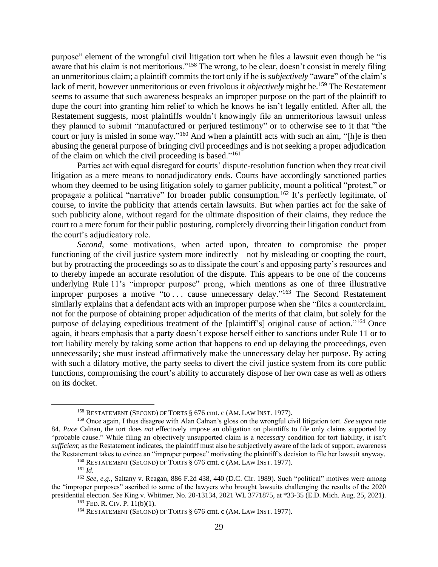purpose" element of the wrongful civil litigation tort when he files a lawsuit even though he "is aware that his claim is not meritorious."<sup>158</sup> The wrong, to be clear, doesn't consist in merely filing an unmeritorious claim; a plaintiff commits the tort only if he is *subjectively* "aware" of the claim's lack of merit, however unmeritorious or even frivolous it *objectively* might be. <sup>159</sup> The Restatement seems to assume that such awareness bespeaks an improper purpose on the part of the plaintiff to dupe the court into granting him relief to which he knows he isn't legally entitled. After all, the Restatement suggests, most plaintiffs wouldn't knowingly file an unmeritorious lawsuit unless they planned to submit "manufactured or perjured testimony" or to otherwise see to it that "the court or jury is misled in some way."<sup>160</sup> And when a plaintiff acts with such an aim, "[h]e is then abusing the general purpose of bringing civil proceedings and is not seeking a proper adjudication of the claim on which the civil proceeding is based."<sup>161</sup>

Parties act with equal disregard for courts' dispute-resolution function when they treat civil litigation as a mere means to nonadjudicatory ends. Courts have accordingly sanctioned parties whom they deemed to be using litigation solely to garner publicity, mount a political "protest," or propagate a political "narrative" for broader public consumption.<sup>162</sup> It's perfectly legitimate, of course, to invite the publicity that attends certain lawsuits. But when parties act for the sake of such publicity alone, without regard for the ultimate disposition of their claims, they reduce the court to a mere forum for their public posturing, completely divorcing their litigation conduct from the court's adjudicatory role.

*Second*, some motivations, when acted upon, threaten to compromise the proper functioning of the civil justice system more indirectly—not by misleading or coopting the court, but by protracting the proceedings so as to dissipate the court's and opposing party's resources and to thereby impede an accurate resolution of the dispute. This appears to be one of the concerns underlying Rule 11's "improper purpose" prong, which mentions as one of three illustrative improper purposes a motive "to ... cause unnecessary delay."<sup>163</sup> The Second Restatement similarly explains that a defendant acts with an improper purpose when she "files a counterclaim, not for the purpose of obtaining proper adjudication of the merits of that claim, but solely for the purpose of delaying expeditious treatment of the [plaintiff's] original cause of action."<sup>164</sup> Once again, it bears emphasis that a party doesn't expose herself either to sanctions under Rule 11 or to tort liability merely by taking some action that happens to end up delaying the proceedings, even unnecessarily; she must instead affirmatively make the unnecessary delay her purpose. By acting with such a dilatory motive, the party seeks to divert the civil justice system from its core public functions, compromising the court's ability to accurately dispose of her own case as well as others on its docket.

<sup>158</sup> RESTATEMENT (SECOND) OF TORTS § 676 cmt. c (AM. LAW INST. 1977).

<sup>159</sup> Once again, I thus disagree with Alan Calnan's gloss on the wrongful civil litigation tort. *See supra* note [84.](#page-15-1) *Pace* Calnan, the tort does *not* effectively impose an obligation on plaintiffs to file only claims supported by "probable cause." While filing an objectively unsupported claim is a *necessary* condition for tort liability, it isn't *sufficient*; as the Restatement indicates, the plaintiff must also be subjectively aware of the lack of support, awareness the Restatement takes to evince an "improper purpose" motivating the plaintiff's decision to file her lawsuit anyway.

<sup>160</sup> RESTATEMENT (SECOND) OF TORTS § 676 cmt. c (AM. LAW INST. 1977).

<sup>161</sup> *Id.*

<sup>162</sup> *See, e.g.*, Saltany v. Reagan, 886 F.2d 438, 440 (D.C. Cir. 1989). Such "political" motives were among the "improper purposes" ascribed to some of the lawyers who brought lawsuits challenging the results of the 2020 presidential election. *See* King v. Whitmer, No. 20-13134, 2021 WL 3771875, at \*33-35 (E.D. Mich. Aug. 25, 2021).

 $163$  FED. R. CIV. P.  $11(b)(1)$ .

<sup>164</sup> RESTATEMENT (SECOND) OF TORTS § 676 cmt. c (AM. LAW INST. 1977).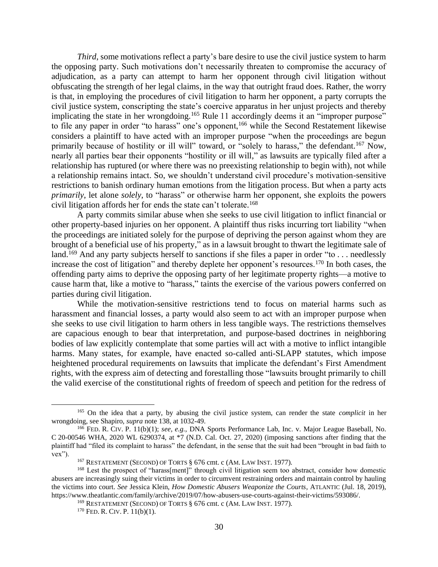*Third*, some motivations reflect a party's bare desire to use the civil justice system to harm the opposing party. Such motivations don't necessarily threaten to compromise the accuracy of adjudication, as a party can attempt to harm her opponent through civil litigation without obfuscating the strength of her legal claims, in the way that outright fraud does. Rather, the worry is that, in employing the procedures of civil litigation to harm her opponent, a party corrupts the civil justice system, conscripting the state's coercive apparatus in her unjust projects and thereby implicating the state in her wrongdoing.<sup>165</sup> Rule 11 accordingly deems it an "improper purpose" to file any paper in order "to harass" one's opponent,<sup>166</sup> while the Second Restatement likewise considers a plaintiff to have acted with an improper purpose "when the proceedings are begun primarily because of hostility or ill will" toward, or "solely to harass," the defendant.<sup>167</sup> Now, nearly all parties bear their opponents "hostility or ill will," as lawsuits are typically filed after a relationship has ruptured (or where there was no preexisting relationship to begin with), not while a relationship remains intact. So, we shouldn't understand civil procedure's motivation-sensitive restrictions to banish ordinary human emotions from the litigation process. But when a party acts *primarily*, let alone *solely*, to "harass" or otherwise harm her opponent, she exploits the powers civil litigation affords her for ends the state can't tolerate. 168

A party commits similar abuse when she seeks to use civil litigation to inflict financial or other property-based injuries on her opponent. A plaintiff thus risks incurring tort liability "when the proceedings are initiated solely for the purpose of depriving the person against whom they are brought of a beneficial use of his property," as in a lawsuit brought to thwart the legitimate sale of land.<sup>169</sup> And any party subjects herself to sanctions if she files a paper in order "to . . . needlessly increase the cost of litigation" and thereby deplete her opponent's resources.<sup>170</sup> In both cases, the offending party aims to deprive the opposing party of her legitimate property rights—a motive to cause harm that, like a motive to "harass," taints the exercise of the various powers conferred on parties during civil litigation.

While the motivation-sensitive restrictions tend to focus on material harms such as harassment and financial losses, a party would also seem to act with an improper purpose when she seeks to use civil litigation to harm others in less tangible ways. The restrictions themselves are capacious enough to bear that interpretation, and purpose-based doctrines in neighboring bodies of law explicitly contemplate that some parties will act with a motive to inflict intangible harms. Many states, for example, have enacted so-called anti-SLAPP statutes, which impose heightened procedural requirements on lawsuits that implicate the defendant's First Amendment rights, with the express aim of detecting and forestalling those "lawsuits brought primarily to chill the valid exercise of the constitutional rights of freedom of speech and petition for the redress of

<sup>165</sup> On the idea that a party, by abusing the civil justice system, can render the state *complicit* in her wrongdoing, see Shapiro, *supra* not[e 138,](#page-24-1) at 1032-49.

<sup>166</sup> FED. R. CIV. P. 11(b)(1); *see, e.g.*, DNA Sports Performance Lab, Inc. v. Major League Baseball, No. C 20-00546 WHA, 2020 WL 6290374, at \*7 (N.D. Cal. Oct. 27, 2020) (imposing sanctions after finding that the plaintiff had "filed its complaint to harass" the defendant, in the sense that the suit had been "brought in bad faith to vex").

<sup>167</sup> RESTATEMENT (SECOND) OF TORTS § 676 cmt. c (AM. LAW INST. 1977).

<sup>168</sup> Lest the prospect of "harass[ment]" through civil litigation seem too abstract, consider how domestic abusers are increasingly suing their victims in order to circumvent restraining orders and maintain control by hauling the victims into court. *See* Jessica Klein, *How Domestic Abusers Weaponize the Courts*, ATLANTIC (Jul. 18, 2019), https://www.theatlantic.com/family/archive/2019/07/how-abusers-use-courts-against-their-victims/593086/.

<sup>169</sup> RESTATEMENT (SECOND) OF TORTS § 676 cmt. c (AM. LAW INST. 1977).

 $170$  FED. R. CIV. P.  $11(b)(1)$ .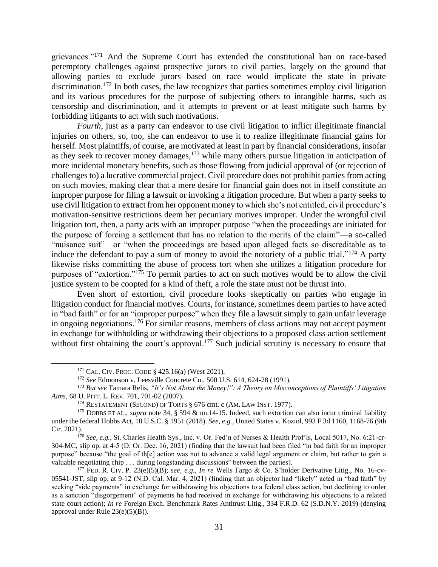<span id="page-30-0"></span>grievances."<sup>171</sup> And the Supreme Court has extended the constitutional ban on race-based peremptory challenges against prospective jurors to civil parties, largely on the ground that allowing parties to exclude jurors based on race would implicate the state in private discrimination.<sup>172</sup> In both cases, the law recognizes that parties sometimes employ civil litigation and its various procedures for the purpose of subjecting others to intangible harms, such as censorship and discrimination, and it attempts to prevent or at least mitigate such harms by forbidding litigants to act with such motivations.

*Fourth*, just as a party can endeavor to use civil litigation to inflict illegitimate financial injuries on others, so, too, she can endeavor to use it to realize illegitimate financial gains for herself. Most plaintiffs, of course, are motivated at least in part by financial considerations, insofar as they seek to recover money damages,<sup>173</sup> while many others pursue litigation in anticipation of more incidental monetary benefits, such as those flowing from judicial approval of (or rejection of challenges to) a lucrative commercial project. Civil procedure does not prohibit parties from acting on such movies, making clear that a mere desire for financial gain does not in itself constitute an improper purpose for filing a lawsuit or invoking a litigation procedure. But when a party seeks to use civil litigation to extract from her opponent money to which she's not entitled, civil procedure's motivation-sensitive restrictions deem her pecuniary motives improper. Under the wrongful civil litigation tort, then, a party acts with an improper purpose "when the proceedings are initiated for the purpose of forcing a settlement that has no relation to the merits of the claim"—a so-called "nuisance suit"—or "when the proceedings are based upon alleged facts so discreditable as to induce the defendant to pay a sum of money to avoid the notoriety of a public trial."<sup>174</sup> A party likewise risks committing the abuse of process tort when she utilizes a litigation procedure for purposes of "extortion." <sup>175</sup> To permit parties to act on such motives would be to allow the civil justice system to be coopted for a kind of theft, a role the state must not be thrust into.

Even short of extortion, civil procedure looks skeptically on parties who engage in litigation conduct for financial motives. Courts, for instance, sometimes deem parties to have acted in "bad faith" or for an "improper purpose" when they file a lawsuit simply to gain unfair leverage in ongoing negotiations.<sup>176</sup> For similar reasons, members of class actions may not accept payment in exchange for withholding or withdrawing their objections to a proposed class action settlement without first obtaining the court's approval.<sup>177</sup> Such judicial scrutiny is necessary to ensure that

<span id="page-30-1"></span><sup>171</sup> CAL. CIV.PROC. CODE § 425.16(a) (West 2021).

<sup>172</sup> *See* Edmonson v. Leesville Concrete Co., 500 U.S. 614, 624-28 (1991).

<sup>173</sup> *But see* Tamara Relis, *"It's Not About the Money!": A Theory on Misconceptions of Plaintiffs' Litigation Aims*, 68 U.PITT. L. REV. 701, 701-02 (2007).

<sup>&</sup>lt;sup>174</sup> RESTATEMENT (SECOND) OF TORTS § 676 cmt. c (AM. LAW INST. 1977).

<sup>175</sup> DOBBS ET AL., *supra* not[e 34,](#page-10-3) § 594 & nn.14-15. Indeed, such extortion can also incur criminal liability under the federal Hobbs Act, 18 U.S.C. § 1951 (2018). *See, e.g.*, United States v. Koziol, 993 F.3d 1160, 1168-76 (9th Cir. 2021).

<sup>176</sup> *See, e.g.*, St. Charles Health Sys., Inc. v. Or. Fed'n of Nurses & Health Prof'ls, Local 5017, No. 6:21-cr-304-MC, slip op. at 4-5 (D. Or. Dec. 16, 2021) (finding that the lawsuit had been filed "in bad faith for an improper purpose" because "the goal of th[e] action was not to advance a valid legal argument or claim, but rather to gain a valuable negotiating chip . . . during longstanding discussions" between the parties).

<sup>177</sup> FED. R. CIV. P. 23(e)(5)(B); *see, e.g.*, *In re* Wells Fargo & Co. S'holder Derivative Litig., No. 16-cv-05541-JST, slip op. at 9-12 (N.D. Cal. Mar. 4, 2021) (finding that an objector had "likely" acted in "bad faith" by seeking "side payments" in exchange for withdrawing his objections to a federal class action, but declining to order as a sanction "disgorgement" of payments he had received in exchange for withdrawing his objections to a related state court action); *In re* Foreign Exch. Benchmark Rates Antitrust Litig., 334 F.R.D. 62 (S.D.N.Y. 2019) (denying approval under Rule 23(e)(5)(B)).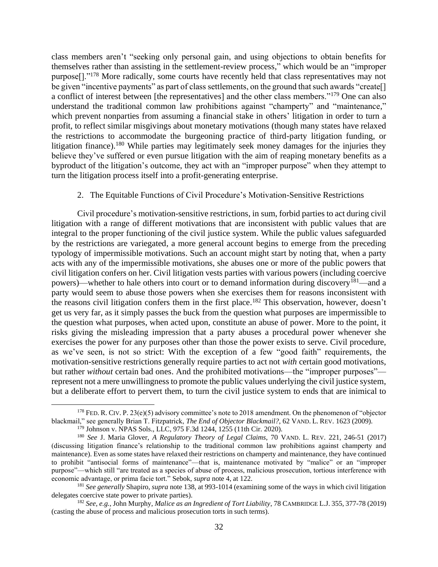<span id="page-31-2"></span>class members aren't "seeking only personal gain, and using objections to obtain benefits for themselves rather than assisting in the settlement-review process," which would be an "improper purpose[]."<sup>178</sup> More radically, some courts have recently held that class representatives may not be given "incentive payments" as part of class settlements, on the ground that such awards "create<sup>[]</sup> a conflict of interest between [the representatives] and the other class members."<sup>179</sup> One can also understand the traditional common law prohibitions against "champerty" and "maintenance," which prevent nonparties from assuming a financial stake in others' litigation in order to turn a profit, to reflect similar misgivings about monetary motivations (though many states have relaxed the restrictions to accommodate the burgeoning practice of third-party litigation funding, or litigation finance).<sup>180</sup> While parties may legitimately seek money damages for the injuries they believe they've suffered or even pursue litigation with the aim of reaping monetary benefits as a byproduct of the litigation's outcome, they act with an "improper purpose" when they attempt to turn the litigation process itself into a profit-generating enterprise.

#### <span id="page-31-1"></span>2. The Equitable Functions of Civil Procedure's Motivation-Sensitive Restrictions

<span id="page-31-0"></span>Civil procedure's motivation-sensitive restrictions, in sum, forbid parties to act during civil litigation with a range of different motivations that are inconsistent with public values that are integral to the proper functioning of the civil justice system. While the public values safeguarded by the restrictions are variegated, a more general account begins to emerge from the preceding typology of impermissible motivations. Such an account might start by noting that, when a party acts with any of the impermissible motivations, she abuses one or more of the public powers that civil litigation confers on her. Civil litigation vests parties with various powers (including coercive powers)—whether to hale others into court or to demand information during discovery<sup>181</sup>—and a party would seem to abuse those powers when she exercises them for reasons inconsistent with the reasons civil litigation confers them in the first place. <sup>182</sup> This observation, however, doesn't get us very far, as it simply passes the buck from the question what purposes are impermissible to the question what purposes, when acted upon, constitute an abuse of power. More to the point, it risks giving the misleading impression that a party abuses a procedural power whenever she exercises the power for any purposes other than those the power exists to serve. Civil procedure, as we've seen, is not so strict: With the exception of a few "good faith" requirements, the motivation-sensitive restrictions generally require parties to act not *with* certain good motivations, but rather *without* certain bad ones. And the prohibited motivations—the "improper purposes" represent not a mere unwillingness to promote the public values underlying the civil justice system, but a deliberate effort to pervert them, to turn the civil justice system to ends that are inimical to

<sup>&</sup>lt;sup>178</sup> FED. R. CIV. P.  $23(e)(5)$  advisory committee's note to 2018 amendment. On the phenomenon of "objector" blackmail," see generally Brian T. Fitzpatrick, *The End of Objector Blackmail?*, 62 VAND. L. REV. 1623 (2009).

<sup>179</sup> Johnson v. NPAS Sols., LLC, 975 F.3d 1244, 1255 (11th Cir. 2020).

<sup>180</sup> *See* J. Maria Glover, *A Regulatory Theory of Legal Claims*, 70 VAND. L. REV. 221, 246-51 (2017) (discussing litigation finance's relationship to the traditional common law prohibitions against champerty and maintenance). Even as some states have relaxed their restrictions on champerty and maintenance, they have continued to prohibit "antisocial forms of maintenance"—that is, maintenance motivated by "malice" or an "improper purpose"—which still "are treated as a species of abuse of process, malicious prosecution, tortious interference with economic advantage, or prima facie tort." Sebok, *supra* note [4,](#page-2-1) at 122.

<sup>181</sup> *See generally* Shapiro, *supra* note [138,](#page-24-1) at 993-1014 (examining some of the ways in which civil litigation delegates coercive state power to private parties).

<sup>182</sup> *See, e.g.*, John Murphy, *Malice as an Ingredient of Tort Liability*, 78 CAMBRIDGE L.J. 355, 377-78 (2019) (casting the abuse of process and malicious prosecution torts in such terms).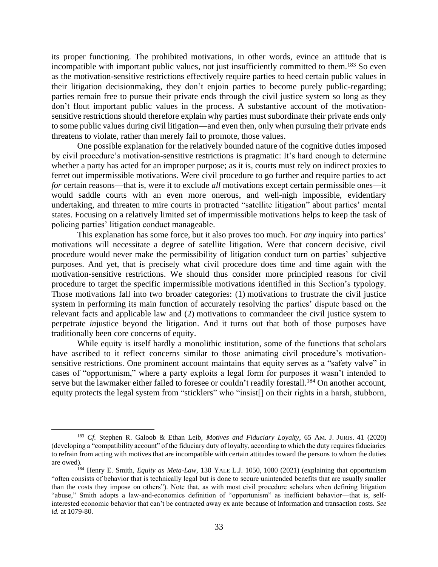its proper functioning. The prohibited motivations, in other words, evince an attitude that is incompatible with important public values, not just insufficiently committed to them.<sup>183</sup> So even as the motivation-sensitive restrictions effectively require parties to heed certain public values in their litigation decisionmaking, they don't enjoin parties to become purely public-regarding; parties remain free to pursue their private ends through the civil justice system so long as they don't flout important public values in the process. A substantive account of the motivationsensitive restrictions should therefore explain why parties must subordinate their private ends only to some public values during civil litigation—and even then, only when pursuing their private ends threatens to violate, rather than merely fail to promote, those values.

One possible explanation for the relatively bounded nature of the cognitive duties imposed by civil procedure's motivation-sensitive restrictions is pragmatic: It's hard enough to determine whether a party has acted for an improper purpose; as it is, courts must rely on indirect proxies to ferret out impermissible motivations. Were civil procedure to go further and require parties to act *for* certain reasons—that is, were it to exclude *all* motivations except certain permissible ones—it would saddle courts with an even more onerous, and well-nigh impossible, evidentiary undertaking, and threaten to mire courts in protracted "satellite litigation" about parties' mental states. Focusing on a relatively limited set of impermissible motivations helps to keep the task of policing parties' litigation conduct manageable.

This explanation has some force, but it also proves too much. For *any* inquiry into parties' motivations will necessitate a degree of satellite litigation. Were that concern decisive, civil procedure would never make the permissibility of litigation conduct turn on parties' subjective purposes. And yet, that is precisely what civil procedure does time and time again with the motivation-sensitive restrictions. We should thus consider more principled reasons for civil procedure to target the specific impermissible motivations identified in this Section's typology. Those motivations fall into two broader categories: (1) motivations to frustrate the civil justice system in performing its main function of accurately resolving the parties' dispute based on the relevant facts and applicable law and (2) motivations to commandeer the civil justice system to perpetrate *in*justice beyond the litigation. And it turns out that both of those purposes have traditionally been core concerns of equity.

<span id="page-32-0"></span>While equity is itself hardly a monolithic institution, some of the functions that scholars have ascribed to it reflect concerns similar to those animating civil procedure's motivationsensitive restrictions. One prominent account maintains that equity serves as a "safety valve" in cases of "opportunism," where a party exploits a legal form for purposes it wasn't intended to serve but the lawmaker either failed to foresee or couldn't readily forestall.<sup>184</sup> On another account, equity protects the legal system from "sticklers" who "insist[] on their rights in a harsh, stubborn,

<sup>183</sup> *Cf.* Stephen R. Galoob & Ethan Leib, *Motives and Fiduciary Loyalty*, 65 AM. J. JURIS. 41 (2020) (developing a "compatibility account" of the fiduciary duty of loyalty, according to which the duty requires fiduciaries to refrain from acting with motives that are incompatible with certain attitudes toward the persons to whom the duties are owed).

<sup>184</sup> Henry E. Smith, *Equity as Meta-Law*, 130 YALE L.J. 1050, 1080 (2021) (explaining that opportunism "often consists of behavior that is technically legal but is done to secure unintended benefits that are usually smaller than the costs they impose on others"). Note that, as with most civil procedure scholars when defining litigation "abuse," Smith adopts a law-and-economics definition of "opportunism" as inefficient behavior—that is, selfinterested economic behavior that can't be contracted away ex ante because of information and transaction costs. *See id.* at 1079-80.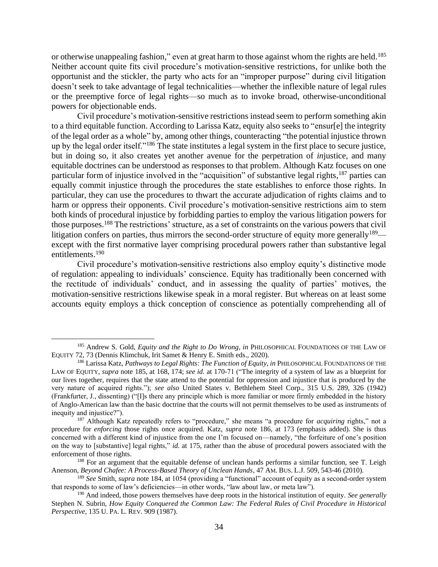<span id="page-33-0"></span>or otherwise unappealing fashion," even at great harm to those against whom the rights are held.<sup>185</sup> Neither account quite fits civil procedure's motivation-sensitive restrictions, for unlike both the opportunist and the stickler, the party who acts for an "improper purpose" during civil litigation doesn't seek to take advantage of legal technicalities—whether the inflexible nature of legal rules or the preemptive force of legal rights—so much as to invoke broad, otherwise-unconditional powers for objectionable ends.

<span id="page-33-1"></span>Civil procedure's motivation-sensitive restrictions instead seem to perform something akin to a third equitable function. According to Larissa Katz, equity also seeks to "ensur[e] the integrity of the legal order as a whole" by, among other things, counteracting "the potential injustice thrown up by the legal order itself."<sup>186</sup> The state institutes a legal system in the first place to secure justice, but in doing so, it also creates yet another avenue for the perpetration of *in*justice, and many equitable doctrines can be understood as responses to that problem. Although Katz focuses on one particular form of injustice involved in the "acquisition" of substantive legal rights, <sup>187</sup> parties can equally commit injustice through the procedures the state establishes to enforce those rights. In particular, they can use the procedures to thwart the accurate adjudication of rights claims and to harm or oppress their opponents. Civil procedure's motivation-sensitive restrictions aim to stem both kinds of procedural injustice by forbidding parties to employ the various litigation powers for those purposes.<sup>188</sup> The restrictions' structure, as a set of constraints on the various powers that civil litigation confers on parties, thus mirrors the second-order structure of equity more generally<sup>189—</sup> except with the first normative layer comprising procedural powers rather than substantive legal entitlements. 190

Civil procedure's motivation-sensitive restrictions also employ equity's distinctive mode of regulation: appealing to individuals' conscience. Equity has traditionally been concerned with the rectitude of individuals' conduct, and in assessing the quality of parties' motives, the motivation-sensitive restrictions likewise speak in a moral register. But whereas on at least some accounts equity employs a thick conception of conscience as potentially comprehending all of

<sup>185</sup> Andrew S. Gold, *Equity and the Right to Do Wrong*, *in* PHILOSOPHICAL FOUNDATIONS OF THE LAW OF EQUITY 72, 73 (Dennis Klimchuk, Irit Samet & Henry E. Smith eds., 2020).

<sup>186</sup> Larissa Katz, *Pathways to Legal Rights: The Function of Equity*, *in* PHILOSOPHICAL FOUNDATIONS OF THE LAW OF EQUITY, *supra* note [185,](#page-33-0) at 168, 174; *see id.* at 170-71 ("The integrity of a system of law as a blueprint for our lives together, requires that the state attend to the potential for oppression and injustice that is produced by the very nature of acquired rights."); *see also* United States v. Bethlehem Steel Corp., 315 U.S. 289, 326 (1942) (Frankfurter, J., dissenting) ("[I]s there any principle which is more familiar or more firmly embedded in the history of Anglo-American law than the basic doctrine that the courts will not permit themselves to be used as instruments of inequity and injustice?").

<sup>187</sup> Although Katz repeatedly refers to "procedure," she means "a procedure for *acquiring* rights," not a procedure for *enforcing* those rights once acquired. Katz, *supra* note [186,](#page-33-1) at 173 (emphasis added). She is thus concerned with a different kind of injustice from the one I'm focused on—namely, "the forfeiture of one's position on the way to [substantive] legal rights," *id.* at 175, rather than the abuse of procedural powers associated with the enforcement of those rights.

<sup>&</sup>lt;sup>188</sup> For an argument that the equitable defense of unclean hands performs a similar function, see T. Leigh Anenson, *Beyond Chafee: A Process-Based Theory of Unclean Hands*, 47 AM. BUS. L.J. 509, 543-46 (2010).

<sup>189</sup> *See* Smith, *supra* note [184,](#page-32-0) at 1054 (providing a "functional" account of equity as a second-order system that responds to some of law's deficiencies—in other words, "law about law, or meta law").

<sup>190</sup> And indeed, those powers themselves have deep roots in the historical institution of equity. *See generally* Stephen N. Subrin, *How Equity Conquered the Common Law: The Federal Rules of Civil Procedure in Historical Perspective*, 135 U.PA. L. REV. 909 (1987).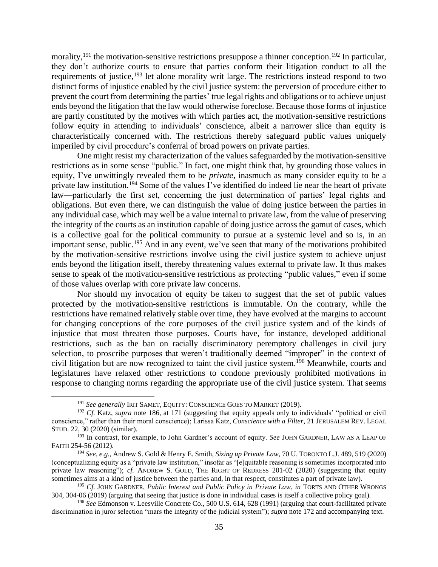morality, <sup>191</sup> the motivation-sensitive restrictions presuppose a thinner conception. <sup>192</sup> In particular, they don't authorize courts to ensure that parties conform their litigation conduct to all the requirements of justice, <sup>193</sup> let alone morality writ large. The restrictions instead respond to two distinct forms of injustice enabled by the civil justice system: the perversion of procedure either to prevent the court from determining the parties' true legal rights and obligations or to achieve unjust ends beyond the litigation that the law would otherwise foreclose. Because those forms of injustice are partly constituted by the motives with which parties act, the motivation-sensitive restrictions follow equity in attending to individuals' conscience, albeit a narrower slice than equity is characteristically concerned with. The restrictions thereby safeguard public values uniquely imperiled by civil procedure's conferral of broad powers on private parties.

<span id="page-34-1"></span>One might resist my characterization of the values safeguarded by the motivation-sensitive restrictions as in some sense "public." In fact, one might think that, by grounding those values in equity, I've unwittingly revealed them to be *private*, inasmuch as many consider equity to be a private law institution.<sup>194</sup> Some of the values I've identified do indeed lie near the heart of private law—particularly the first set, concerning the just determination of parties' legal rights and obligations. But even there, we can distinguish the value of doing justice between the parties in any individual case, which may well be a value internal to private law, from the value of preserving the integrity of the courts as an institution capable of doing justice across the gamut of cases, which is a collective goal for the political community to pursue at a systemic level and so is, in an important sense, public.<sup>195</sup> And in any event, we've seen that many of the motivations prohibited by the motivation-sensitive restrictions involve using the civil justice system to achieve unjust ends beyond the litigation itself, thereby threatening values external to private law. It thus makes sense to speak of the motivation-sensitive restrictions as protecting "public values," even if some of those values overlap with core private law concerns.

Nor should my invocation of equity be taken to suggest that the set of public values protected by the motivation-sensitive restrictions is immutable. On the contrary, while the restrictions have remained relatively stable over time, they have evolved at the margins to account for changing conceptions of the core purposes of the civil justice system and of the kinds of injustice that most threaten those purposes. Courts have, for instance, developed additional restrictions, such as the ban on racially discriminatory peremptory challenges in civil jury selection, to proscribe purposes that weren't traditionally deemed "improper" in the context of civil litigation but are now recognized to taint the civil justice system. <sup>196</sup> Meanwhile, courts and legislatures have relaxed other restrictions to condone previously prohibited motivations in response to changing norms regarding the appropriate use of the civil justice system. That seems

<span id="page-34-0"></span><sup>&</sup>lt;sup>191</sup> See generally IRIT SAMET, EQUITY: CONSCIENCE GOES TO MARKET (2019).

<sup>192</sup> *Cf.* Katz, *supra* note [186,](#page-33-1) at 171 (suggesting that equity appeals only to individuals' "political or civil conscience," rather than their moral conscience); Larissa Katz, *Conscience with a Filter*, 21 JERUSALEM REV. LEGAL STUD. 22, 30 (2020) (similar).

<sup>193</sup> In contrast, for example, to John Gardner's account of equity. *See* JOHN GARDNER, LAW AS A LEAP OF FAITH 254-56 (2012).

<sup>194</sup> *See, e.g.*, Andrew S. Gold & Henry E. Smith, *Sizing up Private Law*, 70 U. TORONTO L.J. 489, 519 (2020) (conceptualizing equity as a "private law institution," insofar as "[e]quitable reasoning is sometimes incorporated into private law reasoning"); *cf.* ANDREW S. GOLD, THE RIGHT OF REDRESS 201-02 (2020) (suggesting that equity sometimes aims at a kind of justice between the parties and, in that respect, constitutes a part of private law).

<sup>195</sup> *Cf.* JOHN GARDNER, *Public Interest and Public Policy in Private Law*, *in* TORTS AND OTHER WRONGS 304, 304-06 (2019) (arguing that seeing that justice is done in individual cases is itself a collective policy goal).

<sup>196</sup> *See* Edmonson v. Leesville Concrete Co., 500 U.S. 614, 628 (1991) (arguing that court-facilitated private discrimination in juror selection "mars the integrity of the judicial system"); *supra* note [172](#page-30-0) and accompanying text.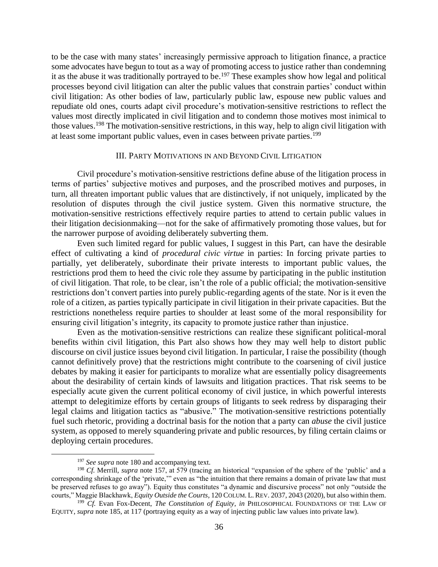to be the case with many states' increasingly permissive approach to litigation finance, a practice some advocates have begun to tout as a way of promoting access to justice rather than condemning it as the abuse it was traditionally portrayed to be. <sup>197</sup> These examples show how legal and political processes beyond civil litigation can alter the public values that constrain parties' conduct within civil litigation: As other bodies of law, particularly public law, espouse new public values and repudiate old ones, courts adapt civil procedure's motivation-sensitive restrictions to reflect the values most directly implicated in civil litigation and to condemn those motives most inimical to those values. <sup>198</sup> The motivation-sensitive restrictions, in this way, help to align civil litigation with at least some important public values, even in cases between private parties. 199

### <span id="page-35-1"></span>III. PARTY MOTIVATIONS IN AND BEYOND CIVIL LITIGATION

<span id="page-35-0"></span>Civil procedure's motivation-sensitive restrictions define abuse of the litigation process in terms of parties' subjective motives and purposes, and the proscribed motives and purposes, in turn, all threaten important public values that are distinctively, if not uniquely, implicated by the resolution of disputes through the civil justice system. Given this normative structure, the motivation-sensitive restrictions effectively require parties to attend to certain public values in their litigation decisionmaking—not for the sake of affirmatively promoting those values, but for the narrower purpose of avoiding deliberately subverting them.

Even such limited regard for public values, I suggest in this Part, can have the desirable effect of cultivating a kind of *procedural civic virtue* in parties: In forcing private parties to partially, yet deliberately, subordinate their private interests to important public values, the restrictions prod them to heed the civic role they assume by participating in the public institution of civil litigation. That role, to be clear, isn't the role of a public official; the motivation-sensitive restrictions don't convert parties into purely public-regarding agents of the state. Nor is it even the role of a citizen, as parties typically participate in civil litigation in their private capacities. But the restrictions nonetheless require parties to shoulder at least some of the moral responsibility for ensuring civil litigation's integrity, its capacity to promote justice rather than injustice.

Even as the motivation-sensitive restrictions can realize these significant political-moral benefits within civil litigation, this Part also shows how they may well help to distort public discourse on civil justice issues beyond civil litigation. In particular, I raise the possibility (though cannot definitively prove) that the restrictions might contribute to the coarsening of civil justice debates by making it easier for participants to moralize what are essentially policy disagreements about the desirability of certain kinds of lawsuits and litigation practices. That risk seems to be especially acute given the current political economy of civil justice, in which powerful interests attempt to delegitimize efforts by certain groups of litigants to seek redress by disparaging their legal claims and litigation tactics as "abusive." The motivation-sensitive restrictions potentially fuel such rhetoric, providing a doctrinal basis for the notion that a party can *abuse* the civil justice system, as opposed to merely squandering private and public resources, by filing certain claims or deploying certain procedures.

<sup>&</sup>lt;sup>197</sup> *See supra* not[e 180](#page-31-1) and accompanying text.

<sup>198</sup> *Cf.* Merrill, *supra* note [157,](#page-27-2) at 579 (tracing an historical "expansion of the sphere of the 'public' and a corresponding shrinkage of the 'private,'" even as "the intuition that there remains a domain of private law that must be preserved refuses to go away"). Equity thus constitutes "a dynamic and discursive process" not only "outside the courts," Maggie Blackhawk, *Equity Outside the Courts*, 120 COLUM. L. REV. 2037, 2043 (2020), but also within them.

<sup>199</sup> *Cf.* Evan Fox-Decent, *The Constitution of Equity*, *in* PHILOSOPHICAL FOUNDATIONS OF THE LAW OF EQUITY, *supra* note [185,](#page-33-0) at 117 (portraying equity as a way of injecting public law values into private law).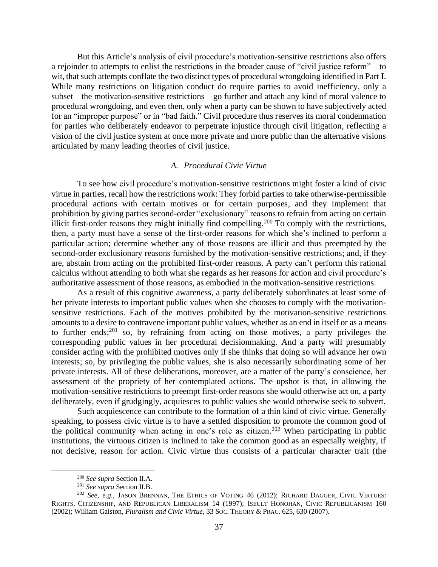But this Article's analysis of civil procedure's motivation-sensitive restrictions also offers a rejoinder to attempts to enlist the restrictions in the broader cause of "civil justice reform"—to wit, that such attempts conflate the two distinct types of procedural wrongdoing identified in Part I. While many restrictions on litigation conduct do require parties to avoid inefficiency, only a subset—the motivation-sensitive restrictions—go further and attach any kind of moral valence to procedural wrongdoing, and even then, only when a party can be shown to have subjectively acted for an "improper purpose" or in "bad faith." Civil procedure thus reserves its moral condemnation for parties who deliberately endeavor to perpetrate injustice through civil litigation, reflecting a vision of the civil justice system at once more private and more public than the alternative visions articulated by many leading theories of civil justice.

## *A. Procedural Civic Virtue*

<span id="page-36-0"></span>To see how civil procedure's motivation-sensitive restrictions might foster a kind of civic virtue in parties, recall how the restrictions work: They forbid parties to take otherwise-permissible procedural actions with certain motives or for certain purposes, and they implement that prohibition by giving parties second-order "exclusionary" reasons to refrain from acting on certain illicit first-order reasons they might initially find compelling.<sup>200</sup> To comply with the restrictions, then, a party must have a sense of the first-order reasons for which she's inclined to perform a particular action; determine whether any of those reasons are illicit and thus preempted by the second-order exclusionary reasons furnished by the motivation-sensitive restrictions; and, if they are, abstain from acting on the prohibited first-order reasons. A party can't perform this rational calculus without attending to both what she regards as her reasons for action and civil procedure's authoritative assessment of those reasons, as embodied in the motivation-sensitive restrictions.

As a result of this cognitive awareness, a party deliberately subordinates at least some of her private interests to important public values when she chooses to comply with the motivationsensitive restrictions. Each of the motives prohibited by the motivation-sensitive restrictions amounts to a desire to contravene important public values, whether as an end in itself or as a means to further ends; <sup>201</sup> so, by refraining from acting on those motives, a party privileges the corresponding public values in her procedural decisionmaking. And a party will presumably consider acting with the prohibited motives only if she thinks that doing so will advance her own interests; so, by privileging the public values, she is also necessarily subordinating some of her private interests. All of these deliberations, moreover, are a matter of the party's conscience, her assessment of the propriety of her contemplated actions. The upshot is that, in allowing the motivation-sensitive restrictions to preempt first-order reasons she would otherwise act on, a party deliberately, even if grudgingly, acquiesces to public values she would otherwise seek to subvert.

Such acquiescence can contribute to the formation of a thin kind of civic virtue. Generally speaking, to possess civic virtue is to have a settled disposition to promote the common good of the political community when acting in one's role as citizen.<sup>202</sup> When participating in public institutions, the virtuous citizen is inclined to take the common good as an especially weighty, if not decisive, reason for action. Civic virtue thus consists of a particular character trait (the

<sup>200</sup> *See supra* Section II.A.

<sup>201</sup> *See supra* Section II.B.

<sup>&</sup>lt;sup>202</sup> See, e.g., JASON BRENNAN, THE ETHICS OF VOTING 46 (2012); RICHARD DAGGER, CIVIC VIRTUES: RIGHTS, CITIZENSHIP, AND REPUBLICAN LIBERALISM 14 (1997); ISEULT HONOHAN, CIVIC REPUBLICANISM 160 (2002); William Galston, *Pluralism and Civic Virtue*, 33 SOC. THEORY & PRAC. 625, 630 (2007).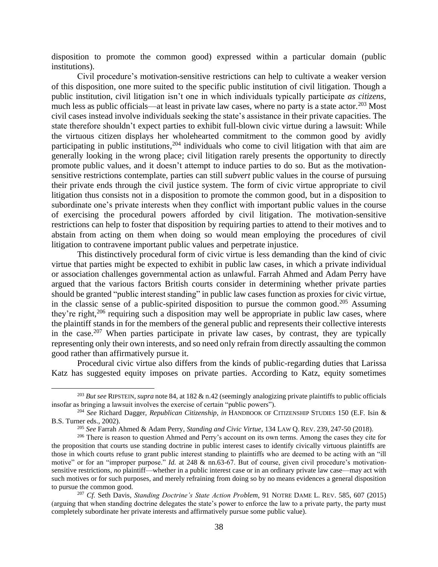disposition to promote the common good) expressed within a particular domain (public institutions).

<span id="page-37-0"></span>Civil procedure's motivation-sensitive restrictions can help to cultivate a weaker version of this disposition, one more suited to the specific public institution of civil litigation. Though a public institution, civil litigation isn't one in which individuals typically participate *as citizens*, much less as public officials—at least in private law cases, where no party is a state actor.<sup>203</sup> Most civil cases instead involve individuals seeking the state's assistance in their private capacities. The state therefore shouldn't expect parties to exhibit full-blown civic virtue during a lawsuit: While the virtuous citizen displays her wholehearted commitment to the common good by avidly participating in public institutions,<sup>204</sup> individuals who come to civil litigation with that aim are generally looking in the wrong place; civil litigation rarely presents the opportunity to directly promote public values, and it doesn't attempt to induce parties to do so. But as the motivationsensitive restrictions contemplate, parties can still *subvert* public values in the course of pursuing their private ends through the civil justice system. The form of civic virtue appropriate to civil litigation thus consists not in a disposition to promote the common good, but in a disposition to subordinate one's private interests when they conflict with important public values in the course of exercising the procedural powers afforded by civil litigation. The motivation-sensitive restrictions can help to foster that disposition by requiring parties to attend to their motives and to abstain from acting on them when doing so would mean employing the procedures of civil litigation to contravene important public values and perpetrate injustice.

This distinctively procedural form of civic virtue is less demanding than the kind of civic virtue that parties might be expected to exhibit in public law cases, in which a private individual or association challenges governmental action as unlawful. Farrah Ahmed and Adam Perry have argued that the various factors British courts consider in determining whether private parties should be granted "public interest standing" in public law cases function as proxies for civic virtue, in the classic sense of a public-spirited disposition to pursue the common good. <sup>205</sup> Assuming they're right,<sup>206</sup> requiring such a disposition may well be appropriate in public law cases, where the plaintiff stands in for the members of the general public and represents their collective interests in the case.<sup>207</sup> When parties participate in private law cases, by contrast, they are typically representing only their own interests, and so need only refrain from directly assaulting the common good rather than affirmatively pursue it.

<span id="page-37-1"></span>Procedural civic virtue also differs from the kinds of public-regarding duties that Larissa Katz has suggested equity imposes on private parties. According to Katz, equity sometimes

<sup>203</sup> *But see* RIPSTEIN, *supra* not[e 84,](#page-15-1) at 182 & n.42 (seemingly analogizing private plaintiffs to public officials insofar as bringing a lawsuit involves the exercise of certain "public powers").

<sup>204</sup> *See* Richard Dagger, *Republican Citizenship*, *in* HANDBOOK OF CITIZENSHIP STUDIES 150 (E.F. Isin & B.S. Turner eds., 2002).

<sup>205</sup> *See* Farrah Ahmed & Adam Perry, *Standing and Civic Virtue*, 134 LAW Q. REV. 239, 247-50 (2018).

<sup>&</sup>lt;sup>206</sup> There is reason to question Ahmed and Perry's account on its own terms. Among the cases they cite for the proposition that courts use standing doctrine in public interest cases to identify civically virtuous plaintiffs are those in which courts refuse to grant public interest standing to plaintiffs who are deemed to be acting with an "ill motive" or for an "improper purpose." *Id.* at 248 & nn.63-67. But of course, given civil procedure's motivationsensitive restrictions, *no* plaintiff—whether in a public interest case or in an ordinary private law case—may act with such motives or for such purposes, and merely refraining from doing so by no means evidences a general disposition to pursue the common good.

<sup>207</sup> *Cf.* Seth Davis, *Standing Doctrine's State Action Problem*, 91 NOTRE DAME L. REV. 585, 607 (2015) (arguing that when standing doctrine delegates the state's power to enforce the law to a private party, the party must completely subordinate her private interests and affirmatively pursue some public value).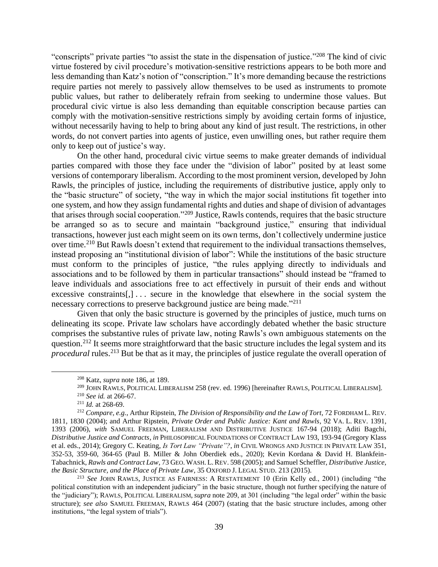"conscripts" private parties "to assist the state in the dispensation of justice."<sup>208</sup> The kind of civic virtue fostered by civil procedure's motivation-sensitive restrictions appears to be both more and less demanding than Katz's notion of "conscription." It's more demanding because the restrictions require parties not merely to passively allow themselves to be used as instruments to promote public values, but rather to deliberately refrain from seeking to undermine those values. But procedural civic virtue is also less demanding than equitable conscription because parties can comply with the motivation-sensitive restrictions simply by avoiding certain forms of injustice, without necessarily having to help to bring about any kind of just result. The restrictions, in other words, do not convert parties into agents of justice, even unwilling ones, but rather require them only to keep out of justice's way.

<span id="page-38-0"></span>On the other hand, procedural civic virtue seems to make greater demands of individual parties compared with those they face under the "division of labor" posited by at least some versions of contemporary liberalism. According to the most prominent version, developed by John Rawls, the principles of justice, including the requirements of distributive justice, apply only to the "basic structure" of society, "the way in which the major social institutions fit together into one system, and how they assign fundamental rights and duties and shape of division of advantages that arises through social cooperation."<sup>209</sup> Justice, Rawls contends, requires that the basic structure be arranged so as to secure and maintain "background justice," ensuring that individual transactions, however just each might seem on its own terms, don't collectively undermine justice over time.<sup>210</sup> But Rawls doesn't extend that requirement to the individual transactions themselves, instead proposing an "institutional division of labor": While the institutions of the basic structure must conform to the principles of justice, "the rules applying directly to individuals and associations and to be followed by them in particular transactions" should instead be "framed to leave individuals and associations free to act effectively in pursuit of their ends and without excessive constraints[,]... secure in the knowledge that elsewhere in the social system the necessary corrections to preserve background justice are being made."<sup>211</sup>

Given that only the basic structure is governed by the principles of justice, much turns on delineating its scope. Private law scholars have accordingly debated whether the basic structure comprises the substantive rules of private law, noting Rawls's own ambiguous statements on the question.<sup>212</sup> It seems more straightforward that the basic structure includes the legal system and its *procedural* rules.<sup>213</sup> But be that as it may, the principles of justice regulate the overall operation of

<span id="page-38-2"></span><span id="page-38-1"></span><sup>208</sup> Katz, *supra* not[e 186,](#page-33-1) at 189.

<sup>209</sup> JOHN RAWLS,POLITICAL LIBERALISM 258 (rev. ed. 1996) [hereinafter RAWLS,POLITICAL LIBERALISM].

<sup>210</sup> *See id.* at 266-67.

<sup>211</sup> *Id.* at 268-69.

<sup>212</sup> *Compare, e.g.*, Arthur Ripstein, *The Division of Responsibility and the Law of Tort*, 72 FORDHAM L. REV. 1811, 1830 (2004); and Arthur Ripstein, *Private Order and Public Justice: Kant and Rawls*, 92 VA. L. REV. 1391, 1393 (2006), *with* SAMUEL FREEMAN, LIBERALISM AND DISTRIBUTIVE JUSTICE 167-94 (2018); Aditi Bagchi, *Distributive Justice and Contracts*, *in* PHILOSOPHICAL FOUNDATIONS OF CONTRACT LAW 193, 193-94 (Gregory Klass et al. eds., 2014); Gregory C. Keating, *Is Tort Law "Private"?*, *in* CIVIL WRONGS AND JUSTICE IN PRIVATE LAW 351, 352-53, 359-60, 364-65 (Paul B. Miller & John Oberdiek eds., 2020); Kevin Kordana & David H. Blankfein-Tabachnick, *Rawls and Contract Law*, 73 GEO. WASH. L.REV. 598 (2005); and Samuel Scheffler, *Distributive Justice, the Basic Structure, and the Place of Private Law*, 35 OXFORD J. LEGAL STUD. 213 (2015).

<sup>213</sup> *See* JOHN RAWLS, JUSTICE AS FAIRNESS: A RESTATEMENT 10 (Erin Kelly ed., 2001) (including "the political constitution with an independent judiciary" in the basic structure, though not further specifying the nature of the "judiciary"); RAWLS,POLITICAL LIBERALISM, *supra* not[e 209,](#page-38-0) at 301 (including "the legal order" within the basic structure); *see also* SAMUEL FREEMAN, RAWLS 464 (2007) (stating that the basic structure includes, among other institutions, "the legal system of trials").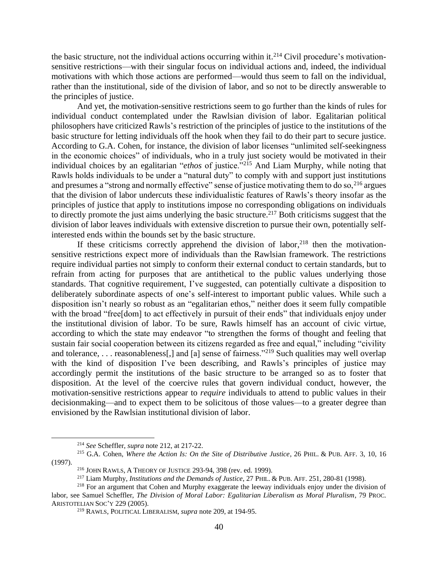the basic structure, not the individual actions occurring within it.<sup>214</sup> Civil procedure's motivationsensitive restrictions—with their singular focus on individual actions and, indeed, the individual motivations with which those actions are performed—would thus seem to fall on the individual, rather than the institutional, side of the division of labor, and so not to be directly answerable to the principles of justice.

And yet, the motivation-sensitive restrictions seem to go further than the kinds of rules for individual conduct contemplated under the Rawlsian division of labor. Egalitarian political philosophers have criticized Rawls's restriction of the principles of justice to the institutions of the basic structure for letting individuals off the hook when they fail to do their part to secure justice. According to G.A. Cohen, for instance, the division of labor licenses "unlimited self-seekingness in the economic choices" of individuals, who in a truly just society would be motivated in their individual choices by an egalitarian "*ethos* of justice."<sup>215</sup> And Liam Murphy, while noting that Rawls holds individuals to be under a "natural duty" to comply with and support just institutions and presumes a "strong and normally effective" sense of justice motivating them to do so,  $^{216}$  argues that the division of labor undercuts these individualistic features of Rawls's theory insofar as the principles of justice that apply to institutions impose no corresponding obligations on individuals to directly promote the just aims underlying the basic structure.<sup>217</sup> Both criticisms suggest that the division of labor leaves individuals with extensive discretion to pursue their own, potentially selfinterested ends within the bounds set by the basic structure.

If these criticisms correctly apprehend the division of labor,  $218$  then the motivationsensitive restrictions expect more of individuals than the Rawlsian framework. The restrictions require individual parties not simply to conform their external conduct to certain standards, but to refrain from acting for purposes that are antithetical to the public values underlying those standards. That cognitive requirement, I've suggested, can potentially cultivate a disposition to deliberately subordinate aspects of one's self-interest to important public values. While such a disposition isn't nearly so robust as an "egalitarian ethos," neither does it seem fully compatible with the broad "free<sup>[dom]</sup> to act effectively in pursuit of their ends" that individuals enjoy under the institutional division of labor. To be sure, Rawls himself has an account of civic virtue, according to which the state may endeavor "to strengthen the forms of thought and feeling that sustain fair social cooperation between its citizens regarded as free and equal," including "civility and tolerance, . . . reasonableness[,] and [a] sense of fairness."<sup>219</sup> Such qualities may well overlap with the kind of disposition I've been describing, and Rawls's principles of justice may accordingly permit the institutions of the basic structure to be arranged so as to foster that disposition. At the level of the coercive rules that govern individual conduct, however, the motivation-sensitive restrictions appear to *require* individuals to attend to public values in their decisionmaking—and to expect them to be solicitous of those values—to a greater degree than envisioned by the Rawlsian institutional division of labor.

<sup>214</sup> *See* Scheffler, *supra* not[e 212,](#page-38-2) at 217-22.

<sup>215</sup> G.A. Cohen, *Where the Action Is: On the Site of Distributive Justice*, 26 PHIL. & PUB. AFF. 3, 10, 16 (1997).

<sup>216</sup> JOHN RAWLS, A THEORY OF JUSTICE 293-94, 398 (rev. ed. 1999).

<sup>217</sup> Liam Murphy, *Institutions and the Demands of Justice*, 27 PHIL. & PUB. AFF. 251, 280-81 (1998).

<sup>&</sup>lt;sup>218</sup> For an argument that Cohen and Murphy exaggerate the leeway individuals enjoy under the division of labor, see Samuel Scheffler, *The Division of Moral Labor: Egalitarian Liberalism as Moral Pluralism*, 79 PROC. ARISTOTELIAN SOC'Y 229 (2005).

<sup>219</sup> RAWLS, POLITICAL LIBERALISM, *supra* note [209,](#page-38-0) at 194-95.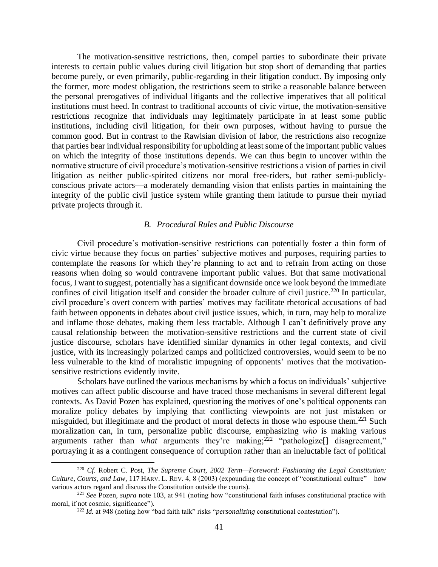The motivation-sensitive restrictions, then, compel parties to subordinate their private interests to certain public values during civil litigation but stop short of demanding that parties become purely, or even primarily, public-regarding in their litigation conduct. By imposing only the former, more modest obligation, the restrictions seem to strike a reasonable balance between the personal prerogatives of individual litigants and the collective imperatives that all political institutions must heed. In contrast to traditional accounts of civic virtue, the motivation-sensitive restrictions recognize that individuals may legitimately participate in at least some public institutions, including civil litigation, for their own purposes, without having to pursue the common good. But in contrast to the Rawlsian division of labor, the restrictions also recognize that parties bear individual responsibility for upholding at least some of the important public values on which the integrity of those institutions depends. We can thus begin to uncover within the normative structure of civil procedure's motivation-sensitive restrictions a vision of parties in civil litigation as neither public-spirited citizens nor moral free-riders, but rather semi-publiclyconscious private actors—a moderately demanding vision that enlists parties in maintaining the integrity of the public civil justice system while granting them latitude to pursue their myriad private projects through it.

### *B. Procedural Rules and Public Discourse*

<span id="page-40-0"></span>Civil procedure's motivation-sensitive restrictions can potentially foster a thin form of civic virtue because they focus on parties' subjective motives and purposes, requiring parties to contemplate the reasons for which they're planning to act and to refrain from acting on those reasons when doing so would contravene important public values. But that same motivational focus, I want to suggest, potentially has a significant downside once we look beyond the immediate confines of civil litigation itself and consider the broader culture of civil justice.<sup>220</sup> In particular, civil procedure's overt concern with parties' motives may facilitate rhetorical accusations of bad faith between opponents in debates about civil justice issues, which, in turn, may help to moralize and inflame those debates, making them less tractable. Although I can't definitively prove any causal relationship between the motivation-sensitive restrictions and the current state of civil justice discourse, scholars have identified similar dynamics in other legal contexts, and civil justice, with its increasingly polarized camps and politicized controversies, would seem to be no less vulnerable to the kind of moralistic impugning of opponents' motives that the motivationsensitive restrictions evidently invite.

Scholars have outlined the various mechanisms by which a focus on individuals' subjective motives can affect public discourse and have traced those mechanisms in several different legal contexts. As David Pozen has explained, questioning the motives of one's political opponents can moralize policy debates by implying that conflicting viewpoints are not just mistaken or misguided, but illegitimate and the product of moral defects in those who espouse them.<sup>221</sup> Such moralization can, in turn, personalize public discourse, emphasizing *who* is making various arguments rather than *what* arguments they're making; <sup>222</sup> "pathologize[] disagreement," portraying it as a contingent consequence of corruption rather than an ineluctable fact of political

<sup>220</sup> *Cf.* Robert C. Post, *The Supreme Court, 2002 Term—Foreword: Fashioning the Legal Constitution: Culture, Courts, and Law*, 117 HARV. L. REV. 4, 8 (2003) (expounding the concept of "constitutional culture"—how various actors regard and discuss the Constitution outside the courts).

<sup>221</sup> *See* Pozen, *supra* note [103,](#page-18-1) at 941 (noting how "constitutional faith infuses constitutional practice with moral, if not cosmic, significance").

<sup>222</sup> *Id.* at 948 (noting how "bad faith talk" risks "*personalizing* constitutional contestation").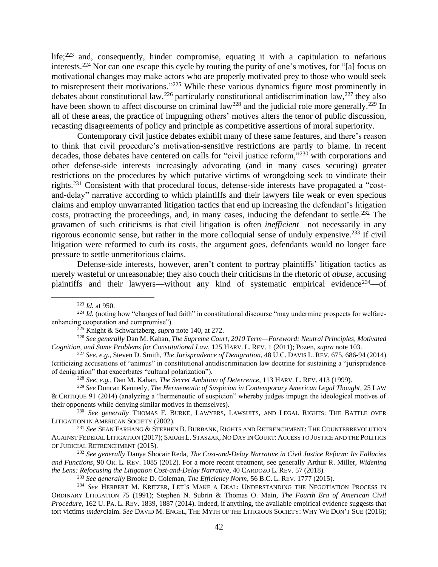life;<sup>223</sup> and, consequently, hinder compromise, equating it with a capitulation to nefarious interests. <sup>224</sup> Nor can one escape this cycle by touting the purity of one's motives, for "[a] focus on motivational changes may make actors who are properly motivated prey to those who would seek to misrepresent their motivations."<sup>225</sup> While these various dynamics figure most prominently in debates about constitutional law,<sup>226</sup> particularly constitutional antidiscrimination law,<sup>227</sup> they also have been shown to affect discourse on criminal law<sup>228</sup> and the judicial role more generally.<sup>229</sup> In all of these areas, the practice of impugning others' motives alters the tenor of public discussion, recasting disagreements of policy and principle as competitive assertions of moral superiority.

Contemporary civil justice debates exhibit many of these same features, and there's reason to think that civil procedure's motivation-sensitive restrictions are partly to blame. In recent decades, those debates have centered on calls for "civil justice reform,"<sup>230</sup> with corporations and other defense-side interests increasingly advocating (and in many cases securing) greater restrictions on the procedures by which putative victims of wrongdoing seek to vindicate their rights.<sup>231</sup> Consistent with that procedural focus, defense-side interests have propagated a "costand-delay" narrative according to which plaintiffs and their lawyers file weak or even specious claims and employ unwarranted litigation tactics that end up increasing the defendant's litigation costs, protracting the proceedings, and, in many cases, inducing the defendant to settle.<sup>232</sup> The gravamen of such criticisms is that civil litigation is often *inefficient*—not necessarily in any rigorous economic sense, but rather in the more colloquial sense of unduly expensive. <sup>233</sup> If civil litigation were reformed to curb its costs, the argument goes, defendants would no longer face pressure to settle unmeritorious claims.

Defense-side interests, however, aren't content to portray plaintiffs' litigation tactics as merely wasteful or unreasonable; they also couch their criticisms in the rhetoric of *abuse*, accusing plaintiffs and their lawyers—without any kind of systematic empirical evidence<sup>234</sup>—of

<sup>228</sup> *See, e.g.*, Dan M. Kahan, *The Secret Ambition of Deterrence*, 113 HARV. L. REV. 413 (1999).

<sup>223</sup> *Id.* at 950.

<sup>&</sup>lt;sup>224</sup> *Id.* (noting how "charges of bad faith" in constitutional discourse "may undermine prospects for welfareenhancing cooperation and compromise").

<sup>225</sup> Knight & Schwartzberg, *supra* note [140,](#page-24-0) at 272.

<sup>226</sup> *See generally* Dan M. Kahan, *The Supreme Court, 2010 Term—Foreword: Neutral Principles, Motivated Cognition, and Some Problems for Constitutional Law*, 125 HARV. L. REV. 1 (2011); Pozen, *supra* not[e 103.](#page-18-1)

<sup>227</sup> *See, e.g.*, Steven D. Smith, *The Jurisprudence of Denigration*, 48 U.C. DAVIS L. REV. 675, 686-94 (2014) (criticizing accusations of "animus" in constitutional antidiscrimination law doctrine for sustaining a "jurisprudence of denigration" that exacerbates "cultural polarization").

<sup>229</sup> *See* Duncan Kennedy, *The Hermeneutic of Suspicion in Contemporary American Legal Thought*, 25 LAW & CRITIQUE 91 (2014) (analyzing a "hermeneutic of suspicion" whereby judges impugn the ideological motives of their opponents while denying similar motives in themselves).

<sup>230</sup> *See generally* THOMAS F. BURKE, LAWYERS, LAWSUITS, AND LEGAL RIGHTS: THE BATTLE OVER LITIGATION IN AMERICAN SOCIETY (2002).

<sup>231</sup> *See* SEAN FARHANG & STEPHEN B. BURBANK, RIGHTS AND RETRENCHMENT: THE COUNTERREVOLUTION AGAINST FEDERAL LITIGATION (2017); SARAH L. STASZAK, NO DAY IN COURT: ACCESS TO JUSTICE AND THE POLITICS OF JUDICIAL RETRENCHMENT (2015).

<sup>232</sup> *See generally* Danya Shocair Reda, *The Cost-and-Delay Narrative in Civil Justice Reform: Its Fallacies and Functions*, 90 OR. L. REV. 1085 (2012). For a more recent treatment, see generally Arthur R. Miller, *Widening the Lens: Refocusing the Litigation Cost-and-Delay Narrative*, 40 CARDOZO L. REV. 57 (2018).

<sup>233</sup> *See generally* Brooke D. Coleman, *The Efficiency Norm*, 56 B.C. L. REV. 1777 (2015).

<sup>234</sup> *See* HERBERT M. KRITZER, LET'S MAKE A DEAL: UNDERSTANDING THE NEGOTIATION PROCESS IN ORDINARY LITIGATION 75 (1991); Stephen N. Subrin & Thomas O. Main, *The Fourth Era of American Civil Procedure*, 162 U.PA. L. REV. 1839, 1887 (2014). Indeed, if anything, the available empirical evidence suggests that tort victims *under*claim. *See* DAVID M. ENGEL, THE MYTH OF THE LITIGIOUS SOCIETY: WHY WE DON'T SUE (2016);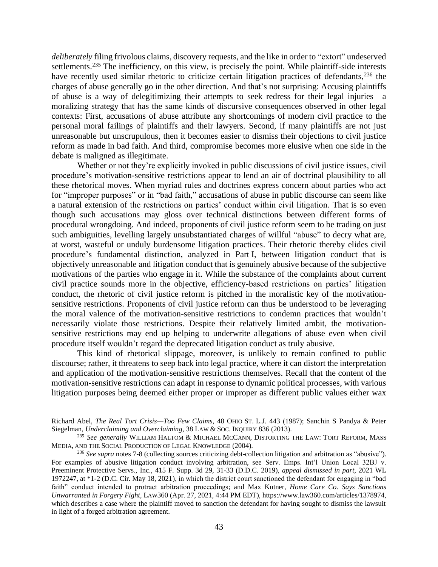<span id="page-42-0"></span>*deliberately* filing frivolous claims, discovery requests, and the like in order to "extort" undeserved settlements.<sup>235</sup> The inefficiency, on this view, is precisely the point. While plaintiff-side interests have recently used similar rhetoric to criticize certain litigation practices of defendants,<sup>236</sup> the charges of abuse generally go in the other direction. And that's not surprising: Accusing plaintiffs of abuse is a way of delegitimizing their attempts to seek redress for their legal injuries—a moralizing strategy that has the same kinds of discursive consequences observed in other legal contexts: First, accusations of abuse attribute any shortcomings of modern civil practice to the personal moral failings of plaintiffs and their lawyers. Second, if many plaintiffs are not just unreasonable but unscrupulous, then it becomes easier to dismiss their objections to civil justice reform as made in bad faith. And third, compromise becomes more elusive when one side in the debate is maligned as illegitimate.

Whether or not they're explicitly invoked in public discussions of civil justice issues, civil procedure's motivation-sensitive restrictions appear to lend an air of doctrinal plausibility to all these rhetorical moves. When myriad rules and doctrines express concern about parties who act for "improper purposes" or in "bad faith," accusations of abuse in public discourse can seem like a natural extension of the restrictions on parties' conduct within civil litigation. That is so even though such accusations may gloss over technical distinctions between different forms of procedural wrongdoing. And indeed, proponents of civil justice reform seem to be trading on just such ambiguities, levelling largely unsubstantiated charges of willful "abuse" to decry what are, at worst, wasteful or unduly burdensome litigation practices. Their rhetoric thereby elides civil procedure's fundamental distinction, analyzed in Part I, between litigation conduct that is objectively unreasonable and litigation conduct that is genuinely abusive because of the subjective motivations of the parties who engage in it. While the substance of the complaints about current civil practice sounds more in the objective, efficiency-based restrictions on parties' litigation conduct, the rhetoric of civil justice reform is pitched in the moralistic key of the motivationsensitive restrictions. Proponents of civil justice reform can thus be understood to be leveraging the moral valence of the motivation-sensitive restrictions to condemn practices that wouldn't necessarily violate those restrictions. Despite their relatively limited ambit, the motivationsensitive restrictions may end up helping to underwrite allegations of abuse even when civil procedure itself wouldn't regard the deprecated litigation conduct as truly abusive.

This kind of rhetorical slippage, moreover, is unlikely to remain confined to public discourse; rather, it threatens to seep back into legal practice, where it can distort the interpretation and application of the motivation-sensitive restrictions themselves. Recall that the content of the motivation-sensitive restrictions can adapt in response to dynamic political processes, with various litigation purposes being deemed either proper or improper as different public values either wax

Richard Abel, *The Real Tort Crisis—Too Few Claims*, 48 OHIO ST. L.J. 443 (1987); Sanchin S Pandya & Peter Siegelman, *Underclaiming and Overclaiming*, 38 LAW & SOC. INQUIRY 836 (2013).

<sup>235</sup> *See generally* WILLIAM HALTOM & MICHAEL MCCANN, DISTORTING THE LAW: TORT REFORM, MASS MEDIA, AND THE SOCIAL PRODUCTION OF LEGAL KNOWLEDGE (2004).

<sup>236</sup> *See supra* note[s 7](#page-2-2)[-8](#page-2-3) (collecting sources criticizing debt-collection litigation and arbitration as "abusive"). For examples of abusive litigation conduct involving arbitration, see Serv. Emps. Int'l Union Local 32BJ v. Preeminent Protective Servs., Inc., 415 F. Supp. 3d 29, 31-33 (D.D.C. 2019), *appeal dismissed in part*, 2021 WL 1972247, at \*1-2 (D.C. Cir. May 18, 2021), in which the district court sanctioned the defendant for engaging in "bad faith" conduct intended to protract arbitration proceedings; and Max Kutner, *Home Care Co. Says Sanctions Unwarranted in Forgery Fight*, LAW360 (Apr. 27, 2021, 4:44 PM EDT), https://www.law360.com/articles/1378974, which describes a case where the plaintiff moved to sanction the defendant for having sought to dismiss the lawsuit in light of a forged arbitration agreement.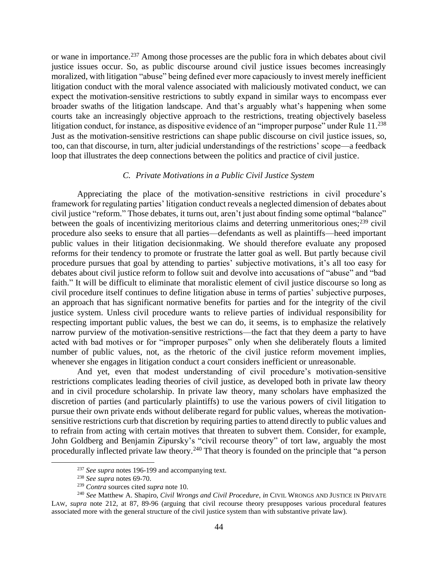or wane in importance.<sup>237</sup> Among those processes are the public fora in which debates about civil justice issues occur. So, as public discourse around civil justice issues becomes increasingly moralized, with litigation "abuse" being defined ever more capaciously to invest merely inefficient litigation conduct with the moral valence associated with maliciously motivated conduct, we can expect the motivation-sensitive restrictions to subtly expand in similar ways to encompass ever broader swaths of the litigation landscape. And that's arguably what's happening when some courts take an increasingly objective approach to the restrictions, treating objectively baseless litigation conduct, for instance, as dispositive evidence of an "improper purpose" under Rule 11.<sup>238</sup> Just as the motivation-sensitive restrictions can shape public discourse on civil justice issues, so, too, can that discourse, in turn, alter judicial understandings of the restrictions' scope—a feedback loop that illustrates the deep connections between the politics and practice of civil justice.

#### *C. Private Motivations in a Public Civil Justice System*

<span id="page-43-0"></span>Appreciating the place of the motivation-sensitive restrictions in civil procedure's framework for regulating parties' litigation conduct reveals a neglected dimension of debates about civil justice "reform." Those debates, it turns out, aren't just about finding some optimal "balance" between the goals of incentivizing meritorious claims and deterring unmeritorious ones;<sup>239</sup> civil procedure also seeks to ensure that all parties—defendants as well as plaintiffs—heed important public values in their litigation decisionmaking. We should therefore evaluate any proposed reforms for their tendency to promote or frustrate the latter goal as well. But partly because civil procedure pursues that goal by attending to parties' subjective motivations, it's all too easy for debates about civil justice reform to follow suit and devolve into accusations of "abuse" and "bad faith." It will be difficult to eliminate that moralistic element of civil justice discourse so long as civil procedure itself continues to define litigation abuse in terms of parties' subjective purposes, an approach that has significant normative benefits for parties and for the integrity of the civil justice system. Unless civil procedure wants to relieve parties of individual responsibility for respecting important public values, the best we can do, it seems, is to emphasize the relatively narrow purview of the motivation-sensitive restrictions—the fact that they deem a party to have acted with bad motives or for "improper purposes" only when she deliberately flouts a limited number of public values, not, as the rhetoric of the civil justice reform movement implies, whenever she engages in litigation conduct a court considers inefficient or unreasonable.

And yet, even that modest understanding of civil procedure's motivation-sensitive restrictions complicates leading theories of civil justice, as developed both in private law theory and in civil procedure scholarship. In private law theory, many scholars have emphasized the discretion of parties (and particularly plaintiffs) to use the various powers of civil litigation to pursue their own private ends without deliberate regard for public values, whereas the motivationsensitive restrictions curb that discretion by requiring parties to attend directly to public values and to refrain from acting with certain motives that threaten to subvert them. Consider, for example, John Goldberg and Benjamin Zipursky's "civil recourse theory" of tort law, arguably the most procedurally inflected private law theory.<sup>240</sup> That theory is founded on the principle that "a person

<sup>237</sup> *See supra* note[s 196-](#page-34-0)[199](#page-35-1) and accompanying text.

<sup>238</sup> *See supra* note[s 69-](#page-14-2)[70.](#page-14-0)

<sup>239</sup> *Contra* sources cited *supra* not[e 10.](#page-3-0)

<sup>240</sup> *See* Matthew A. Shapiro, *Civil Wrongs and Civil Procedure*, *in* CIVIL WRONGS AND JUSTICE IN PRIVATE LAW, *supra* note [212,](#page-38-2) at 87, 89-96 (arguing that civil recourse theory presupposes various procedural features associated more with the general structure of the civil justice system than with substantive private law).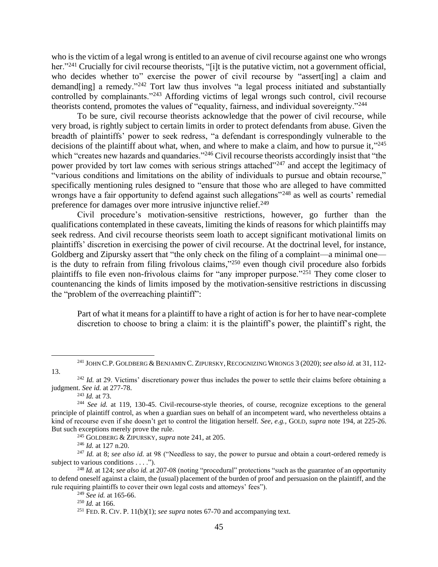<span id="page-44-0"></span>who is the victim of a legal wrong is entitled to an avenue of civil recourse against one who wrongs her."<sup>241</sup> Crucially for civil recourse theorists, "[i]t is the putative victim, not a government official, who decides whether to" exercise the power of civil recourse by "assert [ing] a claim and demand[ing] a remedy."<sup>242</sup> Tort law thus involves "a legal process initiated and substantially controlled by complainants."<sup>243</sup> Affording victims of legal wrongs such control, civil recourse theorists contend, promotes the values of "equality, fairness, and individual sovereignty."<sup>244</sup>

To be sure, civil recourse theorists acknowledge that the power of civil recourse, while very broad, is rightly subject to certain limits in order to protect defendants from abuse. Given the breadth of plaintiffs' power to seek redress, "a defendant is correspondingly vulnerable to the decisions of the plaintiff about what, when, and where to make a claim, and how to pursue it,"<sup>245</sup> which "creates new hazards and quandaries."<sup>246</sup> Civil recourse theorists accordingly insist that "the power provided by tort law comes with serious strings attached"<sup>247</sup> and accept the legitimacy of "various conditions and limitations on the ability of individuals to pursue and obtain recourse," specifically mentioning rules designed to "ensure that those who are alleged to have committed wrongs have a fair opportunity to defend against such allegations"<sup>248</sup> as well as courts' remedial preference for damages over more intrusive injunctive relief.<sup>249</sup>

Civil procedure's motivation-sensitive restrictions, however, go further than the qualifications contemplated in these caveats, limiting the kinds of reasons for which plaintiffs may seek redress. And civil recourse theorists seem loath to accept significant motivational limits on plaintiffs' discretion in exercising the power of civil recourse. At the doctrinal level, for instance, Goldberg and Zipursky assert that "the only check on the filing of a complaint—a minimal one is the duty to refrain from filing frivolous claims,"<sup>250</sup> even though civil procedure also forbids plaintiffs to file even non-frivolous claims for "any improper purpose."<sup>251</sup> They come closer to countenancing the kinds of limits imposed by the motivation-sensitive restrictions in discussing the "problem of the overreaching plaintiff":

Part of what it means for a plaintiff to have a right of action is for her to have near-complete discretion to choose to bring a claim: it is the plaintiff's power, the plaintiff's right, the

<sup>243</sup> *Id.* at 73.

<sup>246</sup> *Id.* at 127 n.20.

<sup>&</sup>lt;sup>241</sup> JOHN C.P. GOLDBERG & BENJAMIN C. ZIPURSKY, RECOGNIZING WRONGS 3 (2020); *see also id.* at 31, 112-13.

<sup>&</sup>lt;sup>242</sup> *Id.* at 29. Victims' discretionary power thus includes the power to settle their claims before obtaining a judgment. *See id.* at 277-78.

<sup>&</sup>lt;sup>244</sup> See id. at 119, 130-45. Civil-recourse-style theories, of course, recognize exceptions to the general principle of plaintiff control, as when a guardian sues on behalf of an incompetent ward, who nevertheless obtains a kind of recourse even if she doesn't get to control the litigation herself. *See, e.g.*, GOLD, *supra* note [194,](#page-34-1) at 225-26. But such exceptions merely prove the rule.

<sup>245</sup> GOLDBERG & ZIPURSKY, *supra* not[e 241,](#page-44-0) at 205.

<sup>&</sup>lt;sup>247</sup> *Id.* at 8; *see also id.* at 98 ("Needless to say, the power to pursue and obtain a court-ordered remedy is subject to various conditions . . . .").

<sup>248</sup> *Id.* at 124; *see also id.* at 207-08 (noting "procedural" protections "such as the guarantee of an opportunity to defend oneself against a claim, the (usual) placement of the burden of proof and persuasion on the plaintiff, and the rule requiring plaintiffs to cover their own legal costs and attorneys' fees").

<sup>249</sup> *See id.* at 165-66.

<sup>250</sup> *Id.* at 166.

<sup>&</sup>lt;sup>251</sup> FED. R. CIV. P.  $11(b)(1)$ ; *see supra* notes [67](#page-13-2)[-70](#page-14-0) and accompanying text.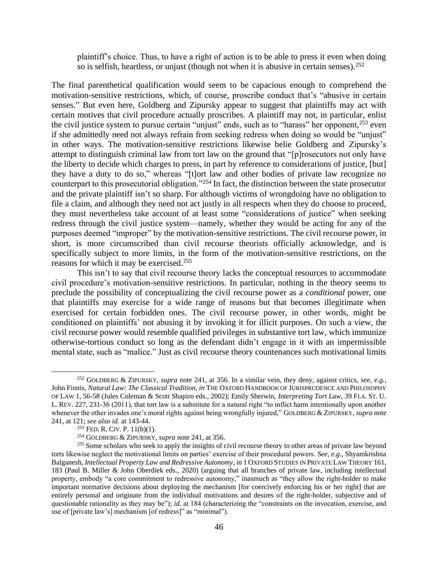plaintiff's choice. Thus, to have a right of action is to be able to press it even when doing so is selfish, heartless, or unjust (though not when it is abusive in certain senses).  $252$ 

The final parenthetical qualification would seem to be capacious enough to comprehend the motivation-sensitive restrictions, which, of course, proscribe conduct that's "abusive in certain senses." But even here, Goldberg and Zipursky appear to suggest that plaintiffs may act with certain motives that civil procedure actually proscribes. A plaintiff may not, in particular, enlist the civil justice system to pursue certain "unjust" ends, such as to "harass" her opponent,<sup>253</sup> even if she admittedly need not always refrain from seeking redress when doing so would be "unjust" in other ways. The motivation-sensitive restrictions likewise belie Goldberg and Zipursky's attempt to distinguish criminal law from tort law on the ground that "[p]rosecutors not only have the liberty to decide which charges to press, in part by reference to considerations of justice, [but] they have a duty to do so," whereas "[t]ort law and other bodies of private law recognize no counterpart to this prosecutorial obligation."<sup>254</sup> In fact, the distinction between the state prosecutor and the private plaintiff isn't so sharp. For although victims of wrongdoing have no obligation to file a claim, and although they need not act justly in all respects when they do choose to proceed, they must nevertheless take account of at least some "considerations of justice" when seeking redress through the civil justice system—namely, whether they would be acting for any of the purposes deemed "improper" by the motivation-sensitive restrictions. The civil recourse power, in short, is more circumscribed than civil recourse theorists officially acknowledge, and is specifically subject to more limits, in the form of the motivation-sensitive restrictions, on the reasons for which it may be exercised. 255

This isn't to say that civil recourse theory lacks the conceptual resources to accommodate civil procedure's motivation-sensitive restrictions. In particular, nothing in the theory seems to preclude the possibility of conceptualizing the civil recourse power as a *conditional* power, one that plaintiffs may exercise for a wide range of reasons but that becomes illegitimate when exercised for certain forbidden ones. The civil recourse power, in other words, might be conditioned on plaintiffs' not abusing it by invoking it for illicit purposes. On such a view, the civil recourse power would resemble qualified privileges in substantive tort law, which immunize otherwise-tortious conduct so long as the defendant didn't engage in it with an impermissible mental state, such as "malice." Just as civil recourse theory countenances such motivational limits

<sup>252</sup> GOLDBERG & ZIPURSKY, *supra* note [241,](#page-44-0) at 356. In a similar vein, they deny, against critics, s*ee, e.g.*, John Finnis, *Natural Law: The Classical Tradition*, *in* THE OXFORD HANDBOOK OF JURISPRUDENCE AND PHILOSOPHY OF LAW 1, 56-58 (Jules Coleman & Scott Shapiro eds., 2002); Emily Sherwin, *Interpreting Tort Law*, 39 FLA.ST. U. L. REV. 227, 231-36 (2011), that tort law is a substitute for a natural right "to inflict harm intentionally upon another whenever the other invades one's moral rights against being wrongfully injured," GOLDBERG & ZIPURSKY, *supra* note [241,](#page-44-0) at 121; *see also id.* at 143-44.

 $253$  FED. R. CIV. P. 11(b)(1).

<sup>254</sup> GOLDBERG & ZIPURSKY, *supra* not[e 241,](#page-44-0) at 356.

<sup>&</sup>lt;sup>255</sup> Some scholars who seek to apply the insights of civil recourse theory to other areas of private law beyond torts likewise neglect the motivational limits on parties' exercise of their procedural powers. *See, e.g.*, Shyamkrishna Balganesh, *Intellectual Property Law and Redressive Autonomy*, *in* 1 OXFORD STUDIES IN PRIVATE LAW THEORY 161, 183 (Paul B. Miller & John Oberdiek eds., 2020) (arguing that all branches of private law, including intellectual property, embody "a core commitment to redressive autonomy," inasmuch as "they allow the right-holder to make important normative decisions about deploying the mechanism [for coercively enforcing his or her right] that are entirely personal and originate from the individual motivations and desires of the right-holder, subjective and of questionable rationality as they may be"); *id.* at 184 (characterizing the "constraints on the invocation, exercise, and use of [private law's] mechanism [of redress]" as "minimal").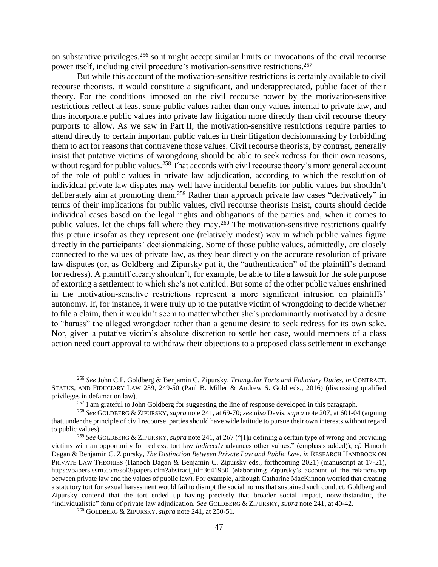<span id="page-46-1"></span><span id="page-46-0"></span>on substantive privileges, <sup>256</sup> so it might accept similar limits on invocations of the civil recourse power itself, including civil procedure's motivation-sensitive restrictions. 257

But while this account of the motivation-sensitive restrictions is certainly available to civil recourse theorists, it would constitute a significant, and underappreciated, public facet of their theory. For the conditions imposed on the civil recourse power by the motivation-sensitive restrictions reflect at least some public values rather than only values internal to private law, and thus incorporate public values into private law litigation more directly than civil recourse theory purports to allow. As we saw in Part II, the motivation-sensitive restrictions require parties to attend directly to certain important public values in their litigation decisionmaking by forbidding them to act for reasons that contravene those values. Civil recourse theorists, by contrast, generally insist that putative victims of wrongdoing should be able to seek redress for their own reasons, without regard for public values.<sup>258</sup> That accords with civil recourse theory's more general account of the role of public values in private law adjudication, according to which the resolution of individual private law disputes may well have incidental benefits for public values but shouldn't deliberately aim at promoting them.<sup>259</sup> Rather than approach private law cases "derivatively" in terms of their implications for public values, civil recourse theorists insist, courts should decide individual cases based on the legal rights and obligations of the parties and, when it comes to public values, let the chips fall where they may.<sup>260</sup> The motivation-sensitive restrictions qualify this picture insofar as they represent one (relatively modest) way in which public values figure directly in the participants' decisionmaking. Some of those public values, admittedly, are closely connected to the values of private law, as they bear directly on the accurate resolution of private law disputes (or, as Goldberg and Zipursky put it, the "authentication" of the plaintiff's demand for redress). A plaintiff clearly shouldn't, for example, be able to file a lawsuit for the sole purpose of extorting a settlement to which she's not entitled. But some of the other public values enshrined in the motivation-sensitive restrictions represent a more significant intrusion on plaintiffs' autonomy. If, for instance, it were truly up to the putative victim of wrongdoing to decide whether to file a claim, then it wouldn't seem to matter whether she's predominantly motivated by a desire to "harass" the alleged wrongdoer rather than a genuine desire to seek redress for its own sake. Nor, given a putative victim's absolute discretion to settle her case, would members of a class action need court approval to withdraw their objections to a proposed class settlement in exchange

<sup>256</sup> *See* John C.P. Goldberg & Benjamin C. Zipursky, *Triangular Torts and Fiduciary Duties*, *in* CONTRACT, STATUS, AND FIDUCIARY LAW 239, 249-50 (Paul B. Miller & Andrew S. Gold eds., 2016) (discussing qualified privileges in defamation law).

<sup>&</sup>lt;sup>257</sup> I am grateful to John Goldberg for suggesting the line of response developed in this paragraph.

<sup>258</sup> *See* GOLDBERG & ZIPURSKY, *supra* not[e 241,](#page-44-0) at 69-70; *see also* Davis, *supra* not[e 207,](#page-37-1) at 601-04 (arguing that, under the principle of civil recourse, parties should have wide latitude to pursue their own interests without regard to public values).

<sup>259</sup> *See* GOLDBERG & ZIPURSKY, *supra* not[e 241,](#page-44-0) at 267 ("[I]n defining a certain type of wrong and providing victims with an opportunity for redress, tort law *indirectly* advances other values." (emphasis added)); *cf.* Hanoch Dagan & Benjamin C. Zipursky, *The Distinction Between Private Law and Public Law*, *in* RESEARCH HANDBOOK ON PRIVATE LAW THEORIES (Hanoch Dagan & Benjamin C. Zipursky eds., forthcoming 2021) (manuscript at 17-21), https://papers.ssrn.com/sol3/papers.cfm?abstract\_id=3641950 (elaborating Zipursky's account of the relationship between private law and the values of public law). For example, although Catharine MacKinnon worried that creating a statutory tort for sexual harassment would fail to disrupt the social norms that sustained such conduct, Goldberg and Zipursky contend that the tort ended up having precisely that broader social impact, notwithstanding the "individualistic" form of private law adjudication. *See* GOLDBERG & ZIPURSKY, *supra* not[e 241,](#page-44-0) at 40-42.

<sup>260</sup> GOLDBERG & ZIPURSKY, *supra* not[e 241,](#page-44-0) at 250-51.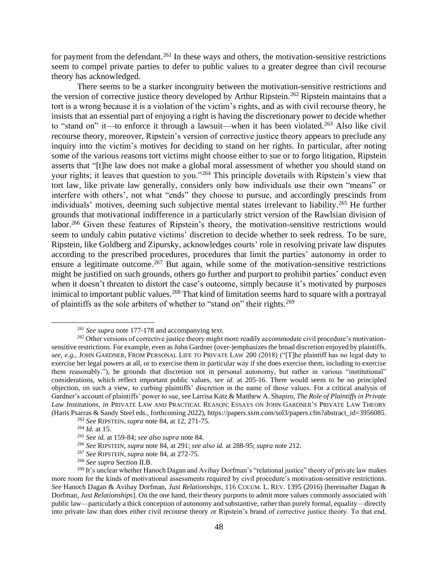for payment from the defendant.<sup>261</sup> In these ways and others, the motivation-sensitive restrictions seem to compel private parties to defer to public values to a greater degree than civil recourse theory has acknowledged.

<span id="page-47-2"></span><span id="page-47-0"></span>There seems to be a starker incongruity between the motivation-sensitive restrictions and the version of corrective justice theory developed by Arthur Ripstein.<sup>262</sup> Ripstein maintains that a tort is a wrong because it is a violation of the victim's rights, and as with civil recourse theory, he insists that an essential part of enjoying a right is having the discretionary power to decide whether to "stand on" it—to enforce it through a lawsuit—when it has been violated.<sup>263</sup> Also like civil recourse theory, moreover, Ripstein's version of corrective justice theory appears to preclude any inquiry into the victim's motives for deciding to stand on her rights. In particular, after noting some of the various reasons tort victims might choose either to sue or to forgo litigation, Ripstein asserts that "[t]he law does not make a global moral assessment of whether you should stand on your rights; it leaves that question to you."<sup>264</sup> This principle dovetails with Ripstein's view that tort law, like private law generally, considers only how individuals use their own "means" or interfere with others', not what "ends" they choose to pursue, and accordingly prescinds from individuals' motives, deeming such subjective mental states irrelevant to liability.<sup>265</sup> He further grounds that motivational indifference in a particularly strict version of the Rawlsian division of labor.<sup>266</sup> Given these features of Ripstein's theory, the motivation-sensitive restrictions would seem to unduly cabin putative victims' discretion to decide whether to seek redress. To be sure, Ripstein, like Goldberg and Zipursky, acknowledges courts' role in resolving private law disputes according to the prescribed procedures, procedures that limit the parties' autonomy in order to ensure a legitimate outcome.<sup>267</sup> But again, while some of the motivation-sensitive restrictions might be justified on such grounds, others go further and purport to prohibit parties' conduct even when it doesn't threaten to distort the case's outcome, simply because it's motivated by purposes inimical to important public values. <sup>268</sup> That kind of limitation seems hard to square with a portrayal of plaintiffs as the sole arbiters of whether to "stand on" their rights.<sup>269</sup>

<span id="page-47-1"></span><sup>261</sup> *See supra* not[e 177](#page-30-1)[-178](#page-31-2) and accompanying text.

<sup>&</sup>lt;sup>262</sup> Other versions of corrective justice theory might more readily accommodate civil procedure's motivationsensitive restrictions. For example, even as John Gardner (over-)emphasizes the broad discretion enjoyed by plaintiffs, *see, e.g.*, JOHN GARDNER, FROM PERSONAL LIFE TO PRIVATE LAW 200 (2018) ("[T]he plaintiff has no legal duty to exercise her legal powers at all, or to exercise them in particular way if she does exercise them, including to exercise them reasonably."), he grounds that discretion not in personal autonomy, but rather in various "institutional" considerations, which reflect important public values, *see id.* at 205-16. There would seem to be no principled objection, on such a view, to curbing plaintiffs' discretion in the name of those values. For a critical analysis of Gardner's account of plaintiffs' power to sue, see Larrisa Katz & Matthew A. Shapiro, *The Role of Plaintiffs in Private Law Institutions*, *in* PRIVATE LAW AND PRACTICAL REASON: ESSAYS ON JOHN GARDNER'S PRIVATE LAW THEORY (Haris Psarras & Sandy Steel eds., forthcoming 2022), https://papers.ssrn.com/sol3/papers.cfm?abstract\_id=3956085.

<sup>263</sup> *See* RIPSTEIN, *supra* not[e 84,](#page-15-1) at 12, 271-75.

<sup>264</sup> *Id.* at 15.

<sup>265</sup> *See id.* at 159-84; *see also supra* not[e 84.](#page-15-1)

<sup>266</sup> *See* RIPSTEIN, *supra* note [84,](#page-15-1) at 291; *see also id.* at 288-95; *supra* not[e 212.](#page-38-2)

<sup>267</sup> *See* RIPSTEIN, *supra* note [84,](#page-15-1) at 272-75.

<sup>268</sup> *See supra* Section II.B.

<sup>&</sup>lt;sup>269</sup> It's unclear whether Hanoch Dagan and Avihay Dorfman's "relational justice" theory of private law makes more room for the kinds of motivational assessments required by civil procedure's motivation-sensitive restrictions. *See* Hanoch Dagan & Avihay Dorfman, *Just Relationships*, 116 COLUM. L. REV. 1395 (2016) [hereinafter Dagan & Dorfman, *Just Relationships*]. On the one hand, their theory purports to admit more values commonly associated with public law—particularly a thick conception of autonomy and substantive, rather than purely formal, equality—directly into private law than does either civil recourse theory or Ripstein's brand of corrective justice theory. To that end,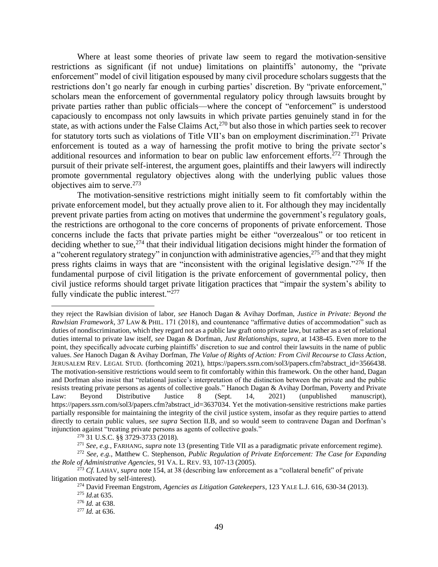Where at least some theories of private law seem to regard the motivation-sensitive restrictions as significant (if not undue) limitations on plaintiffs' autonomy, the "private enforcement" model of civil litigation espoused by many civil procedure scholars suggests that the restrictions don't go nearly far enough in curbing parties' discretion. By "private enforcement," scholars mean the enforcement of governmental regulatory policy through lawsuits brought by private parties rather than public officials—where the concept of "enforcement" is understood capaciously to encompass not only lawsuits in which private parties genuinely stand in for the state, as with actions under the False Claims Act,<sup>270</sup> but also those in which parties seek to recover for statutory torts such as violations of Title VII's ban on employment discrimination.<sup>271</sup> Private enforcement is touted as a way of harnessing the profit motive to bring the private sector's additional resources and information to bear on public law enforcement efforts.<sup>272</sup> Through the pursuit of their private self-interest, the argument goes, plaintiffs and their lawyers will indirectly promote governmental regulatory objectives along with the underlying public values those objectives aim to serve. 273

The motivation-sensitive restrictions might initially seem to fit comfortably within the private enforcement model, but they actually prove alien to it. For although they may incidentally prevent private parties from acting on motives that undermine the government's regulatory goals, the restrictions are orthogonal to the core concerns of proponents of private enforcement. Those concerns include the facts that private parties might be either "overzealous" or too reticent in deciding whether to sue,<sup>274</sup> that their individual litigation decisions might hinder the formation of a "coherent regulatory strategy" in conjunction with administrative agencies, <sup>275</sup> and that they might press rights claims in ways that are "inconsistent with the original legislative design."<sup>276</sup> If the fundamental purpose of civil litigation is the private enforcement of governmental policy, then civil justice reforms should target private litigation practices that "impair the system's ability to fully vindicate the public interest."<sup>277</sup>

they reject the Rawlsian division of labor, *see* Hanoch Dagan & Avihay Dorfman, *Justice in Private: Beyond the Rawlsian Framework*, 37 LAW & PHIL. 171 (2018), and countenance "affirmative duties of accommodation" such as duties of nondiscrimination, which they regard not as a public law graft onto private law, but rather as a set of relational duties internal to private law itself, *see* Dagan & Dorfman, *Just Relationships*, *supra*, at 1438-45. Even more to the point, they specifically advocate curbing plaintiffs' discretion to sue and control their lawsuits in the name of public values. *See* Hanoch Dagan & Avihay Dorfman, *The Value of Rights of Action: From Civil Recourse to Class Action*, JERUSALEM REV. LEGAL STUD. (forthcoming 2021), https://papers.ssrn.com/sol3/papers.cfm?abstract\_id=3566438. The motivation-sensitive restrictions would seem to fit comfortably within this framework. On the other hand, Dagan and Dorfman also insist that "relational justice's interpretation of the distinction between the private and the public resists treating private persons as agents of collective goals." Hanoch Dagan & Avihay Dorfman, Poverty and Private Law: Beyond Distributive Justice 8 (Sept. 14, 2021) (unpublished manuscript), https://papers.ssrn.com/sol3/papers.cfm?abstract\_id=3637034. Yet the motivation-sensitive restrictions make parties partially responsible for maintaining the integrity of the civil justice system, insofar as they require parties to attend directly to certain public values, *see supra* Section II.B, and so would seem to contravene Dagan and Dorfman's injunction against "treating private persons as agents of collective goals."

<sup>270</sup> 31 U.S.C. §§ 3729-3733 (2018).

<sup>271</sup> *See, e.g.*, FARHANG, *supra* not[e 13](#page-4-0) (presenting Title VII as a paradigmatic private enforcement regime).

<sup>272</sup> *See, e.g.*, Matthew C. Stephenson, *Public Regulation of Private Enforcement: The Case for Expanding the Role of Administrative Agencies*, 91 VA. L. REV. 93, 107-13 (2005).

<sup>273</sup> *Cf.* LAHAV, *supra* note [154,](#page-26-0) at 38 (describing law enforcement as a "collateral benefit" of private litigation motivated by self-interest).

<sup>274</sup> David Freeman Engstrom, *Agencies as Litigation Gatekeepers*, 123 YALE L.J. 616, 630-34 (2013).

<sup>275</sup> *Id.*at 635.

<sup>276</sup> *Id.* at 638.

<sup>277</sup> *Id.* at 636.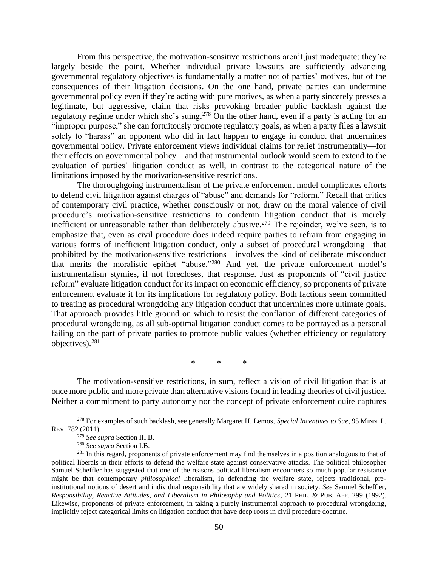From this perspective, the motivation-sensitive restrictions aren't just inadequate; they're largely beside the point. Whether individual private lawsuits are sufficiently advancing governmental regulatory objectives is fundamentally a matter not of parties' motives, but of the consequences of their litigation decisions. On the one hand, private parties can undermine governmental policy even if they're acting with pure motives, as when a party sincerely presses a legitimate, but aggressive, claim that risks provoking broader public backlash against the regulatory regime under which she's suing.<sup>278</sup> On the other hand, even if a party is acting for an "improper purpose," she can fortuitously promote regulatory goals, as when a party files a lawsuit solely to "harass" an opponent who did in fact happen to engage in conduct that undermines governmental policy. Private enforcement views individual claims for relief instrumentally—for their effects on governmental policy—and that instrumental outlook would seem to extend to the evaluation of parties' litigation conduct as well, in contrast to the categorical nature of the limitations imposed by the motivation-sensitive restrictions.

The thoroughgoing instrumentalism of the private enforcement model complicates efforts to defend civil litigation against charges of "abuse" and demands for "reform." Recall that critics of contemporary civil practice, whether consciously or not, draw on the moral valence of civil procedure's motivation-sensitive restrictions to condemn litigation conduct that is merely inefficient or unreasonable rather than deliberately abusive.<sup>279</sup> The rejoinder, we've seen, is to emphasize that, even as civil procedure does indeed require parties to refrain from engaging in various forms of inefficient litigation conduct, only a subset of procedural wrongdoing—that prohibited by the motivation-sensitive restrictions—involves the kind of deliberate misconduct that merits the moralistic epithet "abuse."<sup>280</sup> And yet, the private enforcement model's instrumentalism stymies, if not forecloses, that response. Just as proponents of "civil justice reform" evaluate litigation conduct for its impact on economic efficiency, so proponents of private enforcement evaluate it for its implications for regulatory policy. Both factions seem committed to treating as procedural wrongdoing any litigation conduct that undermines more ultimate goals. That approach provides little ground on which to resist the conflation of different categories of procedural wrongdoing, as all sub-optimal litigation conduct comes to be portrayed as a personal failing on the part of private parties to promote public values (whether efficiency or regulatory objectives). 281

\* \* \*

The motivation-sensitive restrictions, in sum, reflect a vision of civil litigation that is at once more public and more private than alternative visions found in leading theories of civil justice. Neither a commitment to party autonomy nor the concept of private enforcement quite captures

<sup>278</sup> For examples of such backlash, see generally Margaret H. Lemos, *Special Incentives to Sue*, 95 MINN. L. REV. 782 (2011).

<sup>279</sup> *See supra* Section III.B.

<sup>280</sup> *See supra* Section I.B.

<sup>&</sup>lt;sup>281</sup> In this regard, proponents of private enforcement may find themselves in a position analogous to that of political liberals in their efforts to defend the welfare state against conservative attacks. The political philosopher Samuel Scheffler has suggested that one of the reasons political liberalism encounters so much popular resistance might be that contemporary *philosophical* liberalism, in defending the welfare state, rejects traditional, preinstitutional notions of desert and individual responsibility that are widely shared in society. *See* Samuel Scheffler, *Responsibility, Reactive Attitudes, and Liberalism in Philosophy and Politics*, 21 PHIL. & PUB. AFF. 299 (1992). Likewise, proponents of private enforcement, in taking a purely instrumental approach to procedural wrongdoing, implicitly reject categorical limits on litigation conduct that have deep roots in civil procedure doctrine.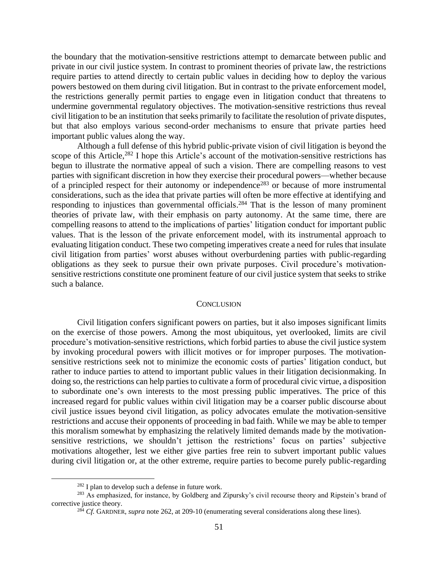the boundary that the motivation-sensitive restrictions attempt to demarcate between public and private in our civil justice system. In contrast to prominent theories of private law, the restrictions require parties to attend directly to certain public values in deciding how to deploy the various powers bestowed on them during civil litigation. But in contrast to the private enforcement model, the restrictions generally permit parties to engage even in litigation conduct that threatens to undermine governmental regulatory objectives. The motivation-sensitive restrictions thus reveal civil litigation to be an institution that seeks primarily to facilitate the resolution of private disputes, but that also employs various second-order mechanisms to ensure that private parties heed important public values along the way.

Although a full defense of this hybrid public-private vision of civil litigation is beyond the scope of this Article,<sup>282</sup> I hope this Article's account of the motivation-sensitive restrictions has begun to illustrate the normative appeal of such a vision. There are compelling reasons to vest parties with significant discretion in how they exercise their procedural powers—whether because of a principled respect for their autonomy or independence<sup>283</sup> or because of more instrumental considerations, such as the idea that private parties will often be more effective at identifying and responding to injustices than governmental officials.<sup>284</sup> That is the lesson of many prominent theories of private law, with their emphasis on party autonomy. At the same time, there are compelling reasons to attend to the implications of parties' litigation conduct for important public values. That is the lesson of the private enforcement model, with its instrumental approach to evaluating litigation conduct. These two competing imperatives create a need for rules that insulate civil litigation from parties' worst abuses without overburdening parties with public-regarding obligations as they seek to pursue their own private purposes. Civil procedure's motivationsensitive restrictions constitute one prominent feature of our civil justice system that seeks to strike such a balance.

#### **CONCLUSION**

<span id="page-50-0"></span>Civil litigation confers significant powers on parties, but it also imposes significant limits on the exercise of those powers. Among the most ubiquitous, yet overlooked, limits are civil procedure's motivation-sensitive restrictions, which forbid parties to abuse the civil justice system by invoking procedural powers with illicit motives or for improper purposes. The motivationsensitive restrictions seek not to minimize the economic costs of parties' litigation conduct, but rather to induce parties to attend to important public values in their litigation decisionmaking. In doing so, the restrictions can help parties to cultivate a form of procedural civic virtue, a disposition to subordinate one's own interests to the most pressing public imperatives. The price of this increased regard for public values within civil litigation may be a coarser public discourse about civil justice issues beyond civil litigation, as policy advocates emulate the motivation-sensitive restrictions and accuse their opponents of proceeding in bad faith. While we may be able to temper this moralism somewhat by emphasizing the relatively limited demands made by the motivationsensitive restrictions, we shouldn't jettison the restrictions' focus on parties' subjective motivations altogether, lest we either give parties free rein to subvert important public values during civil litigation or, at the other extreme, require parties to become purely public-regarding

<sup>282</sup> I plan to develop such a defense in future work.

<sup>&</sup>lt;sup>283</sup> As emphasized, for instance, by Goldberg and Zipursky's civil recourse theory and Ripstein's brand of corrective justice theory.

<sup>284</sup> *Cf.* GARDNER, *supra* note [262,](#page-47-2) at 209-10 (enumerating several considerations along these lines).